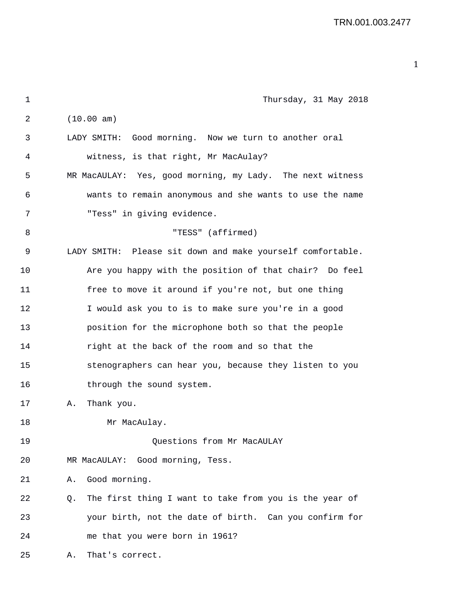2 (10.00 am) 3 LADY SMITH: Good morning. Now we turn to another oral 4 witness, is that right, Mr MacAulay? 5 MR MacAULAY: Yes, good morning, my Lady. The next witness 6 wants to remain anonymous and she wants to use the name 7 "Tess" in giving evidence. 8 "TESS" (affirmed) 9 LADY SMITH: Please sit down and make yourself comfortable. 10 Are you happy with the position of that chair? Do feel 11 free to move it around if you're not, but one thing 12 I would ask you to is to make sure you're in a good 13 position for the microphone both so that the people 14 right at the back of the room and so that the 15 stenographers can hear you, because they listen to you 16 through the sound system. 17 A. Thank you. 18 Mr MacAulay. 19 Questions from Mr MacAULAY 20 MR MacAULAY: Good morning, Tess. 21 A. Good morning. 22 Q. The first thing I want to take from you is the year of 23 your birth, not the date of birth. Can you confirm for 24 me that you were born in 1961?

1 Thursday, 31 May 2018

25 A. That's correct.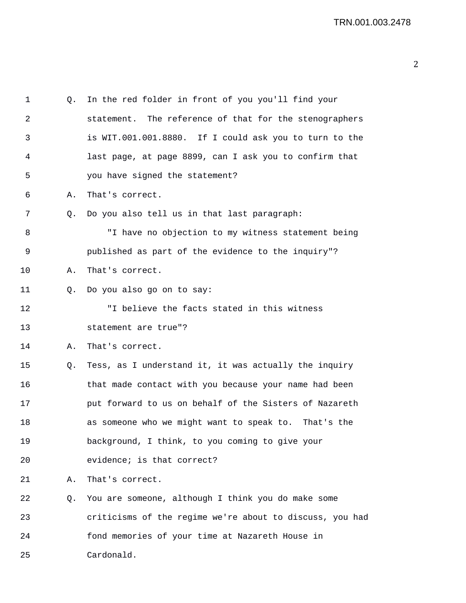| 1  | Q. | In the red folder in front of you you'll find your       |
|----|----|----------------------------------------------------------|
| 2  |    | statement. The reference of that for the stenographers   |
| 3  |    | is WIT.001.001.8880. If I could ask you to turn to the   |
| 4  |    | last page, at page 8899, can I ask you to confirm that   |
| 5  |    | you have signed the statement?                           |
| 6  | Α. | That's correct.                                          |
| 7  | Q. | Do you also tell us in that last paragraph:              |
| 8  |    | "I have no objection to my witness statement being       |
| 9  |    | published as part of the evidence to the inquiry"?       |
| 10 | Α. | That's correct.                                          |
| 11 | O. | Do you also go on to say:                                |
| 12 |    | "I believe the facts stated in this witness              |
| 13 |    | statement are true"?                                     |
| 14 | Α. | That's correct.                                          |
| 15 | Q. | Tess, as I understand it, it was actually the inquiry    |
| 16 |    | that made contact with you because your name had been    |
| 17 |    | put forward to us on behalf of the Sisters of Nazareth   |
| 18 |    | as someone who we might want to speak to. That's the     |
| 19 |    | background, I think, to you coming to give your          |
| 20 |    | evidence; is that correct?                               |
| 21 | Α. | That's correct.                                          |
| 22 | Q. | You are someone, although I think you do make some       |
| 23 |    | criticisms of the regime we're about to discuss, you had |
| 24 |    | fond memories of your time at Nazareth House in          |
| 25 |    | Cardonald.                                               |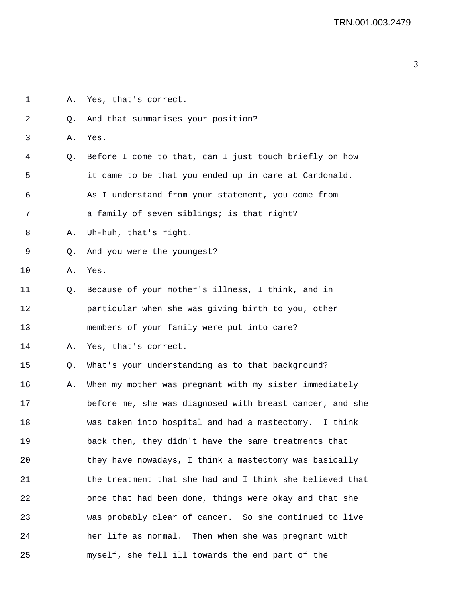| $\mathbf 1$    | Α. | Yes, that's correct.                                     |
|----------------|----|----------------------------------------------------------|
| $\overline{2}$ | Q. | And that summarises your position?                       |
| 3              | Α. | Yes.                                                     |
| 4              | Q. | Before I come to that, can I just touch briefly on how   |
| 5              |    | it came to be that you ended up in care at Cardonald.    |
| 6              |    | As I understand from your statement, you come from       |
| 7              |    | a family of seven siblings; is that right?               |
| 8              | Α. | Uh-huh, that's right.                                    |
| 9              | Q. | And you were the youngest?                               |
| 10             | Α. | Yes.                                                     |
| 11             | Q. | Because of your mother's illness, I think, and in        |
| 12             |    | particular when she was giving birth to you, other       |
| 13             |    | members of your family were put into care?               |
| 14             | Α. | Yes, that's correct.                                     |
| 15             | Q. | What's your understanding as to that background?         |
| 16             | Α. | When my mother was pregnant with my sister immediately   |
| 17             |    | before me, she was diagnosed with breast cancer, and she |
| 18             |    | was taken into hospital and had a mastectomy. I think    |
| 19             |    | back then, they didn't have the same treatments that     |
| 20             |    | they have nowadays, I think a mastectomy was basically   |
| 21             |    | the treatment that she had and I think she believed that |
| 22             |    | once that had been done, things were okay and that she   |
| 23             |    | was probably clear of cancer. So she continued to live   |
| 24             |    | her life as normal. Then when she was pregnant with      |
| 25             |    | myself, she fell ill towards the end part of the         |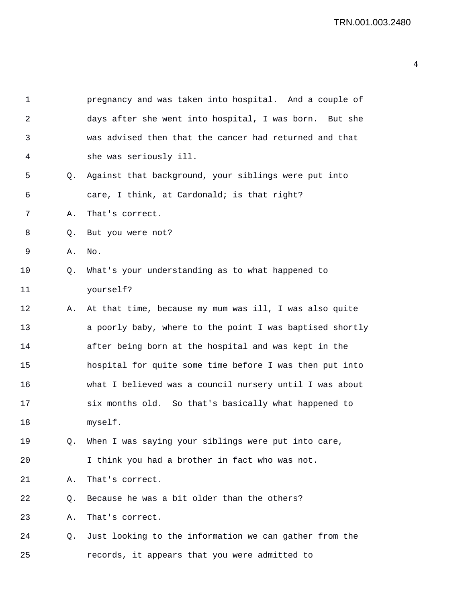| $\mathbf 1$ |    | pregnancy and was taken into hospital. And a couple of   |
|-------------|----|----------------------------------------------------------|
| 2           |    | days after she went into hospital, I was born. But she   |
| 3           |    | was advised then that the cancer had returned and that   |
| 4           |    | she was seriously ill.                                   |
| 5           | Q. | Against that background, your siblings were put into     |
| 6           |    | care, I think, at Cardonald; is that right?              |
| 7           | Α. | That's correct.                                          |
| 8           | Q. | But you were not?                                        |
| 9           | Α. | No.                                                      |
| 10          | Q. | What's your understanding as to what happened to         |
| 11          |    | yourself?                                                |
| 12          | Α. | At that time, because my mum was ill, I was also quite   |
| 13          |    | a poorly baby, where to the point I was baptised shortly |
| 14          |    | after being born at the hospital and was kept in the     |
| 15          |    | hospital for quite some time before I was then put into  |
| 16          |    | what I believed was a council nursery until I was about  |
| 17          |    | six months old. So that's basically what happened to     |
| 18          |    | myself.                                                  |
| 19          | Q. | When I was saying your siblings were put into care,      |
| 20          |    | I think you had a brother in fact who was not.           |
| 21          | Α. | That's correct.                                          |
| 22          | Q. | Because he was a bit older than the others?              |
| 23          | Α. | That's correct.                                          |
| 24          | Q. | Just looking to the information we can gather from the   |
| 25          |    | records, it appears that you were admitted to            |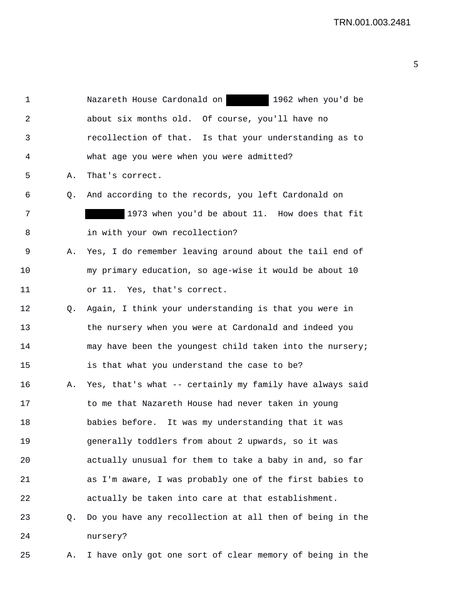| $\mathbf 1$ |    | 1962 when you'd be<br>Nazareth House Cardonald on        |
|-------------|----|----------------------------------------------------------|
| 2           |    | about six months old. Of course, you'll have no          |
| 3           |    | recollection of that. Is that your understanding as to   |
| 4           |    | what age you were when you were admitted?                |
| 5           | Α. | That's correct.                                          |
| 6           | Q. | And according to the records, you left Cardonald on      |
| 7           |    | 1973 when you'd be about 11. How does that fit           |
| 8           |    | in with your own recollection?                           |
| 9           | Α. | Yes, I do remember leaving around about the tail end of  |
| 10          |    | my primary education, so age-wise it would be about 10   |
| 11          |    | or 11. Yes, that's correct.                              |
| 12          | О. | Again, I think your understanding is that you were in    |
| 13          |    | the nursery when you were at Cardonald and indeed you    |
| 14          |    | may have been the youngest child taken into the nursery; |
| 15          |    | is that what you understand the case to be?              |
| 16          | Α. | Yes, that's what -- certainly my family have always said |
| 17          |    | to me that Nazareth House had never taken in young       |
| 18          |    | babies before. It was my understanding that it was       |
| 19          |    | generally toddlers from about 2 upwards, so it was       |
| 20          |    | actually unusual for them to take a baby in and, so far  |
| 21          |    | as I'm aware, I was probably one of the first babies to  |
| 22          |    | actually be taken into care at that establishment.       |
| 23          | Q. | Do you have any recollection at all then of being in the |
| 24          |    | nursery?                                                 |
|             |    |                                                          |

25 A. I have only got one sort of clear memory of being in the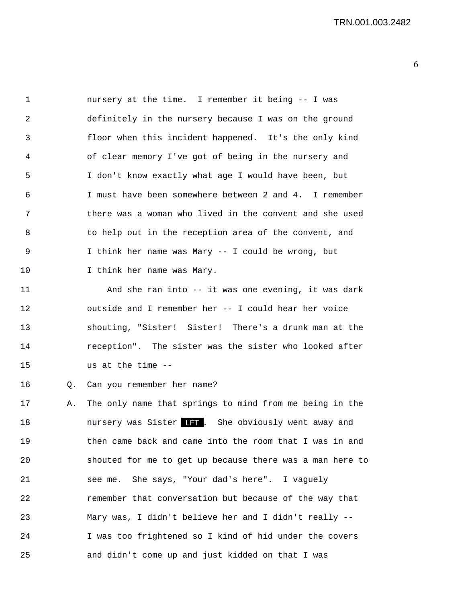| $\mathbf{1}$ | nursery at the time. I remember it being -- I was       |
|--------------|---------------------------------------------------------|
| 2            | definitely in the nursery because I was on the ground   |
| 3            | floor when this incident happened. It's the only kind   |
| 4            | of clear memory I've got of being in the nursery and    |
| 5            | I don't know exactly what age I would have been, but    |
| 6            | I must have been somewhere between 2 and 4. I remember  |
| 7            | there was a woman who lived in the convent and she used |
| 8            | to help out in the reception area of the convent, and   |
| 9            | I think her name was Mary -- I could be wrong, but      |
| 10           | I think her name was Mary.                              |
| 11           | And she ran into -- it was one evening, it was dark     |
| 12           | outside and I remember her -- I could hear her voice    |
| 13           | shouting, "Sister! Sister! There's a drunk man at the   |

14 reception". The sister was the sister who looked after

15 us at the time --

16 Q. Can you remember her name?

17 A. The only name that springs to mind from me being in the 18 mursery was Sister LFT. She obviously went away and 19 then came back and came into the room that I was in and 20 shouted for me to get up because there was a man here to 21 see me. She says, "Your dad's here". I vaguely 22 remember that conversation but because of the way that 23 Mary was, I didn't believe her and I didn't really -- 24 I was too frightened so I kind of hid under the covers 25 and didn't come up and just kidded on that I was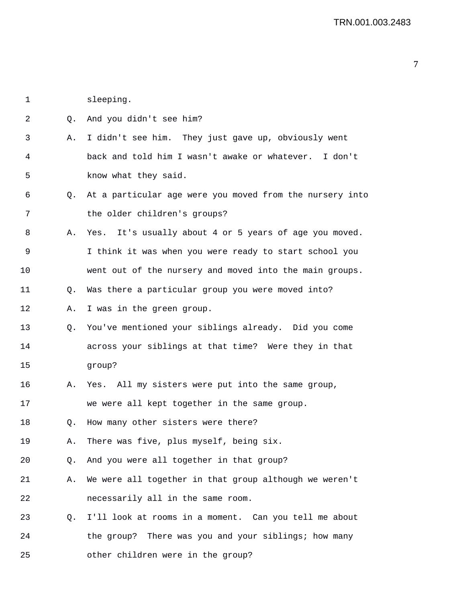| 1  |           | sleeping.                                                |
|----|-----------|----------------------------------------------------------|
| 2  | Q.        | And you didn't see him?                                  |
| 3  | Α.        | I didn't see him. They just gave up, obviously went      |
| 4  |           | back and told him I wasn't awake or whatever. I don't    |
| 5  |           | know what they said.                                     |
| 6  | Q.        | At a particular age were you moved from the nursery into |
| 7  |           | the older children's groups?                             |
| 8  | Α.        | Yes. It's usually about 4 or 5 years of age you moved.   |
| 9  |           | I think it was when you were ready to start school you   |
| 10 |           | went out of the nursery and moved into the main groups.  |
| 11 | Q.        | Was there a particular group you were moved into?        |
| 12 | Α.        | I was in the green group.                                |
| 13 | $\circ$ . | You've mentioned your siblings already. Did you come     |
| 14 |           | across your siblings at that time? Were they in that     |
| 15 |           | group?                                                   |
| 16 | Α.        | Yes. All my sisters were put into the same group,        |
| 17 |           | we were all kept together in the same group.             |
| 18 | Q.        | How many other sisters were there?                       |
| 19 | Α.        | There was five, plus myself, being six.                  |
| 20 | Q.        | And you were all together in that group?                 |
| 21 | Α.        | We were all together in that group although we weren't   |
| 22 |           | necessarily all in the same room.                        |
| 23 | Q.        | I'll look at rooms in a moment. Can you tell me about    |
| 24 |           | the group? There was you and your siblings; how many     |
| 25 |           | other children were in the group?                        |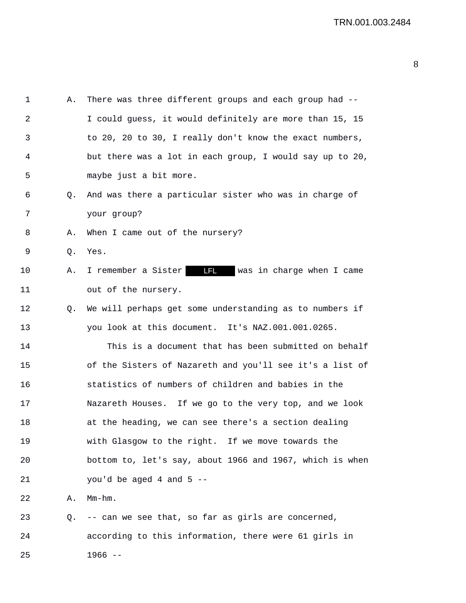| $\mathbf 1$    | Α. | There was three different groups and each group had --   |
|----------------|----|----------------------------------------------------------|
| $\overline{2}$ |    | I could guess, it would definitely are more than 15, 15  |
| 3              |    | to 20, 20 to 30, I really don't know the exact numbers,  |
| 4              |    | but there was a lot in each group, I would say up to 20, |
| 5              |    | maybe just a bit more.                                   |
| 6              | Q. | And was there a particular sister who was in charge of   |
| 7              |    | your group?                                              |
| 8              | Α. | When I came out of the nursery?                          |
| 9              | Q. | Yes.                                                     |
| 10             | Α. | I remember a Sister<br>was in charge when I came         |
| 11             |    | out of the nursery.                                      |
| 12             | Q. | We will perhaps get some understanding as to numbers if  |
| 13             |    | you look at this document. It's NAZ.001.001.0265.        |
| 14             |    | This is a document that has been submitted on behalf     |
| 15             |    | of the Sisters of Nazareth and you'll see it's a list of |
| 16             |    | statistics of numbers of children and babies in the      |
| 17             |    | Nazareth Houses. If we go to the very top, and we look   |
| 18             |    | at the heading, we can see there's a section dealing     |
| 19             |    | with Glasgow to the right. If we move towards the        |
| 20             |    | bottom to, let's say, about 1966 and 1967, which is when |
| 21             |    | you'd be aged 4 and $5$ --                               |
| 22             | Α. | $Mm-hm$ .                                                |
| 23             | Q. | -- can we see that, so far as girls are concerned,       |
| 24             |    | according to this information, there were 61 girls in    |

25 1966 --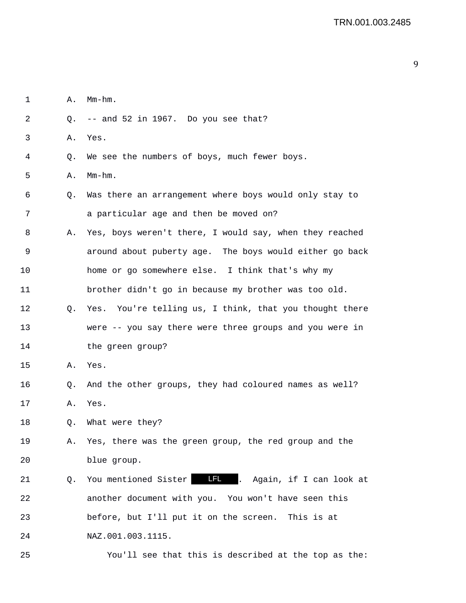| 1  | Α. | $Mm-hm$ .                                               |
|----|----|---------------------------------------------------------|
| 2  | O. | -- and 52 in 1967. Do you see that?                     |
| 3  | Α. | Yes.                                                    |
| 4  | Q. | We see the numbers of boys, much fewer boys.            |
| 5  | Α. | $Mm-hm$ .                                               |
| 6  | Q. | Was there an arrangement where boys would only stay to  |
| 7  |    | a particular age and then be moved on?                  |
| 8  | Α. | Yes, boys weren't there, I would say, when they reached |
| 9  |    | around about puberty age. The boys would either go back |
| 10 |    | home or go somewhere else. I think that's why my        |
| 11 |    | brother didn't go in because my brother was too old.    |
| 12 | 0. | Yes. You're telling us, I think, that you thought there |
| 13 |    | were -- you say there were three groups and you were in |
| 14 |    | the green group?                                        |
| 15 | Α. | Yes.                                                    |
| 16 | Q. | And the other groups, they had coloured names as well?  |
| 17 | Α. | Yes.                                                    |
| 18 | Q. | What were they?                                         |
| 19 | Α. | Yes, there was the green group, the red group and the   |
| 20 |    | blue group.                                             |
| 21 | Q. | You mentioned Sister 11 . Again, if I can look at       |
| 22 |    | another document with you. You won't have seen this     |
| 23 |    | before, but I'll put it on the screen. This is at       |
| 24 |    | NAZ.001.003.1115.                                       |
| 25 |    | You'll see that this is described at the top as the:    |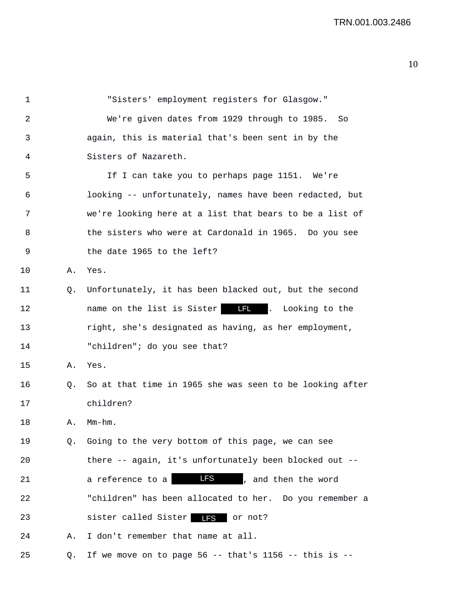1 "Sisters' employment registers for Glasgow." 2 We're given dates from 1929 through to 1985. So 3 again, this is material that's been sent in by the 4 Sisters of Nazareth. 5 If I can take you to perhaps page 1151. We're 6 looking -- unfortunately, names have been redacted, but 7 we're looking here at a list that bears to be a list of 8 the sisters who were at Cardonald in 1965. Do you see 9 the date 1965 to the left? 10 A. Yes. 11 Q. Unfortunately, it has been blacked out, but the second 12 **name on the list is Sister III**. Looking to the 13 right, she's designated as having, as her employment, 14 "children"; do you see that? 15 A. Yes. 16 Q. So at that time in 1965 she was seen to be looking after 17 children? 18 A. Mm-hm. 19 Q. Going to the very bottom of this page, we can see 20 there -- again, it's unfortunately been blocked out -- 21 a reference to a **LFS**, and then the word 22 "children" has been allocated to her. Do you remember a 23 sister called Sister LFS or not? 24 A. I don't remember that name at all. 25 Q. If we move on to page 56 -- that's 1156 -- this is --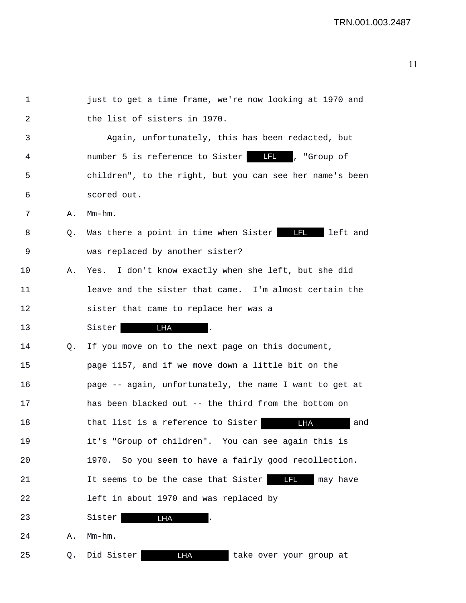| 1  |    | just to get a time frame, we're now looking at 1970 and  |
|----|----|----------------------------------------------------------|
| 2  |    | the list of sisters in 1970.                             |
| 3  |    | Again, unfortunately, this has been redacted, but        |
| 4  |    | number 5 is reference to Sister [11], "Group of          |
| 5  |    | children", to the right, but you can see her name's been |
| 6  |    | scored out.                                              |
| 7  | Α. | $Mm-hm$ .                                                |
| 8  | Q. | Was there a point in time when Sister<br>left and        |
| 9  |    | was replaced by another sister?                          |
| 10 | Α. | Yes. I don't know exactly when she left, but she did     |
| 11 |    | leave and the sister that came. I'm almost certain the   |
| 12 |    | sister that came to replace her was a                    |
| 13 |    | <b>LHA</b><br>Sister                                     |
| 14 | Q. | If you move on to the next page on this document,        |
| 15 |    | page 1157, and if we move down a little bit on the       |
| 16 |    | page -- again, unfortunately, the name I want to get at  |
| 17 |    | has been blacked out -- the third from the bottom on     |
| 18 |    | <b>LHA</b><br>that list is a reference to Sister<br>and  |
| 19 |    | it's "Group of children". You can see again this is      |
| 20 |    | So you seem to have a fairly good recollection.<br>1970. |
| 21 |    | It seems to be the case that Sister<br>LFL.<br>may have  |
| 22 |    | left in about 1970 and was replaced by                   |
| 23 |    | Sister<br><b>LHA</b>                                     |
| 24 | Α. | $Mm-hm$ .                                                |
| 25 | Q. | LHA<br>Did Sister<br>take over your group at             |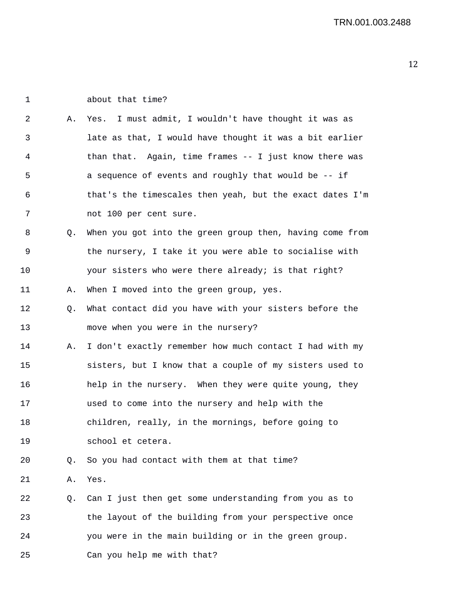1 about that time?

| $\overline{a}$ | Α.             | Yes. I must admit, I wouldn't have thought it was as     |
|----------------|----------------|----------------------------------------------------------|
| 3              |                | late as that, I would have thought it was a bit earlier  |
| 4              |                | than that. Again, time frames -- I just know there was   |
|                |                |                                                          |
| 5              |                | a sequence of events and roughly that would be -- if     |
| 6              |                | that's the timescales then yeah, but the exact dates I'm |
| 7              |                | not 100 per cent sure.                                   |
| 8              | Q <sub>z</sub> | When you got into the green group then, having come from |
| 9              |                | the nursery, I take it you were able to socialise with   |
| 10             |                | your sisters who were there already; is that right?      |
| 11             | Α.             | When I moved into the green group, yes.                  |
| 12             | Q.             | What contact did you have with your sisters before the   |
| 13             |                | move when you were in the nursery?                       |
| 14             | Α.             | I don't exactly remember how much contact I had with my  |
| 15             |                | sisters, but I know that a couple of my sisters used to  |
| 16             |                | help in the nursery. When they were quite young, they    |
| 17             |                | used to come into the nursery and help with the          |
| 18             |                | children, really, in the mornings, before going to       |
| 19             |                | school et cetera.                                        |
| 20             | Q.             | So you had contact with them at that time?               |
| 21             | Α.             | Yes.                                                     |
| 22             | Q.             | Can I just then get some understanding from you as to    |
| 23             |                | the layout of the building from your perspective once    |
|                |                |                                                          |
| 24             |                | you were in the main building or in the green group.     |
| 25             |                | Can you help me with that?                               |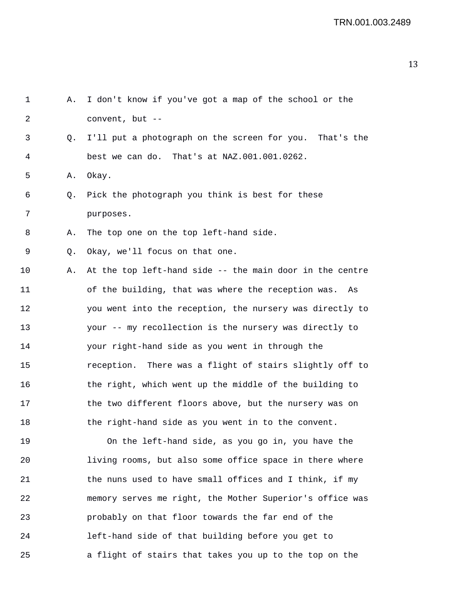| 1              | Α. | I don't know if you've got a map of the school or the    |
|----------------|----|----------------------------------------------------------|
| $\overline{2}$ |    | convent, but --                                          |
| 3              | Q. | I'll put a photograph on the screen for you. That's the  |
| 4              |    | best we can do. That's at NAZ.001.001.0262.              |
| 5              | Α. | Okay.                                                    |
| 6              | Q. | Pick the photograph you think is best for these          |
| 7              |    | purposes.                                                |
| 8              | Α. | The top one on the top left-hand side.                   |
| 9              | Q. | Okay, we'll focus on that one.                           |
| 10             | Α. | At the top left-hand side -- the main door in the centre |
| 11             |    | of the building, that was where the reception was.<br>As |
| 12             |    | you went into the reception, the nursery was directly to |
| 13             |    | your -- my recollection is the nursery was directly to   |
| 14             |    | your right-hand side as you went in through the          |
| 15             |    | reception. There was a flight of stairs slightly off to  |
| 16             |    | the right, which went up the middle of the building to   |
| 17             |    | the two different floors above, but the nursery was on   |
| 18             |    | the right-hand side as you went in to the convent.       |
| 19             |    | On the left-hand side, as you go in, you have the        |
| 20             |    | living rooms, but also some office space in there where  |
| 21             |    | the nuns used to have small offices and I think, if my   |
| 22             |    | memory serves me right, the Mother Superior's office was |
| 23             |    | probably on that floor towards the far end of the        |
| 24             |    | left-hand side of that building before you get to        |
|                |    |                                                          |

25 a flight of stairs that takes you up to the top on the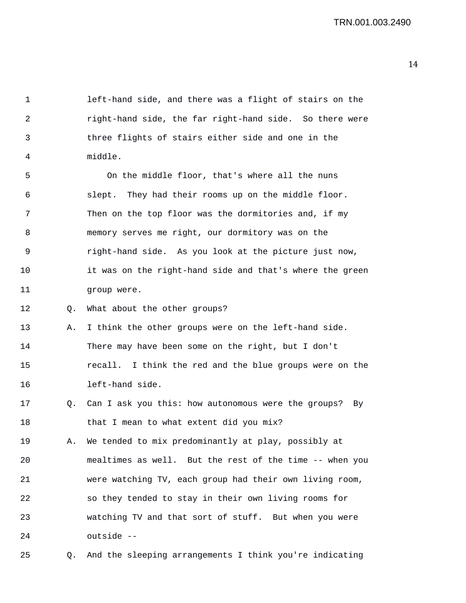1 left-hand side, and there was a flight of stairs on the 2 right-hand side, the far right-hand side. So there were 3 three flights of stairs either side and one in the 4 middle.

5 On the middle floor, that's where all the nuns 6 slept. They had their rooms up on the middle floor. 7 Then on the top floor was the dormitories and, if my 8 memory serves me right, our dormitory was on the 9 right-hand side. As you look at the picture just now, 10 it was on the right-hand side and that's where the green 11 group were.

12 Q. What about the other groups?

13 A. I think the other groups were on the left-hand side. 14 There may have been some on the right, but I don't 15 recall. I think the red and the blue groups were on the 16 left-hand side.

17 Q. Can I ask you this: how autonomous were the groups? By 18 that I mean to what extent did you mix?

19 A. We tended to mix predominantly at play, possibly at 20 mealtimes as well. But the rest of the time -- when you 21 were watching TV, each group had their own living room, 22 so they tended to stay in their own living rooms for 23 watching TV and that sort of stuff. But when you were 24 outside --

25 Q. And the sleeping arrangements I think you're indicating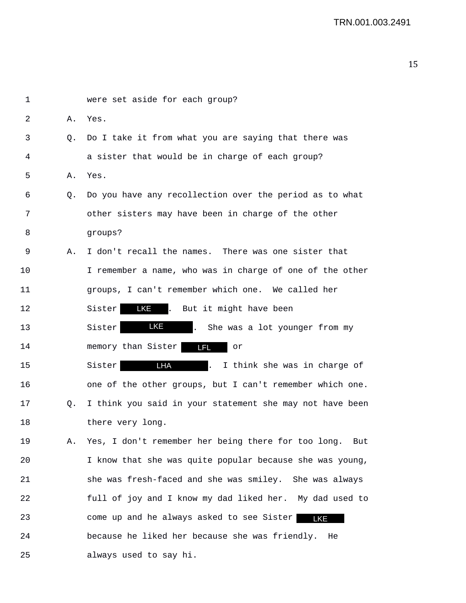| 1  |    | were set aside for each group?                             |
|----|----|------------------------------------------------------------|
| 2  | Α. | Yes.                                                       |
| 3  | Q. | Do I take it from what you are saying that there was       |
| 4  |    | a sister that would be in charge of each group?            |
| 5  | Α. | Yes.                                                       |
| 6  | Q. | Do you have any recollection over the period as to what    |
| 7  |    | other sisters may have been in charge of the other         |
| 8  |    | groups?                                                    |
| 9  | Α. | I don't recall the names. There was one sister that        |
| 10 |    | I remember a name, who was in charge of one of the other   |
| 11 |    | groups, I can't remember which one. We called her          |
| 12 |    | LKE . But it might have been<br>Sister                     |
| 13 |    | LKE<br>. She was a lot younger from my<br>Sister           |
| 14 |    | memory than Sister<br><b>LFL</b><br>or                     |
| 15 |    | LHA<br>Sister  <br>I think she was in charge of<br>L.      |
| 16 |    | one of the other groups, but I can't remember which one.   |
| 17 | 0. | I think you said in your statement she may not have been   |
| 18 |    | there very long.                                           |
| 19 | Α. | Yes, I don't remember her being there for too long.<br>But |
| 20 |    | I know that she was quite popular because she was young,   |
| 21 |    | she was fresh-faced and she was smiley. She was always     |
|    |    |                                                            |

22 full of joy and I know my dad liked her. My dad used to 23 come up and he always asked to see Sister 24 because he liked her because she was friendly. He 25 always used to say hi.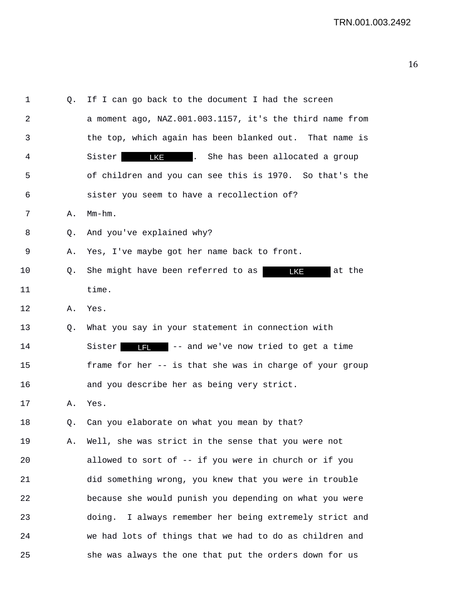| 1  | 0. | If I can go back to the document I had the screen          |
|----|----|------------------------------------------------------------|
| 2  |    | a moment ago, NAZ.001.003.1157, it's the third name from   |
| 3  |    | the top, which again has been blanked out. That name is    |
| 4  |    | <b>LKE</b><br>Sister  <br>. She has been allocated a group |
| 5  |    | of children and you can see this is 1970. So that's the    |
| 6  |    | sister you seem to have a recollection of?                 |
| 7  | Α. | $Mm-hm$ .                                                  |
| 8  | Q. | And you've explained why?                                  |
| 9  | Α. | Yes, I've maybe got her name back to front.                |
| 10 | Q. | She might have been referred to as<br><b>LKE</b><br>at the |
| 11 |    | time.                                                      |
| 12 | Α. | Yes.                                                       |
| 13 | Q. | What you say in your statement in connection with          |
| 14 |    | II -- and we've now tried to get a time<br>Sister          |
| 15 |    | frame for her -- is that she was in charge of your group   |
| 16 |    | and you describe her as being very strict.                 |
| 17 | Α. | Yes.                                                       |
| 18 | Q. | Can you elaborate on what you mean by that?                |
| 19 | Α. | Well, she was strict in the sense that you were not        |
| 20 |    | allowed to sort of -- if you were in church or if you      |
| 21 |    | did something wrong, you knew that you were in trouble     |
| 22 |    | because she would punish you depending on what you were    |
| 23 |    | doing. I always remember her being extremely strict and    |
| 24 |    | we had lots of things that we had to do as children and    |
| 25 |    | she was always the one that put the orders down for us     |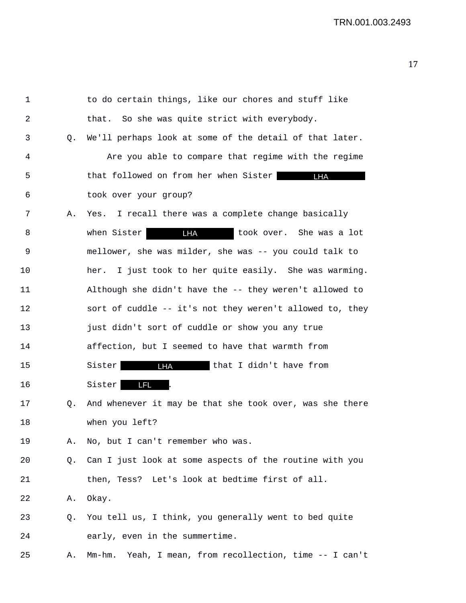| 1              |    | to do certain things, like our chores and stuff like     |
|----------------|----|----------------------------------------------------------|
| $\overline{2}$ |    | So she was quite strict with everybody.<br>that.         |
| 3              | Q. | We'll perhaps look at some of the detail of that later.  |
| 4              |    | Are you able to compare that regime with the regime      |
| 5              |    | that followed on from her when Sister<br>LHA             |
| 6              |    | took over your group?                                    |
| 7              | Α. | Yes. I recall there was a complete change basically      |
| 8              |    | <b>LHA</b><br>when Sister<br>took over. She was a lot    |
| 9              |    | mellower, she was milder, she was -- you could talk to   |
| 10             |    | her. I just took to her quite easily. She was warming.   |
| 11             |    | Although she didn't have the -- they weren't allowed to  |
| 12             |    | sort of cuddle -- it's not they weren't allowed to, they |
| 13             |    | just didn't sort of cuddle or show you any true          |
| 14             |    | affection, but I seemed to have that warmth from         |
| 15             |    | <b>LHA</b><br>Sister<br>that I didn't have from          |
| 16             |    | Sister  <br>LFL                                          |
| 17             | Q. | And whenever it may be that she took over, was she there |
| 18             |    | when you left?                                           |
| 19             | Α. | No, but I can't remember who was.                        |
| 20             | Q. | Can I just look at some aspects of the routine with you  |
| 21             |    | then, Tess? Let's look at bedtime first of all.          |
| 22             | Α. | Okay.                                                    |
| 23             | Q. | You tell us, I think, you generally went to bed quite    |
| 24             |    | early, even in the summertime.                           |
| 25             | Α. | Mm-hm. Yeah, I mean, from recollection, time -- I can't  |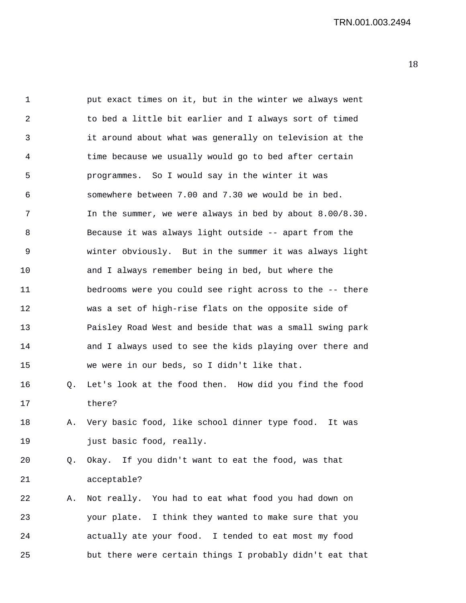| 1              |    | put exact times on it, but in the winter we always went  |
|----------------|----|----------------------------------------------------------|
| $\overline{a}$ |    | to bed a little bit earlier and I always sort of timed   |
| 3              |    | it around about what was generally on television at the  |
| 4              |    | time because we usually would go to bed after certain    |
| 5              |    | programmes. So I would say in the winter it was          |
| 6              |    | somewhere between 7.00 and 7.30 we would be in bed.      |
| 7              |    | In the summer, we were always in bed by about 8.00/8.30. |
| 8              |    | Because it was always light outside -- apart from the    |
| 9              |    | winter obviously. But in the summer it was always light  |
| 10             |    | and I always remember being in bed, but where the        |
| 11             |    | bedrooms were you could see right across to the -- there |
| 12             |    | was a set of high-rise flats on the opposite side of     |
| 13             |    | Paisley Road West and beside that was a small swing park |
| 14             |    | and I always used to see the kids playing over there and |
| 15             |    | we were in our beds, so I didn't like that.              |
| 16             | Q. | Let's look at the food then. How did you find the food   |
| 17             |    | there?                                                   |
| 18             | Α. | Very basic food, like school dinner type food. It was    |
| 19             |    | just basic food, really.                                 |
| 20             | Q. | If you didn't want to eat the food, was that<br>Okay.    |
| 21             |    | acceptable?                                              |
| 22             | Α. | Not really. You had to eat what food you had down on     |
| 23             |    | your plate. I think they wanted to make sure that you    |
| 24             |    | actually ate your food. I tended to eat most my food     |
| 25             |    | but there were certain things I probably didn't eat that |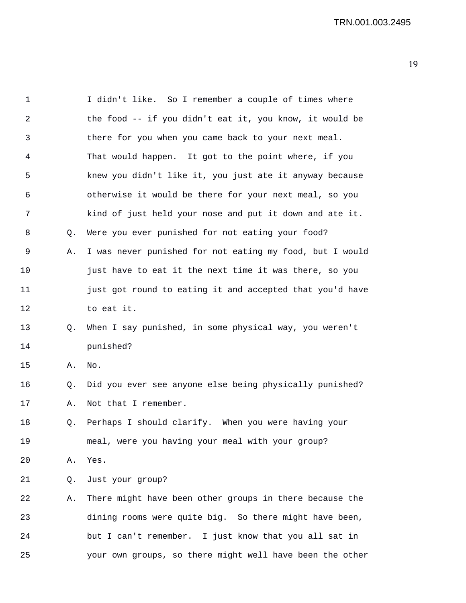| $\mathbf 1$ |    | I didn't like. So I remember a couple of times where     |
|-------------|----|----------------------------------------------------------|
| $\sqrt{2}$  |    | the food -- if you didn't eat it, you know, it would be  |
| 3           |    | there for you when you came back to your next meal.      |
| 4           |    | That would happen. It got to the point where, if you     |
| 5           |    | knew you didn't like it, you just ate it anyway because  |
| 6           |    | otherwise it would be there for your next meal, so you   |
| 7           |    | kind of just held your nose and put it down and ate it.  |
| 8           | Q. | Were you ever punished for not eating your food?         |
| 9           | Α. | I was never punished for not eating my food, but I would |
| 10          |    | just have to eat it the next time it was there, so you   |
| 11          |    | just got round to eating it and accepted that you'd have |
| 12          |    | to eat it.                                               |
| 13          | Q. | When I say punished, in some physical way, you weren't   |
| 14          |    | punished?                                                |
| 15          | Α. | No.                                                      |
| 16          | Q. | Did you ever see anyone else being physically punished?  |
| 17          | Α. | Not that I remember.                                     |
| 18          | O. | Perhaps I should clarify. When you were having your      |
| 19          |    | meal, were you having your meal with your group?         |
| 20          | Α. | Yes.                                                     |
| 21          | Q. | Just your group?                                         |
| 22          | Α. | There might have been other groups in there because the  |
| 23          |    | dining rooms were quite big. So there might have been,   |
| 24          |    | but I can't remember. I just know that you all sat in    |
| 25          |    | your own groups, so there might well have been the other |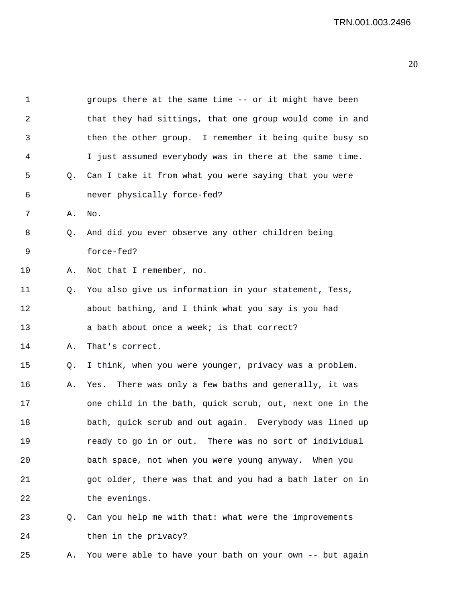| $\mathbf 1$ |           | groups there at the same time -- or it might have been   |
|-------------|-----------|----------------------------------------------------------|
| $\sqrt{2}$  |           | that they had sittings, that one group would come in and |
| 3           |           | then the other group. I remember it being quite busy so  |
| 4           |           | I just assumed everybody was in there at the same time.  |
| 5           | $\circ$ . | Can I take it from what you were saying that you were    |
| 6           |           | never physically force-fed?                              |
| 7           | Α.        | No.                                                      |
| 8           | Q.        | And did you ever observe any other children being        |
| 9           |           | force-fed?                                               |
| 10          | Α.        | Not that I remember, no.                                 |
| 11          | Q.        | You also give us information in your statement, Tess,    |
| 12          |           | about bathing, and I think what you say is you had       |
| 13          |           | a bath about once a week; is that correct?               |
| 14          | Α.        | That's correct.                                          |
| 15          | Q.        | I think, when you were younger, privacy was a problem.   |
| 16          | Α.        | Yes. There was only a few baths and generally, it was    |
| 17          |           | one child in the bath, quick scrub, out, next one in the |
| 18          |           | bath, quick scrub and out again. Everybody was lined up  |
| 19          |           | ready to go in or out. There was no sort of individual   |
| 20          |           | bath space, not when you were young anyway.<br>When you  |
| 21          |           | got older, there was that and you had a bath later on in |
| 22          |           | the evenings.                                            |
| 23          | O.        | Can you help me with that: what were the improvements    |
| 24          |           | then in the privacy?                                     |

25 A. You were able to have your bath on your own -- but again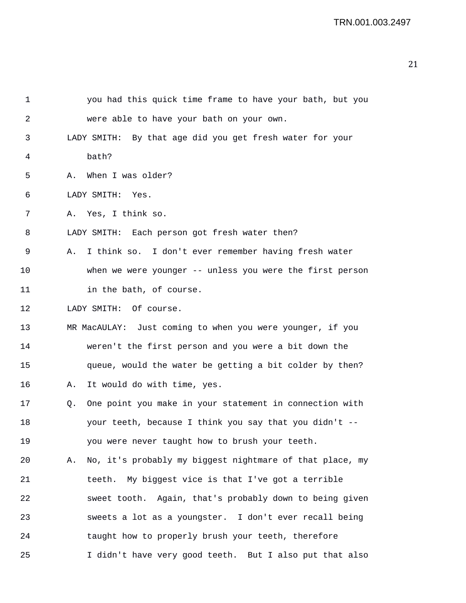| 1              |    | you had this quick time frame to have your bath, but you  |
|----------------|----|-----------------------------------------------------------|
| $\overline{2}$ |    | were able to have your bath on your own.                  |
| 3              |    | LADY SMITH: By that age did you get fresh water for your  |
| 4              |    | bath?                                                     |
| 5              | Α. | When I was older?                                         |
| 6              |    | LADY SMITH:<br>Yes.                                       |
| 7              |    | A. Yes, I think so.                                       |
| 8              |    | LADY SMITH: Each person got fresh water then?             |
| 9              | Α. | I think so. I don't ever remember having fresh water      |
| 10             |    | when we were younger -- unless you were the first person  |
| 11             |    | in the bath, of course.                                   |
| 12             |    | LADY SMITH: Of course.                                    |
| 13             |    | MR MacAULAY: Just coming to when you were younger, if you |
| 14             |    | weren't the first person and you were a bit down the      |
| 15             |    | queue, would the water be getting a bit colder by then?   |
| 16             | Α. | It would do with time, yes.                               |
| 17             | Q. | One point you make in your statement in connection with   |
| 18             |    | your teeth, because I think you say that you didn't --    |
| 19             |    | you were never taught how to brush your teeth.            |
| 20             | Α. | No, it's probably my biggest nightmare of that place, my  |
| 21             |    | teeth. My biggest vice is that I've got a terrible        |
| 22             |    | sweet tooth. Again, that's probably down to being given   |
| 23             |    | sweets a lot as a youngster. I don't ever recall being    |
| 24             |    | taught how to properly brush your teeth, therefore        |
| 25             |    | I didn't have very good teeth. But I also put that also   |
|                |    |                                                           |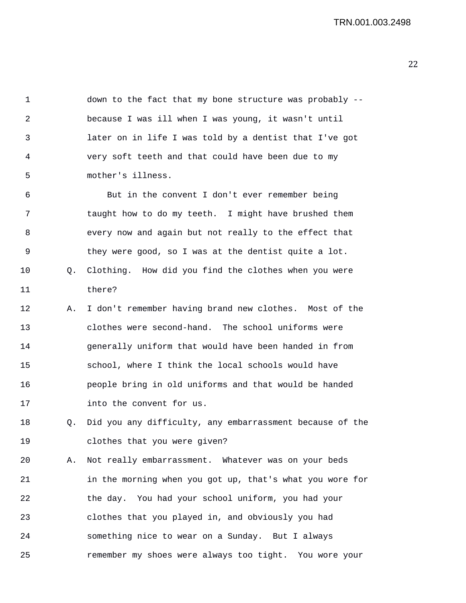1 down to the fact that my bone structure was probably -- 2 because I was ill when I was young, it wasn't until 3 later on in life I was told by a dentist that I've got 4 very soft teeth and that could have been due to my 5 mother's illness. 6 But in the convent I don't ever remember being 7 taught how to do my teeth. I might have brushed them 8 every now and again but not really to the effect that 9 they were good, so I was at the dentist quite a lot. 10 Q. Clothing. How did you find the clothes when you were 11 there? 12 A. I don't remember having brand new clothes. Most of the 13 clothes were second-hand. The school uniforms were 14 generally uniform that would have been handed in from 15 school, where I think the local schools would have 16 people bring in old uniforms and that would be handed 17 into the convent for us. 18 Q. Did you any difficulty, any embarrassment because of the 19 clothes that you were given?

20 A. Not really embarrassment. Whatever was on your beds 21 in the morning when you got up, that's what you wore for 22 the day. You had your school uniform, you had your 23 clothes that you played in, and obviously you had 24 something nice to wear on a Sunday. But I always 25 remember my shoes were always too tight. You wore your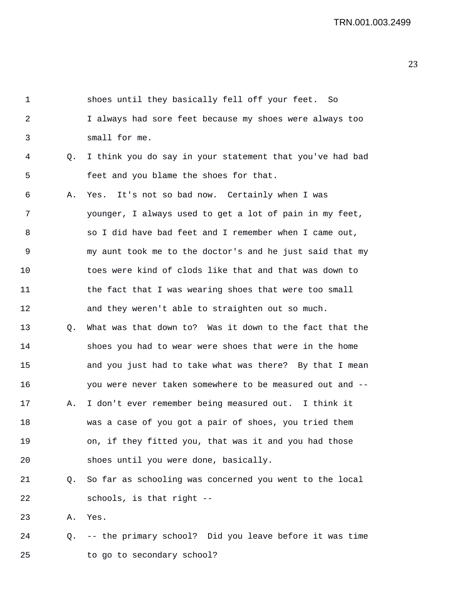| 1  |    | shoes until they basically fell off your feet. So        |
|----|----|----------------------------------------------------------|
| 2  |    | I always had sore feet because my shoes were always too  |
| 3  |    | small for me.                                            |
| 4  | Q. | I think you do say in your statement that you've had bad |
| 5  |    | feet and you blame the shoes for that.                   |
| 6  | Α. | Yes. It's not so bad now. Certainly when I was           |
| 7  |    | younger, I always used to get a lot of pain in my feet,  |
| 8  |    | so I did have bad feet and I remember when I came out,   |
| 9  |    | my aunt took me to the doctor's and he just said that my |
| 10 |    | toes were kind of clods like that and that was down to   |
| 11 |    | the fact that I was wearing shoes that were too small    |
| 12 |    | and they weren't able to straighten out so much.         |
| 13 | Q. | What was that down to? Was it down to the fact that the  |
| 14 |    | shoes you had to wear were shoes that were in the home   |
| 15 |    | and you just had to take what was there? By that I mean  |
| 16 |    | you were never taken somewhere to be measured out and -- |
| 17 | Α. | I don't ever remember being measured out. I think it     |
| 18 |    | was a case of you got a pair of shoes, you tried them    |
| 19 |    | on, if they fitted you, that was it and you had those    |
| 20 |    | shoes until you were done, basically.                    |
| 21 | Q. | So far as schooling was concerned you went to the local  |
| 22 |    | schools, is that right --                                |
| 23 | Α. | Yes.                                                     |
| 24 | Q. | -- the primary school? Did you leave before it was time  |

25 to go to secondary school?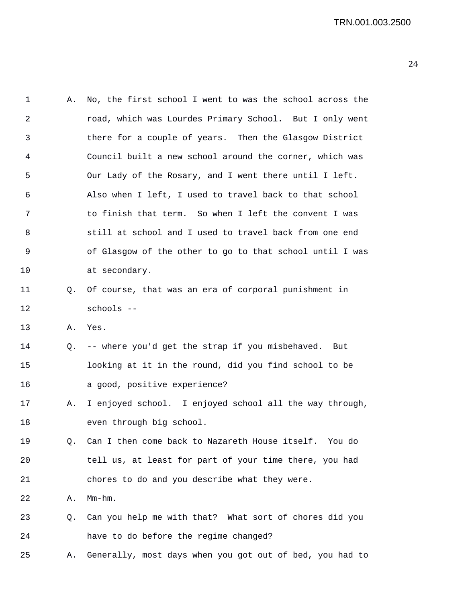| 1  | Α. | No, the first school I went to was the school across the |
|----|----|----------------------------------------------------------|
| 2  |    | road, which was Lourdes Primary School. But I only went  |
| 3  |    | there for a couple of years. Then the Glasgow District   |
| 4  |    | Council built a new school around the corner, which was  |
| 5  |    | Our Lady of the Rosary, and I went there until I left.   |
| 6  |    | Also when I left, I used to travel back to that school   |
| 7  |    | to finish that term. So when I left the convent I was    |
| 8  |    | still at school and I used to travel back from one end   |
| 9  |    | of Glasgow of the other to go to that school until I was |
| 10 |    | at secondary.                                            |
| 11 | Q. | Of course, that was an era of corporal punishment in     |
| 12 |    | schools --                                               |
| 13 | Α. | Yes.                                                     |
| 14 | Q. | -- where you'd get the strap if you misbehaved. But      |
| 15 |    | looking at it in the round, did you find school to be    |
| 16 |    | a good, positive experience?                             |
| 17 | Α. | I enjoyed school. I enjoyed school all the way through,  |
| 18 |    | even through big school.                                 |
| 19 | Ο. | Can I then come back to Nazareth House itself.<br>You do |
| 20 |    | tell us, at least for part of your time there, you had   |
| 21 |    | chores to do and you describe what they were.            |
| 22 | Α. | $Mm-hm$ .                                                |
| 23 | Q. | Can you help me with that? What sort of chores did you   |

24 have to do before the regime changed?

25 A. Generally, most days when you got out of bed, you had to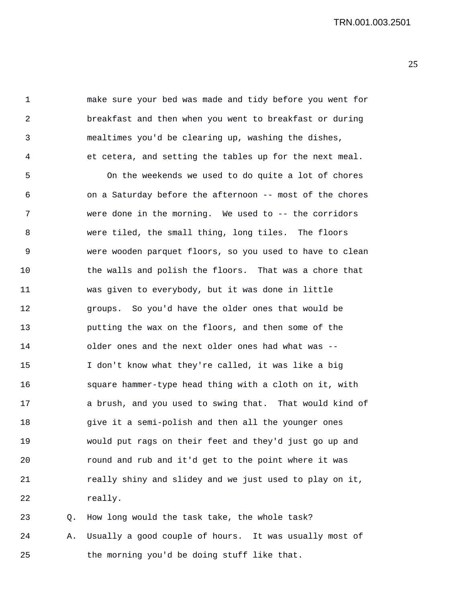1 make sure your bed was made and tidy before you went for 2 breakfast and then when you went to breakfast or during 3 mealtimes you'd be clearing up, washing the dishes, 4 et cetera, and setting the tables up for the next meal.

5 On the weekends we used to do quite a lot of chores 6 on a Saturday before the afternoon -- most of the chores 7 were done in the morning. We used to -- the corridors 8 were tiled, the small thing, long tiles. The floors 9 were wooden parquet floors, so you used to have to clean 10 the walls and polish the floors. That was a chore that 11 was given to everybody, but it was done in little 12 groups. So you'd have the older ones that would be 13 putting the wax on the floors, and then some of the 14 older ones and the next older ones had what was -- 15 I don't know what they're called, it was like a big 16 square hammer-type head thing with a cloth on it, with 17 a brush, and you used to swing that. That would kind of 18 give it a semi-polish and then all the younger ones 19 would put rags on their feet and they'd just go up and 20 round and rub and it'd get to the point where it was 21 really shiny and slidey and we just used to play on it, 22 really.

23 Q. How long would the task take, the whole task? 24 A. Usually a good couple of hours. It was usually most of 25 the morning you'd be doing stuff like that.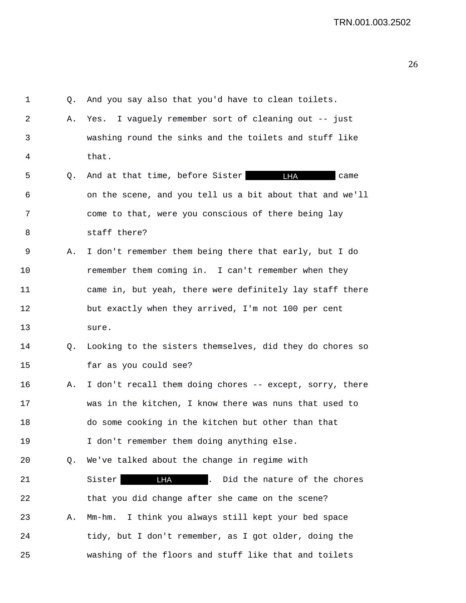1 Q. And you say also that you'd have to clean toilets. 2 A. Yes. I vaguely remember sort of cleaning out -- just 3 washing round the sinks and the toilets and stuff like 4 that. 5 Q. And at that time, before Sister **LHA C** came 6 on the scene, and you tell us a bit about that and we'll 7 come to that, were you conscious of there being lay 8 staff there? 9 A. I don't remember them being there that early, but I do 10 remember them coming in. I can't remember when they 11 came in, but yeah, there were definitely lay staff there 12 but exactly when they arrived, I'm not 100 per cent 13 sure. 14 Q. Looking to the sisters themselves, did they do chores so 15 far as you could see? 16 A. I don't recall them doing chores -- except, sorry, there 17 was in the kitchen, I know there was nuns that used to 18 do some cooking in the kitchen but other than that 19 I don't remember them doing anything else. 20 Q. We've talked about the change in regime with 21 Sister **LHA** . Did the nature of the chores 22 that you did change after she came on the scene? 23 A. Mm-hm. I think you always still kept your bed space 24 tidy, but I don't remember, as I got older, doing the 25 washing of the floors and stuff like that and toilets LHA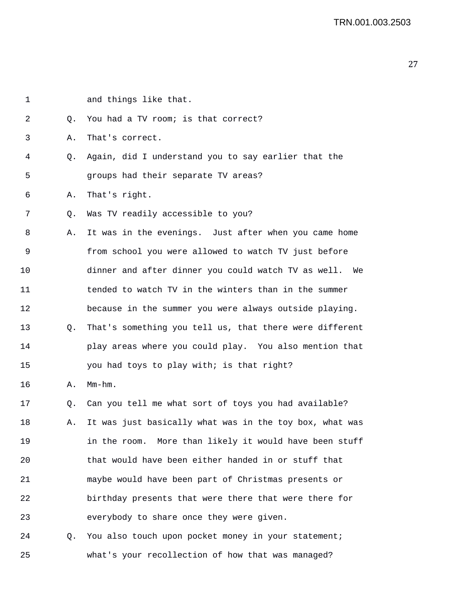1 and things like that. 2 0. You had a TV room; is that correct? 3 A. That's correct. 4 Q. Again, did I understand you to say earlier that the 5 groups had their separate TV areas? 6 A. That's right. 7 Q. Was TV readily accessible to you? 8 A. It was in the evenings. Just after when you came home 9 from school you were allowed to watch TV just before 10 dinner and after dinner you could watch TV as well. We 11 tended to watch TV in the winters than in the summer 12 because in the summer you were always outside playing. 13 O. That's something you tell us, that there were different 14 play areas where you could play. You also mention that 15 you had toys to play with; is that right? 16 A. Mm-hm. 17 Q. Can you tell me what sort of toys you had available? 18 A. It was just basically what was in the toy box, what was 19 in the room. More than likely it would have been stuff 20 that would have been either handed in or stuff that 21 maybe would have been part of Christmas presents or 22 birthday presents that were there that were there for 23 everybody to share once they were given. 24 Q. You also touch upon pocket money in your statement; 25 what's your recollection of how that was managed?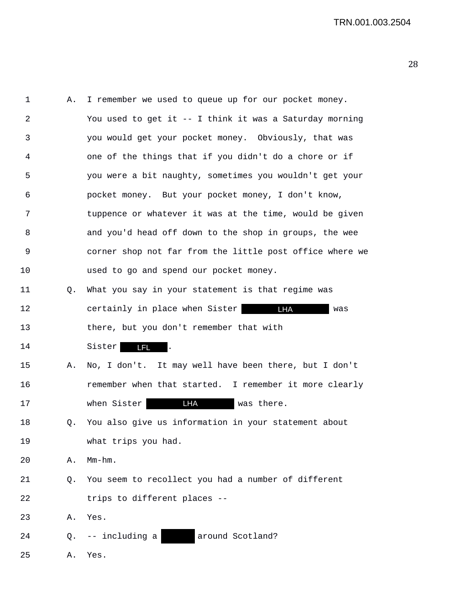| 1  | Α. | I remember we used to queue up for our pocket money.     |
|----|----|----------------------------------------------------------|
| 2  |    | You used to get it -- I think it was a Saturday morning  |
| 3  |    | you would get your pocket money. Obviously, that was     |
| 4  |    | one of the things that if you didn't do a chore or if    |
| 5  |    | you were a bit naughty, sometimes you wouldn't get your  |
| 6  |    | pocket money. But your pocket money, I don't know,       |
| 7  |    | tuppence or whatever it was at the time, would be given  |
| 8  |    | and you'd head off down to the shop in groups, the wee   |
| 9  |    | corner shop not far from the little post office where we |
| 10 |    | used to go and spend our pocket money.                   |
| 11 | Q. | What you say in your statement is that regime was        |
| 12 |    | certainly in place when Sister<br><b>LHA</b><br>was      |
| 13 |    | there, but you don't remember that with                  |
| 14 |    | Sister<br>LFL                                            |
| 15 | Α. | No, I don't. It may well have been there, but I don't    |
| 16 |    | remember when that started. I remember it more clearly   |
| 17 |    | <b>LHA</b><br>when Sister<br>was there.                  |
| 18 | Q. | You also give us information in your statement about     |
| 19 |    | what trips you had.                                      |
| 20 | Α. | Mm-hm.                                                   |
| 21 | Q. | You seem to recollect you had a number of different      |
| 22 |    | trips to different places --                             |
| 23 | Α. | Yes.                                                     |
| 24 | О. | -- including a<br>around Scotland?                       |
|    |    |                                                          |

25 A. Yes.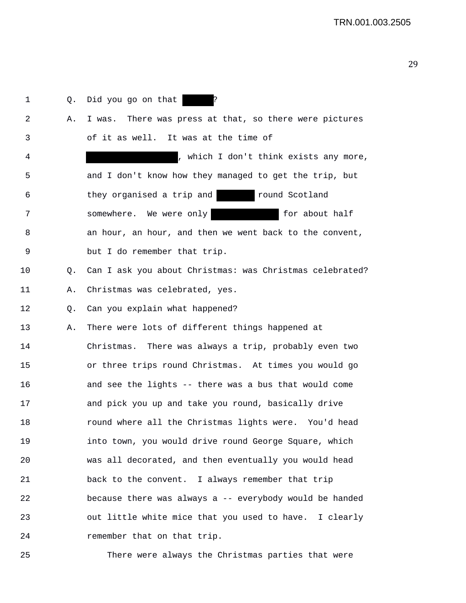| 1          | Q. | Did you go on that                                       |
|------------|----|----------------------------------------------------------|
| $\sqrt{2}$ | Α. | I was. There was press at that, so there were pictures   |
| 3          |    | of it as well. It was at the time of                     |
| 4          |    | , which I don't think exists any more,                   |
| 5          |    | and I don't know how they managed to get the trip, but   |
| 6          |    | they organised a trip and<br>round Scotland              |
| 7          |    | somewhere. We were only<br>for about half                |
| 8          |    | an hour, an hour, and then we went back to the convent,  |
| 9          |    | but I do remember that trip.                             |
| 10         | Q. | Can I ask you about Christmas: was Christmas celebrated? |
| 11         | Α. | Christmas was celebrated, yes.                           |
| 12         | Q. | Can you explain what happened?                           |
| 13         | Α. | There were lots of different things happened at          |
| 14         |    | Christmas. There was always a trip, probably even two    |
| 15         |    | or three trips round Christmas. At times you would go    |
| 16         |    | and see the lights -- there was a bus that would come    |
| 17         |    | and pick you up and take you round, basically drive      |
| 18         |    | round where all the Christmas lights were. You'd head    |
| 19         |    | into town, you would drive round George Square, which    |
| 20         |    | was all decorated, and then eventually you would head    |
| 21         |    | back to the convent. I always remember that trip         |
| 22         |    | because there was always a -- everybody would be handed  |
| 23         |    | out little white mice that you used to have. I clearly   |
| 24         |    | remember that on that trip.                              |

25 There were always the Christmas parties that were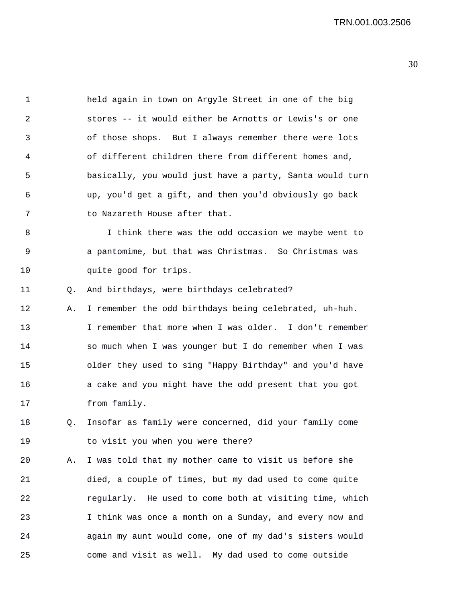| 1  |    | held again in town on Argyle Street in one of the big    |
|----|----|----------------------------------------------------------|
| 2  |    | stores -- it would either be Arnotts or Lewis's or one   |
| 3  |    | of those shops. But I always remember there were lots    |
| 4  |    | of different children there from different homes and,    |
| 5  |    | basically, you would just have a party, Santa would turn |
| 6  |    | up, you'd get a gift, and then you'd obviously go back   |
| 7  |    | to Nazareth House after that.                            |
| 8  |    | I think there was the odd occasion we maybe went to      |
| 9  |    | a pantomime, but that was Christmas. So Christmas was    |
| 10 |    | quite good for trips.                                    |
| 11 | Q. | And birthdays, were birthdays celebrated?                |
| 12 | Α. | I remember the odd birthdays being celebrated, uh-huh.   |
| 13 |    | I remember that more when I was older. I don't remember  |
| 14 |    | so much when I was younger but I do remember when I was  |
| 15 |    | older they used to sing "Happy Birthday" and you'd have  |
| 16 |    | a cake and you might have the odd present that you got   |
| 17 |    | from family.                                             |
| 18 | Q. | Insofar as family were concerned, did your family come   |
| 19 |    | to visit you when you were there?                        |
| 20 | Α. | I was told that my mother came to visit us before she    |
| 21 |    | died, a couple of times, but my dad used to come quite   |
| 22 |    | regularly. He used to come both at visiting time, which  |
| 23 |    | I think was once a month on a Sunday, and every now and  |
| 24 |    | again my aunt would come, one of my dad's sisters would  |
| 25 |    | come and visit as well. My dad used to come outside      |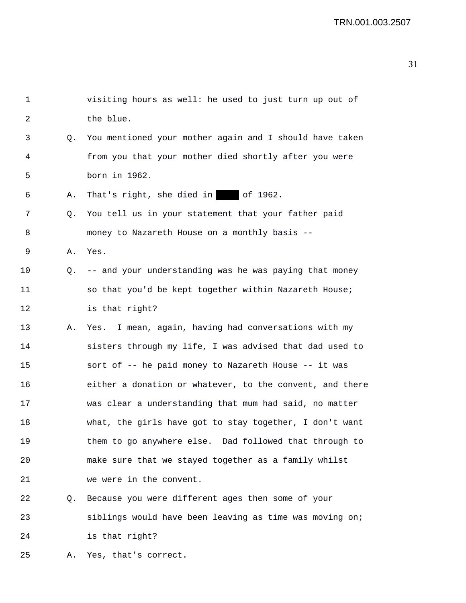| $\mathbf 1$ |             | visiting hours as well: he used to just turn up out of   |
|-------------|-------------|----------------------------------------------------------|
| 2           |             | the blue.                                                |
| 3           | O.          | You mentioned your mother again and I should have taken  |
| 4           |             | from you that your mother died shortly after you were    |
| 5           |             | born in 1962.                                            |
| 6           | Α.          | That's right, she died in of 1962.                       |
| 7           | $Q_{\star}$ | You tell us in your statement that your father paid      |
| 8           |             | money to Nazareth House on a monthly basis --            |
| 9           | Α.          | Yes.                                                     |
| 10          | Q.          | -- and your understanding was he was paying that money   |
| 11          |             | so that you'd be kept together within Nazareth House;    |
| 12          |             | is that right?                                           |
| 13          | Α.          | Yes. I mean, again, having had conversations with my     |
| 14          |             | sisters through my life, I was advised that dad used to  |
| 15          |             | sort of -- he paid money to Nazareth House -- it was     |
| 16          |             | either a donation or whatever, to the convent, and there |
| 17          |             | was clear a understanding that mum had said, no matter   |
| 18          |             | what, the girls have got to stay together, I don't want  |
| 19          |             | them to go anywhere else. Dad followed that through to   |
| 20          |             | make sure that we stayed together as a family whilst     |
| 21          |             | we were in the convent.                                  |
| 22          | Q.          | Because you were different ages then some of your        |
| 23          |             | siblings would have been leaving as time was moving on;  |

24 is that right?

25 A. Yes, that's correct.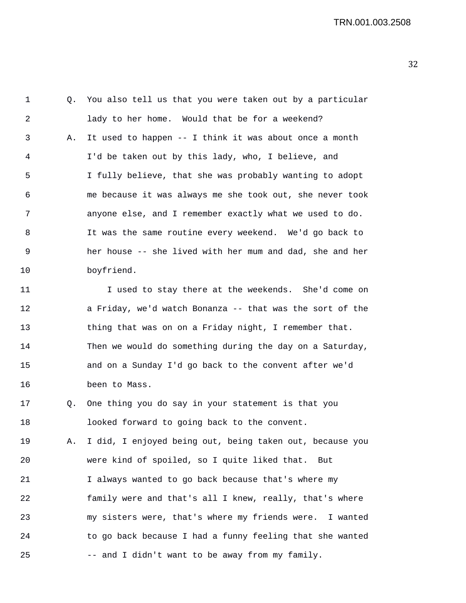1 Q. You also tell us that you were taken out by a particular 2 lady to her home. Would that be for a weekend? 3 A. It used to happen -- I think it was about once a month 4 I'd be taken out by this lady, who, I believe, and 5 I fully believe, that she was probably wanting to adopt 6 me because it was always me she took out, she never took 7 anyone else, and I remember exactly what we used to do. 8 It was the same routine every weekend. We'd go back to 9 her house -- she lived with her mum and dad, she and her 10 boyfriend.

11 I used to stay there at the weekends. She'd come on 12 a Friday, we'd watch Bonanza -- that was the sort of the 13 thing that was on on a Friday night, I remember that. 14 Then we would do something during the day on a Saturday, 15 and on a Sunday I'd go back to the convent after we'd 16 been to Mass.

17 Q. One thing you do say in your statement is that you 18 looked forward to going back to the convent.

19 A. I did, I enjoyed being out, being taken out, because you 20 were kind of spoiled, so I quite liked that. But 21 I always wanted to go back because that's where my 22 family were and that's all I knew, really, that's where 23 my sisters were, that's where my friends were. I wanted 24 to go back because I had a funny feeling that she wanted 25 -- and I didn't want to be away from my family.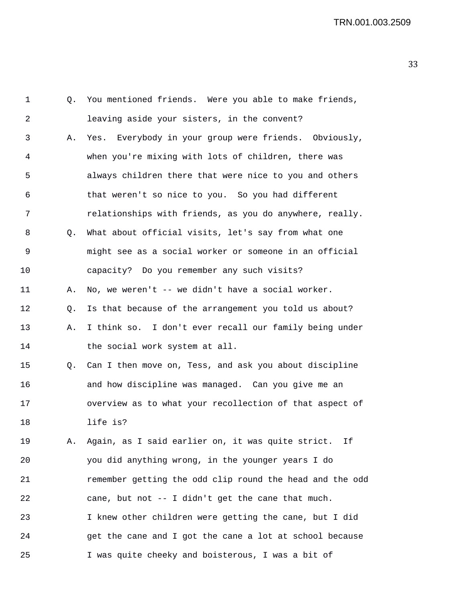| $\mathbf 1$    | Q. | You mentioned friends. Were you able to make friends,    |
|----------------|----|----------------------------------------------------------|
| $\overline{2}$ |    | leaving aside your sisters, in the convent?              |
| 3              | Α. | Yes. Everybody in your group were friends. Obviously,    |
| 4              |    | when you're mixing with lots of children, there was      |
| 5              |    | always children there that were nice to you and others   |
| 6              |    | that weren't so nice to you. So you had different        |
| 7              |    | relationships with friends, as you do anywhere, really.  |
| 8              | Q. | What about official visits, let's say from what one      |
| 9              |    | might see as a social worker or someone in an official   |
| 10             |    | capacity? Do you remember any such visits?               |
| 11             | Α. | No, we weren't -- we didn't have a social worker.        |
| 12             | Q. | Is that because of the arrangement you told us about?    |
| 13             | Α. | I think so. I don't ever recall our family being under   |
| 14             |    | the social work system at all.                           |
| 15             | Q. | Can I then move on, Tess, and ask you about discipline   |
| 16             |    | and how discipline was managed. Can you give me an       |
| 17             |    | overview as to what your recollection of that aspect of  |
| 18             |    | life is?                                                 |
| 19             | Α. | Again, as I said earlier on, it was quite strict.<br>Ιf  |
| 20             |    | you did anything wrong, in the younger years I do        |
| 21             |    | remember getting the odd clip round the head and the odd |
| 22             |    | cane, but not -- I didn't get the cane that much.        |
| 23             |    | I knew other children were getting the cane, but I did   |
| 24             |    | get the cane and I got the cane a lot at school because  |
| 25             |    | I was quite cheeky and boisterous, I was a bit of        |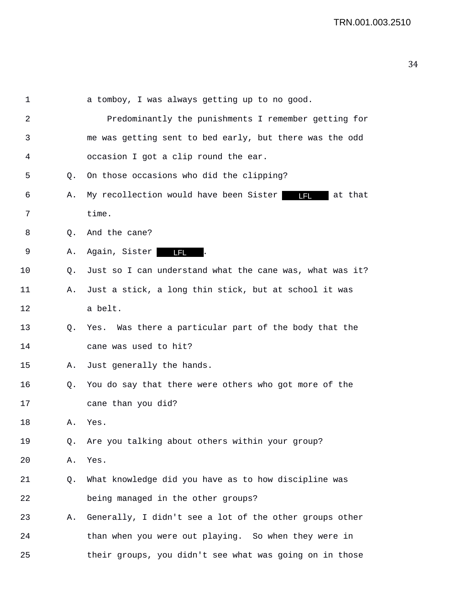| 1  |    | a tomboy, I was always getting up to no good.            |
|----|----|----------------------------------------------------------|
| 2  |    | Predominantly the punishments I remember getting for     |
| 3  |    | me was getting sent to bed early, but there was the odd  |
| 4  |    | occasion I got a clip round the ear.                     |
| 5  | Q. | On those occasions who did the clipping?                 |
| 6  | Α. | My recollection would have been Sister<br>at that        |
| 7  |    | time.                                                    |
| 8  | Q. | And the cane?                                            |
| 9  | Α. | Again, Sister<br><b>LFL</b>                              |
| 10 | Q. | Just so I can understand what the cane was, what was it? |
| 11 | Α. | Just a stick, a long thin stick, but at school it was    |
| 12 |    | a belt.                                                  |
| 13 | O. | Yes. Was there a particular part of the body that the    |
| 14 |    | cane was used to hit?                                    |
| 15 | Α. | Just generally the hands.                                |
| 16 | O. | You do say that there were others who got more of the    |
| 17 |    | cane than you did?                                       |
| 18 | Α. | Yes.                                                     |
| 19 | Q. | Are you talking about others within your group?          |
| 20 | Α. | Yes.                                                     |
| 21 | Q. | What knowledge did you have as to how discipline was     |
| 22 |    | being managed in the other groups?                       |
| 23 | Α. | Generally, I didn't see a lot of the other groups other  |
| 24 |    | than when you were out playing. So when they were in     |
| 25 |    | their groups, you didn't see what was going on in those  |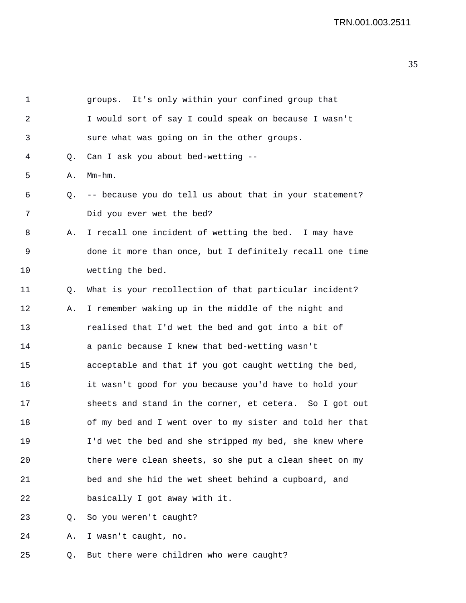| 1  |           | It's only within your confined group that<br>groups.     |
|----|-----------|----------------------------------------------------------|
| 2  |           | I would sort of say I could speak on because I wasn't    |
| 3  |           | sure what was going on in the other groups.              |
| 4  | Q.        | Can I ask you about bed-wetting --                       |
| 5  | Α.        | $Mm-hm$ .                                                |
| 6  | Q.        | -- because you do tell us about that in your statement?  |
| 7  |           | Did you ever wet the bed?                                |
| 8  | Α.        | I recall one incident of wetting the bed. I may have     |
| 9  |           | done it more than once, but I definitely recall one time |
| 10 |           | wetting the bed.                                         |
| 11 | $\circ$ . | What is your recollection of that particular incident?   |
| 12 | Α.        | I remember waking up in the middle of the night and      |
| 13 |           | realised that I'd wet the bed and got into a bit of      |
| 14 |           | a panic because I knew that bed-wetting wasn't           |
| 15 |           | acceptable and that if you got caught wetting the bed,   |
| 16 |           | it wasn't good for you because you'd have to hold your   |
| 17 |           | sheets and stand in the corner, et cetera. So I got out  |
| 18 |           | of my bed and I went over to my sister and told her that |
| 19 |           | I'd wet the bed and she stripped my bed, she knew where  |
| 20 |           | there were clean sheets, so she put a clean sheet on my  |
| 21 |           | bed and she hid the wet sheet behind a cupboard, and     |
| 22 |           | basically I got away with it.                            |
| 23 | Q.        | So you weren't caught?                                   |

24 A. I wasn't caught, no.

25 Q. But there were children who were caught?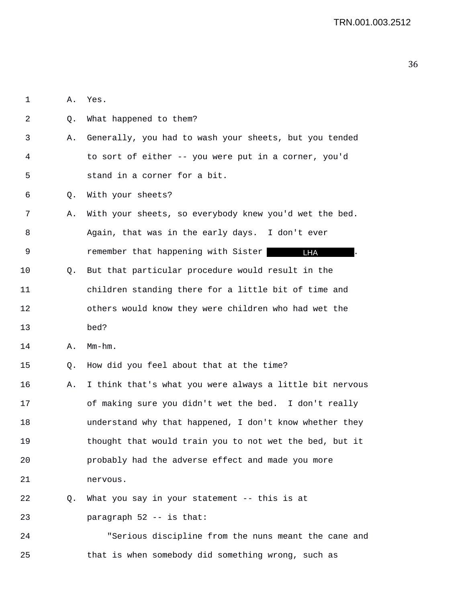| 1  | Α. | Yes.                                                     |
|----|----|----------------------------------------------------------|
| 2  | Q. | What happened to them?                                   |
| 3  | Α. | Generally, you had to wash your sheets, but you tended   |
| 4  |    | to sort of either -- you were put in a corner, you'd     |
| 5  |    | stand in a corner for a bit.                             |
| 6  | Q. | With your sheets?                                        |
| 7  | Α. | With your sheets, so everybody knew you'd wet the bed.   |
| 8  |    | Again, that was in the early days. I don't ever          |
| 9  |    | remember that happening with Sister<br><b>LHA</b>        |
| 10 | O. | But that particular procedure would result in the        |
| 11 |    | children standing there for a little bit of time and     |
| 12 |    | others would know they were children who had wet the     |
| 13 |    | bed?                                                     |
| 14 | Α. | $Mm-hm$ .                                                |
| 15 | Q. | How did you feel about that at the time?                 |
| 16 | Α. | I think that's what you were always a little bit nervous |
| 17 |    | of making sure you didn't wet the bed. I don't really    |
| 18 |    | understand why that happened, I don't know whether they  |
| 19 |    | thought that would train you to not wet the bed, but it  |
| 20 |    | probably had the adverse effect and made you more        |
| 21 |    | nervous.                                                 |
| 22 | O. | What you say in your statement -- this is at             |
| 23 |    | paragraph 52 -- is that:                                 |
| 24 |    | "Serious discipline from the nuns meant the cane and     |
| 25 |    | that is when somebody did something wrong, such as       |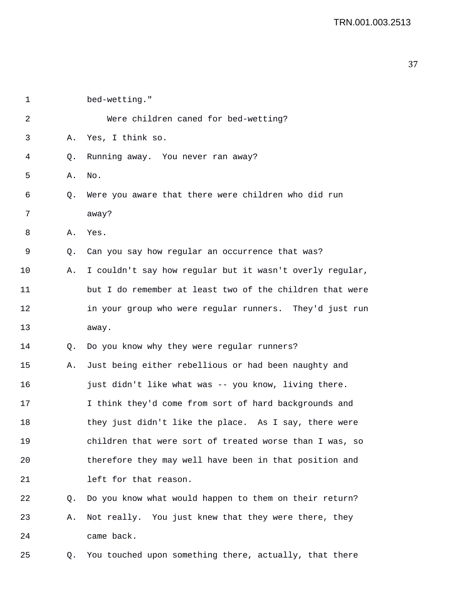| 1  |    | bed-wetting."                                            |
|----|----|----------------------------------------------------------|
| 2  |    | Were children caned for bed-wetting?                     |
| 3  | Α. | Yes, I think so.                                         |
| 4  | Q. | Running away. You never ran away?                        |
| 5  | Α. | No.                                                      |
| 6  | Q. | Were you aware that there were children who did run      |
| 7  |    | away?                                                    |
| 8  | Α. | Yes.                                                     |
| 9  | Q. | Can you say how regular an occurrence that was?          |
| 10 | Α. | I couldn't say how regular but it wasn't overly regular, |
| 11 |    | but I do remember at least two of the children that were |
| 12 |    | in your group who were regular runners. They'd just run  |
| 13 |    | away.                                                    |
| 14 | Q. | Do you know why they were regular runners?               |
| 15 | Α. | Just being either rebellious or had been naughty and     |
| 16 |    | just didn't like what was -- you know, living there.     |
| 17 |    | I think they'd come from sort of hard backgrounds and    |
| 18 |    | they just didn't like the place. As I say, there were    |
| 19 |    | children that were sort of treated worse than I was, so  |
| 20 |    | therefore they may well have been in that position and   |
| 21 |    | left for that reason.                                    |
| 22 | Q. | Do you know what would happen to them on their return?   |
| 23 | Α. | Not really. You just knew that they were there, they     |
| 24 |    | came back.                                               |
| 25 | Q. | You touched upon something there, actually, that there   |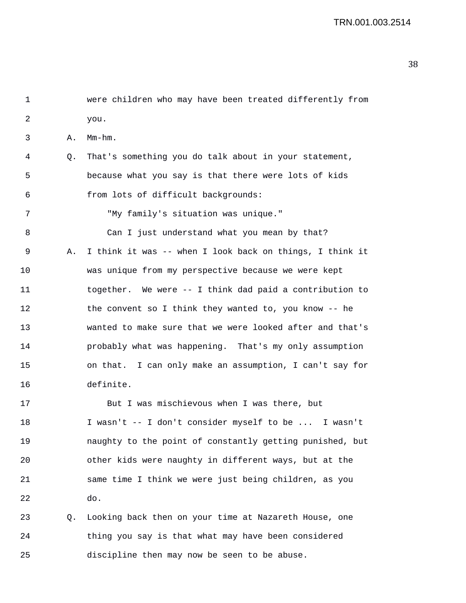1 were children who may have been treated differently from 2 you. 3 A. Mm-hm. 4 Q. That's something you do talk about in your statement, 5 because what you say is that there were lots of kids 6 from lots of difficult backgrounds: 7 "My family's situation was unique." 8 Can I just understand what you mean by that? 9 A. I think it was -- when I look back on things, I think it 10 was unique from my perspective because we were kept 11 together. We were -- I think dad paid a contribution to 12 the convent so I think they wanted to, you know -- he 13 wanted to make sure that we were looked after and that's 14 **probably what was happening.** That's my only assumption 15 on that. I can only make an assumption, I can't say for 16 definite. 17 But I was mischievous when I was there, but

18 I wasn't -- I don't consider myself to be ... I wasn't 19 naughty to the point of constantly getting punished, but 20 other kids were naughty in different ways, but at the 21 same time I think we were just being children, as you 22 do.

23 Q. Looking back then on your time at Nazareth House, one 24 thing you say is that what may have been considered 25 discipline then may now be seen to be abuse.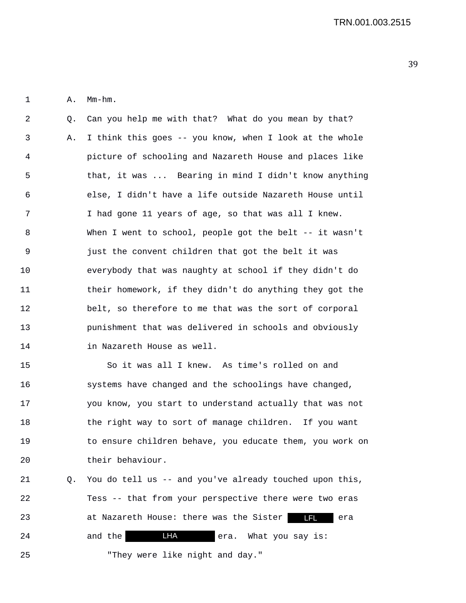1 A. Mm-hm.

2 Q. Can you help me with that? What do you mean by that? 3 A. I think this goes -- you know, when I look at the whole 4 picture of schooling and Nazareth House and places like 5 that, it was ... Bearing in mind I didn't know anything 6 else, I didn't have a life outside Nazareth House until 7 I had gone 11 years of age, so that was all I knew. 8 When I went to school, people got the belt -- it wasn't 9 just the convent children that got the belt it was 10 everybody that was naughty at school if they didn't do 11 their homework, if they didn't do anything they got the 12 belt, so therefore to me that was the sort of corporal 13 punishment that was delivered in schools and obviously 14 in Nazareth House as well.

15 So it was all I knew. As time's rolled on and 16 systems have changed and the schoolings have changed, 17 you know, you start to understand actually that was not 18 the right way to sort of manage children. If you want 19 to ensure children behave, you educate them, you work on 20 their behaviour.

21 Q. You do tell us -- and you've already touched upon this, 22 Tess -- that from your perspective there were two eras 23 at Nazareth House: there was the Sister era LFL24 and the **LHA** era. What you say is: 25 "They were like night and day." LHA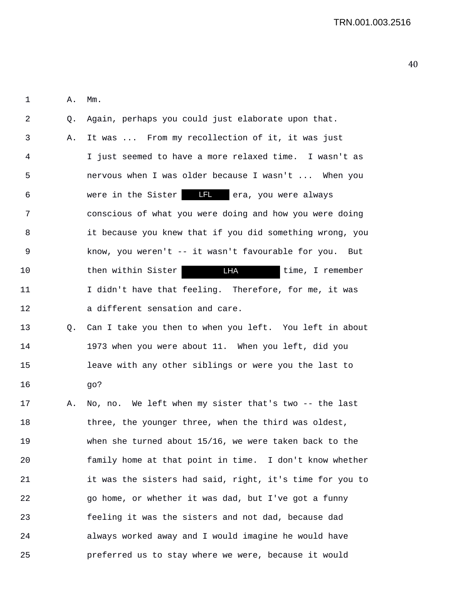1 A. Mm.

2 Q. Again, perhaps you could just elaborate upon that. 3 A. It was ... From my recollection of it, it was just 4 I just seemed to have a more relaxed time. I wasn't as 5 nervous when I was older because I wasn't ... When you 6 6 Were in the Sister **IFL** era, you were always 7 conscious of what you were doing and how you were doing 8 it because you knew that if you did something wrong, you 9 know, you weren't -- it wasn't favourable for you. But 10 then within Sister **LHA** time, I remember 11 I didn't have that feeling. Therefore, for me, it was 12 a different sensation and care. LHA

13 0. Can I take you then to when you left. You left in about 14 1973 when you were about 11. When you left, did you 15 leave with any other siblings or were you the last to 16 go?

17 A. No, no. We left when my sister that's two -- the last 18 three, the younger three, when the third was oldest, 19 when she turned about 15/16, we were taken back to the 20 family home at that point in time. I don't know whether 21 it was the sisters had said, right, it's time for you to 22 go home, or whether it was dad, but I've got a funny 23 feeling it was the sisters and not dad, because dad 24 always worked away and I would imagine he would have 25 preferred us to stay where we were, because it would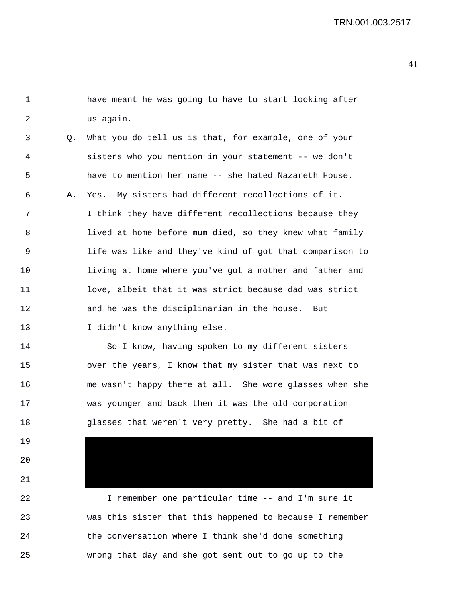1 have meant he was going to have to start looking after 2 us again. 3 Q. What you do tell us is that, for example, one of your 4 sisters who you mention in your statement -- we don't 5 have to mention her name -- she hated Nazareth House. 6 A. Yes. My sisters had different recollections of it. 7 I think they have different recollections because they 8 lived at home before mum died, so they knew what family 9 life was like and they've kind of got that comparison to 10 living at home where you've got a mother and father and 11 love, albeit that it was strict because dad was strict 12 and he was the disciplinarian in the house. But 13 I didn't know anything else. 14 So I know, having spoken to my different sisters

15 over the years, I know that my sister that was next to 16 me wasn't happy there at all. She wore glasses when she 17 was younger and back then it was the old corporation 18 glasses that weren't very pretty. She had a bit of

19

20

21

22 I remember one particular time -- and I'm sure it 23 was this sister that this happened to because I remember 24 the conversation where I think she'd done something 25 wrong that day and she got sent out to go up to the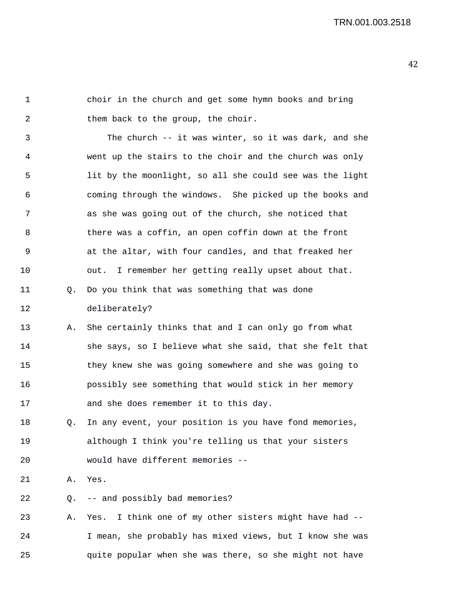1 choir in the church and get some hymn books and bring 2 them back to the group, the choir.

3 The church -- it was winter, so it was dark, and she 4 went up the stairs to the choir and the church was only 5 lit by the moonlight, so all she could see was the light 6 coming through the windows. She picked up the books and 7 as she was going out of the church, she noticed that 8 there was a coffin, an open coffin down at the front 9 at the altar, with four candles, and that freaked her 10 out. I remember her getting really upset about that. 11 Q. Do you think that was something that was done 12 deliberately?

- 13 A. She certainly thinks that and I can only go from what 14 she says, so I believe what she said, that she felt that 15 they knew she was going somewhere and she was going to 16 possibly see something that would stick in her memory 17 and she does remember it to this day.
- 18 Q. In any event, your position is you have fond memories, 19 although I think you're telling us that your sisters 20 would have different memories --

21 A. Yes.

22 Q. -- and possibly bad memories?

23 A. Yes. I think one of my other sisters might have had -- 24 I mean, she probably has mixed views, but I know she was 25 quite popular when she was there, so she might not have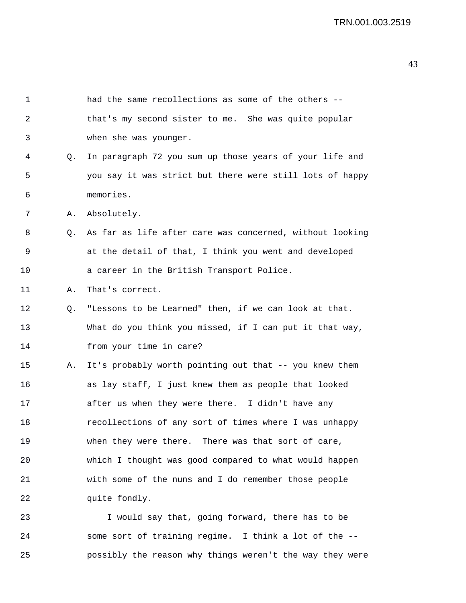| $\mathbf 1$ |    | had the same recollections as some of the others --      |
|-------------|----|----------------------------------------------------------|
| 2           |    | that's my second sister to me. She was quite popular     |
| 3           |    | when she was younger.                                    |
| 4           | Q. | In paragraph 72 you sum up those years of your life and  |
| 5           |    | you say it was strict but there were still lots of happy |
| 6           |    | memories.                                                |
| 7           | Α. | Absolutely.                                              |
| 8           | O. | As far as life after care was concerned, without looking |
| 9           |    | at the detail of that, I think you went and developed    |
| 10          |    | a career in the British Transport Police.                |
| 11          | Α. | That's correct.                                          |
| 12          | Q. | "Lessons to be Learned" then, if we can look at that.    |
| 13          |    | What do you think you missed, if I can put it that way,  |
| 14          |    | from your time in care?                                  |
| 15          | Α. | It's probably worth pointing out that -- you knew them   |
| 16          |    | as lay staff, I just knew them as people that looked     |
| 17          |    | after us when they were there. I didn't have any         |
| 18          |    | recollections of any sort of times where I was unhappy   |
| 19          |    | when they were there. There was that sort of care,       |
| 20          |    | which I thought was good compared to what would happen   |
| 21          |    | with some of the nuns and I do remember those people     |
| 22          |    | quite fondly.                                            |
| 23          |    | I would say that, going forward, there has to be         |

24 some sort of training regime. I think a lot of the -- 25 possibly the reason why things weren't the way they were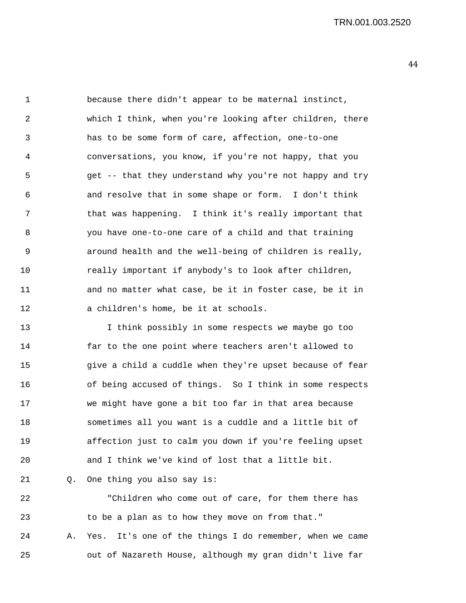TRN.001.003.2520

1 because there didn't appear to be maternal instinct, 2 which I think, when you're looking after children, there 3 has to be some form of care, affection, one-to-one 4 conversations, you know, if you're not happy, that you 5 get -- that they understand why you're not happy and try 6 and resolve that in some shape or form. I don't think 7 that was happening. I think it's really important that 8 you have one-to-one care of a child and that training 9 around health and the well-being of children is really, 10 really important if anybody's to look after children, 11 and no matter what case, be it in foster case, be it in 12 a children's home, be it at schools.

13 I think possibly in some respects we maybe go too 14 far to the one point where teachers aren't allowed to 15 give a child a cuddle when they're upset because of fear 16 of being accused of things. So I think in some respects 17 we might have gone a bit too far in that area because 18 sometimes all you want is a cuddle and a little bit of 19 affection just to calm you down if you're feeling upset 20 and I think we've kind of lost that a little bit.

21 Q. One thing you also say is:

22 "Children who come out of care, for them there has 23 to be a plan as to how they move on from that." 24 A. Yes. It's one of the things I do remember, when we came 25 out of Nazareth House, although my gran didn't live far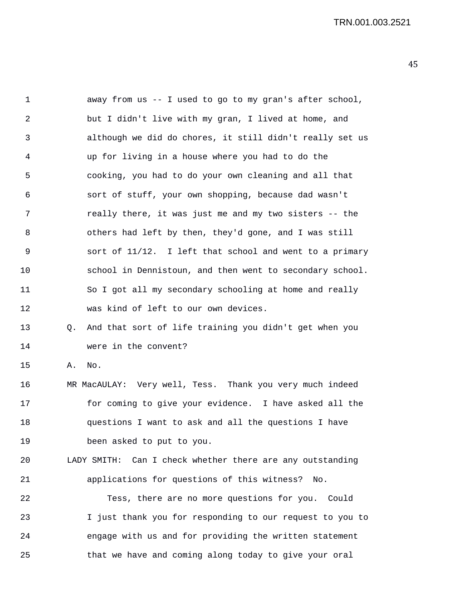| ٠<br>÷<br>I<br>۰.<br>M. |
|-------------------------|
|-------------------------|

| $\mathbf 1$    |           | away from us -- I used to go to my gran's after school,      |
|----------------|-----------|--------------------------------------------------------------|
| $\overline{2}$ |           | but I didn't live with my gran, I lived at home, and         |
| 3              |           | although we did do chores, it still didn't really set us     |
| 4              |           | up for living in a house where you had to do the             |
| 5              |           | cooking, you had to do your own cleaning and all that        |
| 6              |           | sort of stuff, your own shopping, because dad wasn't         |
| 7              |           | really there, it was just me and my two sisters -- the       |
| 8              |           | others had left by then, they'd gone, and I was still        |
| 9              |           | sort of 11/12. I left that school and went to a primary      |
| 10             |           | school in Dennistoun, and then went to secondary school.     |
| 11             |           | So I got all my secondary schooling at home and really       |
| 12             |           | was kind of left to our own devices.                         |
| 13             | $\circ$ . | And that sort of life training you didn't get when you       |
| 14             |           | were in the convent?                                         |
| 15             | Α.        | No.                                                          |
| 16             |           | MR MacAULAY: Very well, Tess. Thank you very much indeed     |
| 17             |           | for coming to give your evidence. I have asked all the       |
| 18             |           | questions I want to ask and all the questions I have         |
| 19             |           | been asked to put to you.                                    |
| 20             |           | LADY SMITH:<br>Can I check whether there are any outstanding |
| 21             |           | applications for questions of this witness?<br>No.           |
| 22             |           | Tess, there are no more questions for you. Could             |
| 23             |           | I just thank you for responding to our request to you to     |
| 24             |           | engage with us and for providing the written statement       |
| 25             |           | that we have and coming along today to give your oral        |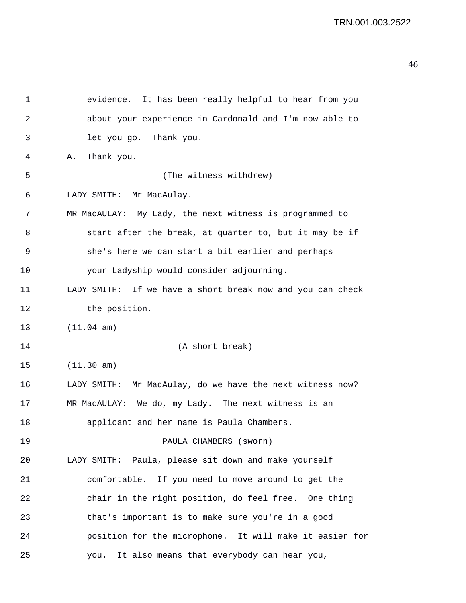| 1            | It has been really helpful to hear from you<br>evidence.     |
|--------------|--------------------------------------------------------------|
| 2            | about your experience in Cardonald and I'm now able to       |
| $\mathbf{3}$ | let you go. Thank you.                                       |
| 4            | Thank you.<br>Α.                                             |
| 5            | (The witness withdrew)                                       |
| 6            | LADY SMITH: Mr MacAulay.                                     |
| 7            | MR MacAULAY: My Lady, the next witness is programmed to      |
| 8            | start after the break, at quarter to, but it may be if       |
| 9            | she's here we can start a bit earlier and perhaps            |
| 10           | your Ladyship would consider adjourning.                     |
| 11           | LADY SMITH: If we have a short break now and you can check   |
| 12           | the position.                                                |
| 13           | (11.04 am)                                                   |
| 14           | (A short break)                                              |
| 15           | (11.30 am)                                                   |
| 16           | Mr MacAulay, do we have the next witness now?<br>LADY SMITH: |
| 17           | MR MacAULAY: We do, my Lady. The next witness is an          |
| 18           | applicant and her name is Paula Chambers.                    |
| 19           | PAULA CHAMBERS (sworn)                                       |
| 20           | LADY SMITH: Paula, please sit down and make yourself         |
| 21           | comfortable. If you need to move around to get the           |
| 22           | chair in the right position, do feel free. One thing         |
| 23           | that's important is to make sure you're in a good            |
| 24           | position for the microphone. It will make it easier for      |
| 25           | you. It also means that everybody can hear you,              |
|              |                                                              |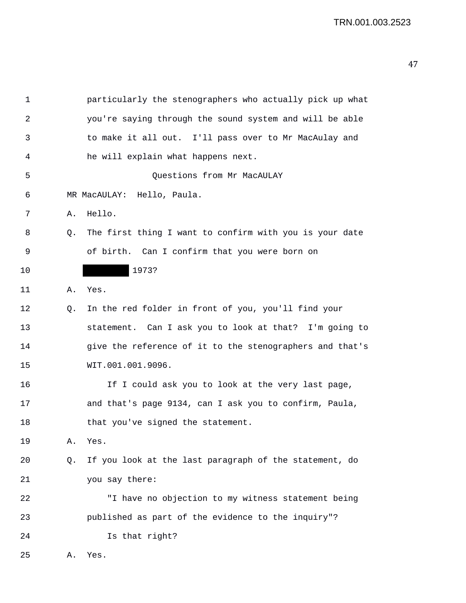| 1  |    | particularly the stenographers who actually pick up what |
|----|----|----------------------------------------------------------|
| 2  |    | you're saying through the sound system and will be able  |
| 3  |    | to make it all out. I'll pass over to Mr MacAulay and    |
| 4  |    | he will explain what happens next.                       |
| 5  |    | Questions from Mr MacAULAY                               |
| 6  |    | MR MacAULAY: Hello, Paula.                               |
| 7  | Α. | Hello.                                                   |
| 8  | O. | The first thing I want to confirm with you is your date  |
| 9  |    | of birth. Can I confirm that you were born on            |
| 10 |    | 1973?                                                    |
| 11 | Α. | Yes.                                                     |
| 12 | O. | In the red folder in front of you, you'll find your      |
| 13 |    | statement. Can I ask you to look at that? I'm going to   |
| 14 |    | give the reference of it to the stenographers and that's |
| 15 |    | WIT.001.001.9096.                                        |
| 16 |    | If I could ask you to look at the very last page,        |
| 17 |    | and that's page 9134, can I ask you to confirm, Paula,   |
| 18 |    | that you've signed the statement.                        |
| 19 | Α. | Yes.                                                     |
| 20 | Q. | If you look at the last paragraph of the statement, do   |
| 21 |    | you say there:                                           |
| 22 |    | "I have no objection to my witness statement being       |
| 23 |    | published as part of the evidence to the inquiry"?       |
| 24 |    | Is that right?                                           |
| 25 | Α. | Yes.                                                     |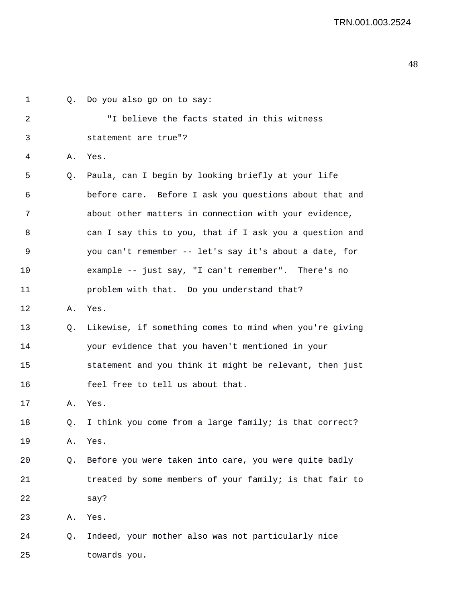| 1  | Q. | Do you also go on to say:                               |
|----|----|---------------------------------------------------------|
| 2  |    | "I believe the facts stated in this witness             |
| 3  |    | statement are true"?                                    |
| 4  | Α. | Yes.                                                    |
| 5  | Q. | Paula, can I begin by looking briefly at your life      |
| 6  |    | before care. Before I ask you questions about that and  |
| 7  |    | about other matters in connection with your evidence,   |
| 8  |    | can I say this to you, that if I ask you a question and |
| 9  |    | you can't remember -- let's say it's about a date, for  |
| 10 |    | example -- just say, "I can't remember". There's no     |
| 11 |    | problem with that. Do you understand that?              |
| 12 | Α. | Yes.                                                    |
| 13 | Q. | Likewise, if something comes to mind when you're giving |
| 14 |    | your evidence that you haven't mentioned in your        |
| 15 |    | statement and you think it might be relevant, then just |
| 16 |    | feel free to tell us about that.                        |
| 17 | Α. | Yes.                                                    |
| 18 | Q. | I think you come from a large family; is that correct?  |
| 19 | Α. | Yes.                                                    |
| 20 | Q. | Before you were taken into care, you were quite badly   |
| 21 |    | treated by some members of your family; is that fair to |
| 22 |    | say?                                                    |
| 23 | Α. | Yes.                                                    |
| 24 | Q. | Indeed, your mother also was not particularly nice      |
| 25 |    | towards you.                                            |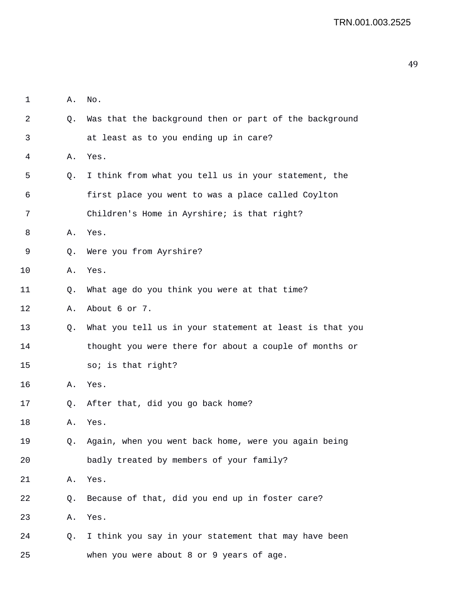| $\mathbf 1$ | Α. | No.                                                     |
|-------------|----|---------------------------------------------------------|
| 2           | Q. | Was that the background then or part of the background  |
| 3           |    | at least as to you ending up in care?                   |
| 4           | Α. | Yes.                                                    |
| 5           | Q. | I think from what you tell us in your statement, the    |
| 6           |    | first place you went to was a place called Coylton      |
| 7           |    | Children's Home in Ayrshire; is that right?             |
| 8           | Α. | Yes.                                                    |
| 9           | Q. | Were you from Ayrshire?                                 |
| 10          | Α. | Yes.                                                    |
| 11          | Q. | What age do you think you were at that time?            |
| 12          | Α. | About 6 or 7.                                           |
| 13          | Q. | What you tell us in your statement at least is that you |
| 14          |    | thought you were there for about a couple of months or  |
| 15          |    | so; is that right?                                      |
| 16          | Α. | Yes.                                                    |
| 17          | Q. | After that, did you go back home?                       |
| 18          | Α. | Yes.                                                    |
| 19          | Q. | Again, when you went back home, were you again being    |
| 20          |    | badly treated by members of your family?                |
| 21          | Α. | Yes.                                                    |
| 22          | Q. | Because of that, did you end up in foster care?         |
| 23          | Α. | Yes.                                                    |
| 24          | Q. | I think you say in your statement that may have been    |
| 25          |    | when you were about 8 or 9 years of age.                |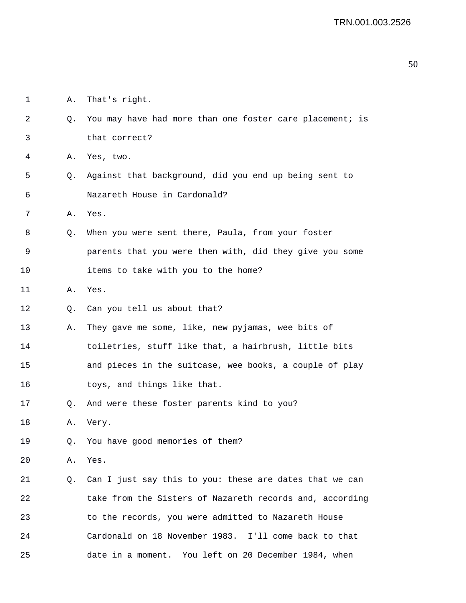| $\mathbf 1$ | Α. | That's right.                                            |
|-------------|----|----------------------------------------------------------|
| 2           | Q. | You may have had more than one foster care placement; is |
| 3           |    | that correct?                                            |
| 4           | Α. | Yes, two.                                                |
| 5           | Q. | Against that background, did you end up being sent to    |
| 6           |    | Nazareth House in Cardonald?                             |
| 7           | Α. | Yes.                                                     |
| 8           | Q. | When you were sent there, Paula, from your foster        |
| 9           |    | parents that you were then with, did they give you some  |
| 10          |    | items to take with you to the home?                      |
| 11          | Α. | Yes.                                                     |
| 12          | Q. | Can you tell us about that?                              |
| 13          | Α. | They gave me some, like, new pyjamas, wee bits of        |
| 14          |    | toiletries, stuff like that, a hairbrush, little bits    |
| 15          |    | and pieces in the suitcase, wee books, a couple of play  |
| 16          |    | toys, and things like that.                              |
| 17          | Q. | And were these foster parents kind to you?               |
| 18          | Α. | Very.                                                    |
| 19          | Q. | You have good memories of them?                          |
| 20          | Α. | Yes.                                                     |
| 21          | Q. | Can I just say this to you: these are dates that we can  |
| 22          |    | take from the Sisters of Nazareth records and, according |
| 23          |    | to the records, you were admitted to Nazareth House      |
| 24          |    | Cardonald on 18 November 1983. I'll come back to that    |
| 25          |    | date in a moment. You left on 20 December 1984, when     |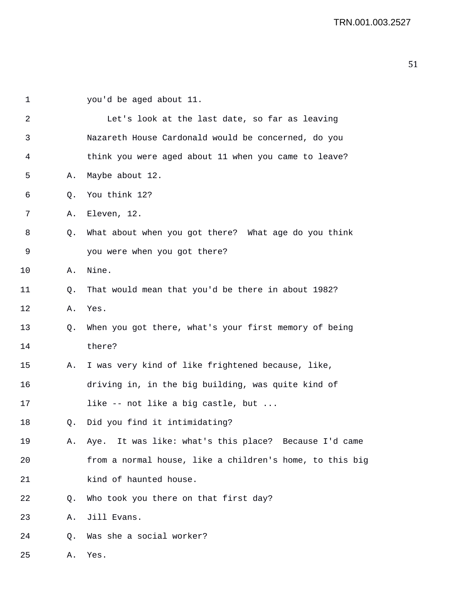| 1              |    | you'd be aged about 11.                                  |
|----------------|----|----------------------------------------------------------|
| $\sqrt{2}$     |    | Let's look at the last date, so far as leaving           |
| $\mathfrak{Z}$ |    | Nazareth House Cardonald would be concerned, do you      |
| 4              |    | think you were aged about 11 when you came to leave?     |
| 5              | Α. | Maybe about 12.                                          |
| 6              | Q. | You think 12?                                            |
| 7              | Α. | Eleven, 12.                                              |
| 8              | Q. | What about when you got there? What age do you think     |
| 9              |    | you were when you got there?                             |
| 10             | Α. | Nine.                                                    |
| 11             | Q. | That would mean that you'd be there in about 1982?       |
| 12             | Α. | Yes.                                                     |
| 13             | Q. | When you got there, what's your first memory of being    |
| 14             |    | there?                                                   |
| 15             | Α. | I was very kind of like frightened because, like,        |
| 16             |    | driving in, in the big building, was quite kind of       |
| 17             |    | like -- not like a big castle, but                       |
| 18             | Q. | Did you find it intimidating?                            |
| 19             | Α. | Aye. It was like: what's this place? Because I'd came    |
| 20             |    | from a normal house, like a children's home, to this big |
| 21             |    | kind of haunted house.                                   |
| 22             | Q. | Who took you there on that first day?                    |
| 23             | Α. | Jill Evans.                                              |
| 24             | Q. | Was she a social worker?                                 |
| 25             | Α. | Yes.                                                     |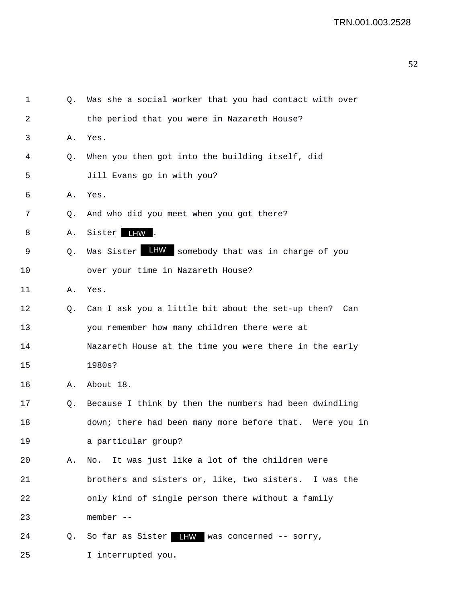| 1  | Q. | Was she a social worker that you had contact with over  |
|----|----|---------------------------------------------------------|
| 2  |    | the period that you were in Nazareth House?             |
| 3  | Α. | Yes.                                                    |
| 4  | Q. | When you then got into the building itself, did         |
| 5  |    | Jill Evans go in with you?                              |
| 6  | Α. | Yes.                                                    |
| 7  | Q. | And who did you meet when you got there?                |
| 8  | Α. | LHW .<br>Sister                                         |
| 9  | Q. | LHW somebody that was in charge of you<br>Was Sister    |
| 10 |    | over your time in Nazareth House?                       |
| 11 | Α. | Yes.                                                    |
| 12 | O. | Can I ask you a little bit about the set-up then? Can   |
| 13 |    | you remember how many children there were at            |
| 14 |    | Nazareth House at the time you were there in the early  |
| 15 |    | 1980s?                                                  |
| 16 | Α. | About 18.                                               |
| 17 | Q. | Because I think by then the numbers had been dwindling  |
| 18 |    | down; there had been many more before that. Were you in |
| 19 |    | a particular group?                                     |
| 20 | Α. | It was just like a lot of the children were<br>No.      |
| 21 |    | brothers and sisters or, like, two sisters. I was the   |
| 22 |    | only kind of single person there without a family       |
| 23 |    | member --                                               |
| 24 |    | Q. So far as Sister LIW was concerned -- sorry,         |
| 25 |    | I interrupted you.                                      |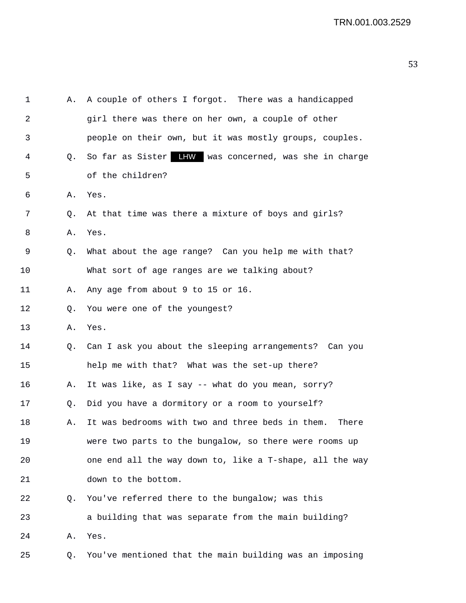| 1  | Α.             | A couple of others I forgot. There was a handicapped      |
|----|----------------|-----------------------------------------------------------|
| 2  |                | girl there was there on her own, a couple of other        |
| 3  |                | people on their own, but it was mostly groups, couples.   |
| 4  | O.             | So far as Sister LHW was concerned, was she in charge     |
| 5  |                | of the children?                                          |
| 6  | Α.             | Yes.                                                      |
| 7  | Q.             | At that time was there a mixture of boys and girls?       |
| 8  | Α.             | Yes.                                                      |
| 9  | Q.             | What about the age range? Can you help me with that?      |
| 10 |                | What sort of age ranges are we talking about?             |
| 11 | Α.             | Any age from about 9 to 15 or 16.                         |
| 12 | Q.             | You were one of the youngest?                             |
| 13 | Α.             | Yes.                                                      |
| 14 | Q.             | Can I ask you about the sleeping arrangements? Can you    |
| 15 |                | help me with that? What was the set-up there?             |
| 16 | Α.             | It was like, as I say -- what do you mean, sorry?         |
| 17 | Q.             | Did you have a dormitory or a room to yourself?           |
| 18 | Α.             | It was bedrooms with two and three beds in them.<br>There |
| 19 |                | were two parts to the bungalow, so there were rooms up    |
| 20 |                | one end all the way down to, like a T-shape, all the way  |
| 21 |                | down to the bottom.                                       |
| 22 | Q <sub>z</sub> | You've referred there to the bungalow; was this           |
| 23 |                | a building that was separate from the main building?      |
| 24 | Α.             | Yes.                                                      |
| 25 | Q.             | You've mentioned that the main building was an imposing   |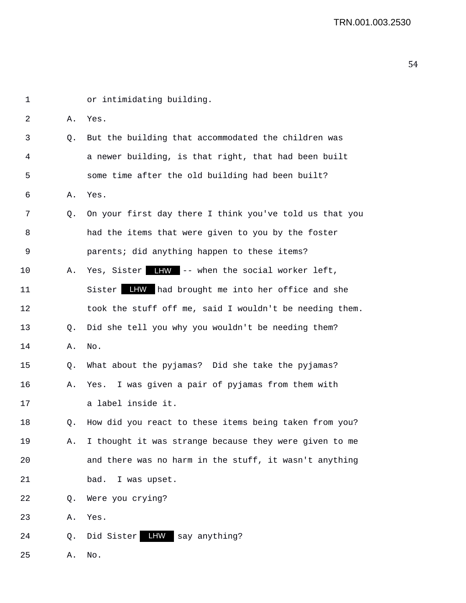| $\mathbf 1$ |           | or intimidating building.                                   |
|-------------|-----------|-------------------------------------------------------------|
| 2           | Α.        | Yes.                                                        |
| 3           | Q.        | But the building that accommodated the children was         |
| 4           |           | a newer building, is that right, that had been built        |
| 5           |           | some time after the old building had been built?            |
| 6           | Α.        | Yes.                                                        |
| 7           | Q.        | On your first day there I think you've told us that you     |
| 8           |           | had the items that were given to you by the foster          |
| 9           |           | parents; did anything happen to these items?                |
| 10          | Α.        | Yes, Sister LHW -- when the social worker left,             |
| 11          |           | <b>LHW</b> had brought me into her office and she<br>Sister |
| 12          |           | took the stuff off me, said I wouldn't be needing them.     |
| 13          | $\circ$ . | Did she tell you why you wouldn't be needing them?          |
| 14          | Α.        | No.                                                         |
| 15          | Q.        | What about the pyjamas? Did she take the pyjamas?           |
| 16          | Α.        | Yes. I was given a pair of pyjamas from them with           |
| 17          |           | a label inside it.                                          |
| 18          | Q.        | How did you react to these items being taken from you?      |
| 19          | Α.        | I thought it was strange because they were given to me      |
| 20          |           | and there was no harm in the stuff, it wasn't anything      |
| 21          |           | bad.<br>I was upset.                                        |
| 22          | Q.        | Were you crying?                                            |
| 23          | Α.        | Yes.                                                        |
| 24          | Q.        | LHW<br>Did Sister<br>say anything?                          |
| 25          | Α.        | No.                                                         |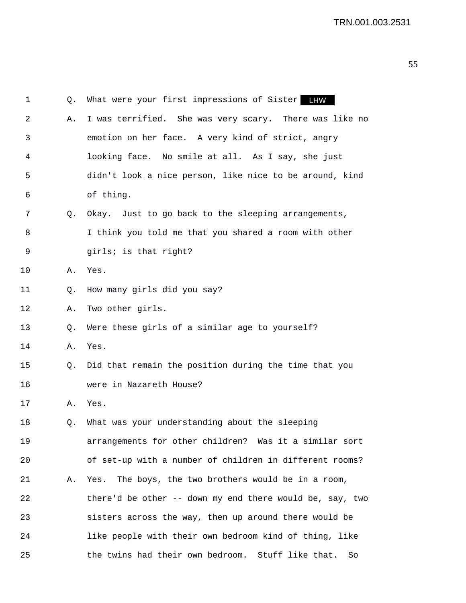| $\mathbf 1$ | Q. | What were your first impressions of Sister LHW           |
|-------------|----|----------------------------------------------------------|
| 2           | Α. | I was terrified. She was very scary. There was like no   |
| 3           |    | emotion on her face. A very kind of strict, angry        |
| 4           |    | looking face. No smile at all. As I say, she just        |
| 5           |    | didn't look a nice person, like nice to be around, kind  |
| 6           |    | of thing.                                                |
| 7           | Q. | Okay. Just to go back to the sleeping arrangements,      |
| 8           |    | I think you told me that you shared a room with other    |
| 9           |    | girls; is that right?                                    |
| 10          | Α. | Yes.                                                     |
| 11          | Q. | How many girls did you say?                              |
| 12          | Α. | Two other girls.                                         |
| 13          | Q. | Were these girls of a similar age to yourself?           |
| 14          | Α. | Yes.                                                     |
| 15          | Q. | Did that remain the position during the time that you    |
| 16          |    | were in Nazareth House?                                  |
| 17          | Α. | Yes.                                                     |
| 18          | Q. | What was your understanding about the sleeping           |
| 19          |    | arrangements for other children? Was it a similar sort   |
| 20          |    | of set-up with a number of children in different rooms?  |
| 21          | Α. | The boys, the two brothers would be in a room,<br>Yes.   |
| 22          |    | there'd be other -- down my end there would be, say, two |
| 23          |    | sisters across the way, then up around there would be    |
| 24          |    | like people with their own bedroom kind of thing, like   |
| 25          |    | the twins had their own bedroom. Stuff like that.<br>So  |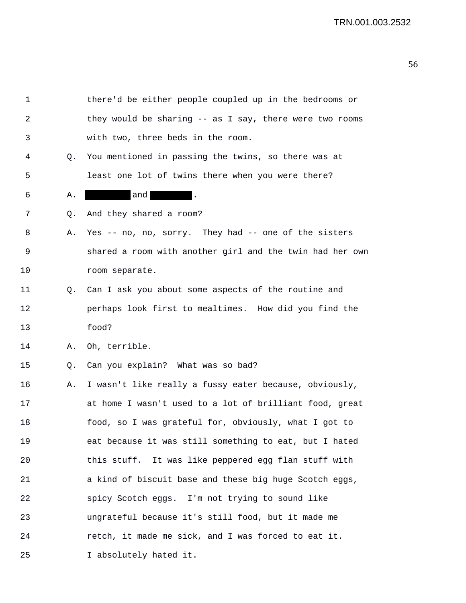| $\mathbf 1$ |    | there'd be either people coupled up in the bedrooms or   |
|-------------|----|----------------------------------------------------------|
| 2           |    | they would be sharing -- as I say, there were two rooms  |
| 3           |    | with two, three beds in the room.                        |
| 4           | Q. | You mentioned in passing the twins, so there was at      |
| 5           |    | least one lot of twins there when you were there?        |
| 6           | Α. | and                                                      |
| 7           | Q. | And they shared a room?                                  |
| 8           | Α. | Yes -- no, no, sorry. They had -- one of the sisters     |
| 9           |    | shared a room with another girl and the twin had her own |
| 10          |    | room separate.                                           |
| 11          | Q. | Can I ask you about some aspects of the routine and      |
| 12          |    | perhaps look first to mealtimes. How did you find the    |
| 13          |    | food?                                                    |
| 14          | Α. | Oh, terrible.                                            |
| 15          | Q. | Can you explain? What was so bad?                        |
| 16          | Α. | I wasn't like really a fussy eater because, obviously,   |
| 17          |    | at home I wasn't used to a lot of brilliant food, great  |
| 18          |    | food, so I was grateful for, obviously, what I got to    |
| 19          |    | eat because it was still something to eat, but I hated   |
| 20          |    | this stuff.<br>It was like peppered egg flan stuff with  |
| 21          |    | a kind of biscuit base and these big huge Scotch eggs,   |
| 22          |    | spicy Scotch eggs. I'm not trying to sound like          |
| 23          |    | ungrateful because it's still food, but it made me       |
| 24          |    | retch, it made me sick, and I was forced to eat it.      |
| 25          |    | I absolutely hated it.                                   |
|             |    |                                                          |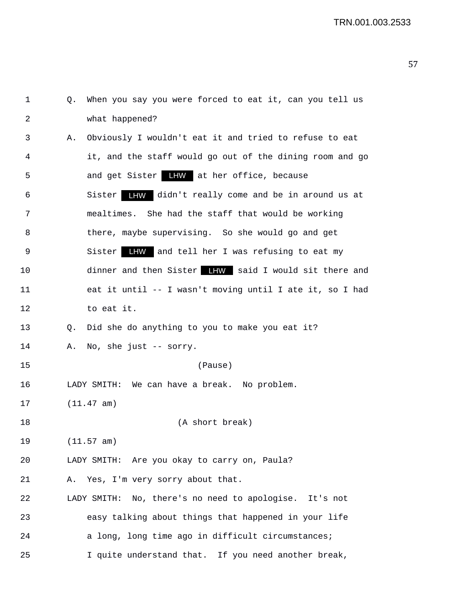| 1           | Q. | When you say you were forced to eat it, can you tell us  |
|-------------|----|----------------------------------------------------------|
| 2           |    | what happened?                                           |
| 3           | Α. | Obviously I wouldn't eat it and tried to refuse to eat   |
| 4           |    | it, and the staff would go out of the dining room and go |
| 5           |    | and get Sister LHW at her office, because                |
| 6           |    | LHW didn't really come and be in around us at<br>Sister  |
| 7           |    | mealtimes. She had the staff that would be working       |
| 8           |    | there, maybe supervising. So she would go and get        |
| $\mathsf 9$ |    | LHW and tell her I was refusing to eat my<br>Sister      |
| 10          |    | dinner and then Sister ITW said I would sit there and    |
| 11          |    | eat it until -- I wasn't moving until I ate it, so I had |
| 12          |    | to eat it.                                               |
| 13          | Q. | Did she do anything to you to make you eat it?           |
| 14          | Α. | No, she just -- sorry.                                   |
| 15          |    | (Pause)                                                  |
| 16          |    | LADY SMITH: We can have a break. No problem.             |
| 17          |    | (11.47 am)                                               |
| 18          |    | (A short break)                                          |
| 19          |    | (11.57 am)                                               |
| 20          |    | LADY SMITH: Are you okay to carry on, Paula?             |
| 21          | Α. | Yes, I'm very sorry about that.                          |
| 22          |    | LADY SMITH: No, there's no need to apologise. It's not   |
| 23          |    | easy talking about things that happened in your life     |
| 24          |    | a long, long time ago in difficult circumstances;        |
| 25          |    | I quite understand that. If you need another break,      |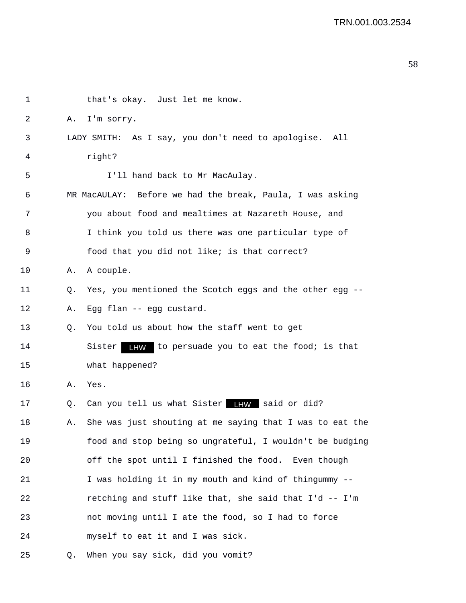| 1  |                | that's okay. Just let me know.                            |
|----|----------------|-----------------------------------------------------------|
| 2  | Α.             | I'm sorry.                                                |
| 3  |                | As I say, you don't need to apologise. All<br>LADY SMITH: |
| 4  |                | right?                                                    |
| 5  |                | I'll hand back to Mr MacAulay.                            |
| 6  |                | MR MacAULAY: Before we had the break, Paula, I was asking |
| 7  |                | you about food and mealtimes at Nazareth House, and       |
| 8  |                | I think you told us there was one particular type of      |
| 9  |                | food that you did not like; is that correct?              |
| 10 | Α.             | A couple.                                                 |
| 11 | Q.             | Yes, you mentioned the Scotch eggs and the other egg --   |
| 12 | Α.             | Egg flan -- egg custard.                                  |
| 13 | Q <sub>z</sub> | You told us about how the staff went to get               |
| 14 |                | LHW to persuade you to eat the food; is that<br>Sister    |
| 15 |                | what happened?                                            |
| 16 | Α.             | Yes.                                                      |
| 17 | Q.             | Can you tell us what Sister IIW said or did?              |
| 18 | Α.             | She was just shouting at me saying that I was to eat the  |
| 19 |                | food and stop being so ungrateful, I wouldn't be budging  |
| 20 |                | off the spot until I finished the food. Even though       |
| 21 |                | I was holding it in my mouth and kind of thingummy --     |
| 22 |                | retching and stuff like that, she said that I'd -- I'm    |
| 23 |                | not moving until I ate the food, so I had to force        |
| 24 |                | myself to eat it and I was sick.                          |
| 25 | $Q_{\star}$    | When you say sick, did you vomit?                         |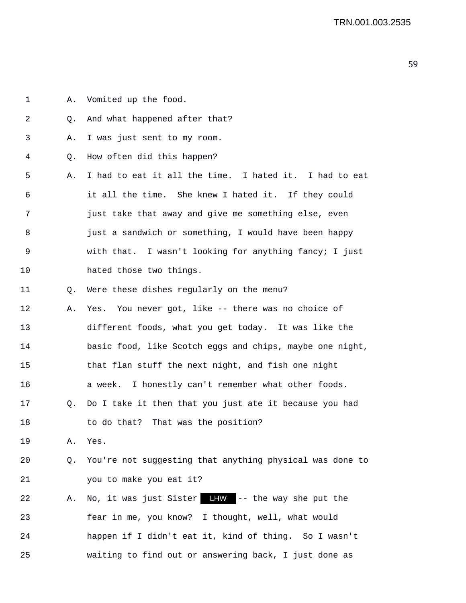| 1  | Α. | Vomited up the food.                                           |
|----|----|----------------------------------------------------------------|
| 2  | Q. | And what happened after that?                                  |
| 3  | Α. | I was just sent to my room.                                    |
| 4  | Q. | How often did this happen?                                     |
| 5  | Α. | I had to eat it all the time. I hated it. I had to eat         |
| 6  |    | it all the time. She knew I hated it. If they could            |
| 7  |    | just take that away and give me something else, even           |
| 8  |    | just a sandwich or something, I would have been happy          |
| 9  |    | with that. I wasn't looking for anything fancy; I just         |
| 10 |    | hated those two things.                                        |
| 11 | Q. | Were these dishes regularly on the menu?                       |
| 12 | Α. | You never got, like -- there was no choice of<br>Yes.          |
| 13 |    | different foods, what you get today. It was like the           |
| 14 |    | basic food, like Scotch eggs and chips, maybe one night,       |
| 15 |    | that flan stuff the next night, and fish one night             |
| 16 |    | I honestly can't remember what other foods.<br>a week.         |
| 17 | Q. | Do I take it then that you just ate it because you had         |
| 18 |    | to do that?<br>That was the position?                          |
| 19 | Α. | Yes.                                                           |
| 20 | Q. | You're not suggesting that anything physical was done to       |
| 21 |    | you to make you eat it?                                        |
| 22 | Α. | No, it was just Sister<br>-- the way she put the<br><b>LHW</b> |

23 fear in me, you know? I thought, well, what would 24 happen if I didn't eat it, kind of thing. So I wasn't 25 waiting to find out or answering back, I just done as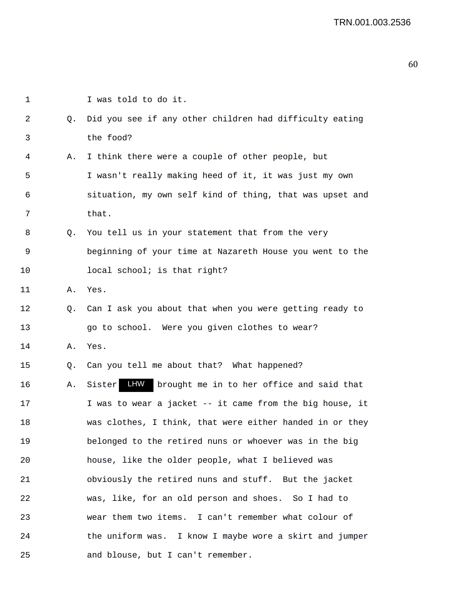| 1  |    | I was told to do it.                                       |
|----|----|------------------------------------------------------------|
| 2  | 0. | Did you see if any other children had difficulty eating    |
| 3  |    | the food?                                                  |
| 4  | Α. | I think there were a couple of other people, but           |
| 5  |    | I wasn't really making heed of it, it was just my own      |
| 6  |    | situation, my own self kind of thing, that was upset and   |
| 7  |    | that.                                                      |
| 8  | Q. | You tell us in your statement that from the very           |
| 9  |    | beginning of your time at Nazareth House you went to the   |
| 10 |    | local school; is that right?                               |
| 11 | Α. | Yes.                                                       |
| 12 | Q. | Can I ask you about that when you were getting ready to    |
| 13 |    | go to school. Were you given clothes to wear?              |
| 14 | Α. | Yes.                                                       |
| 15 | Q. | Can you tell me about that? What happened?                 |
| 16 | Α. | LHW<br>brought me in to her office and said that<br>Sister |
| 17 |    | I was to wear a jacket -- it came from the big house, it   |
| 18 |    | was clothes, I think, that were either handed in or they   |
| 19 |    | belonged to the retired nuns or whoever was in the big     |
| 20 |    | house, like the older people, what I believed was          |
| 21 |    | obviously the retired nuns and stuff. But the jacket       |
| 22 |    | was, like, for an old person and shoes. So I had to        |
| 23 |    | wear them two items. I can't remember what colour of       |
| 24 |    | the uniform was. I know I maybe wore a skirt and jumper    |
| 25 |    | and blouse, but I can't remember.                          |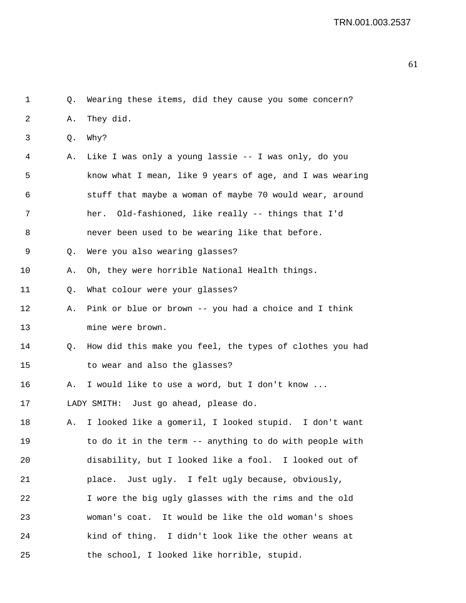| 1  | Q. | Wearing these items, did they cause you some concern?    |
|----|----|----------------------------------------------------------|
| 2  | Α. | They did.                                                |
| 3  | Q. | Why?                                                     |
| 4  | Α. | Like I was only a young lassie -- I was only, do you     |
| 5  |    | know what I mean, like 9 years of age, and I was wearing |
| 6  |    | stuff that maybe a woman of maybe 70 would wear, around  |
| 7  |    | Old-fashioned, like really -- things that I'd<br>her.    |
| 8  |    | never been used to be wearing like that before.          |
| 9  | O. | Were you also wearing glasses?                           |
| 10 | Α. | Oh, they were horrible National Health things.           |
| 11 | Q. | What colour were your glasses?                           |
| 12 | Α. | Pink or blue or brown -- you had a choice and I think    |
| 13 |    | mine were brown.                                         |
| 14 | Q. | How did this make you feel, the types of clothes you had |
| 15 |    | to wear and also the glasses?                            |
| 16 | Α. | I would like to use a word, but I don't know             |
| 17 |    | LADY SMITH: Just go ahead, please do.                    |
| 18 | Α. | I looked like a gomeril, I looked stupid. I don't want   |
| 19 |    | to do it in the term -- anything to do with people with  |
| 20 |    | disability, but I looked like a fool. I looked out of    |
| 21 |    | place. Just ugly. I felt ugly because, obviously,        |
| 22 |    | I wore the big ugly glasses with the rims and the old    |
| 23 |    | woman's coat. It would be like the old woman's shoes     |
| 24 |    | kind of thing. I didn't look like the other weans at     |
| 25 |    | the school, I looked like horrible, stupid.              |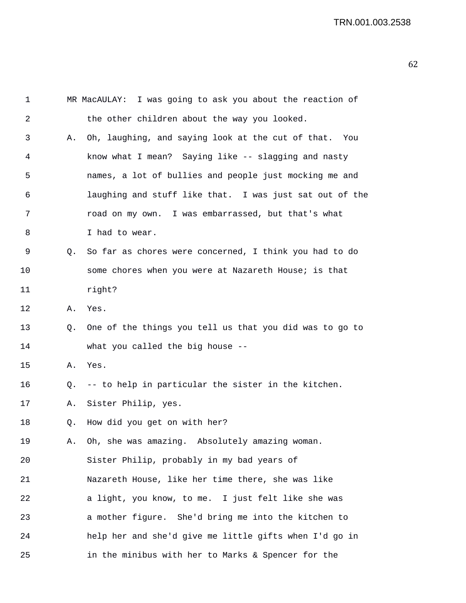| 1  |                | MR MacAULAY: I was going to ask you about the reaction of |
|----|----------------|-----------------------------------------------------------|
| 2  |                | the other children about the way you looked.              |
| 3  | Α.             | Oh, laughing, and saying look at the cut of that. You     |
| 4  |                | know what I mean? Saying like -- slagging and nasty       |
| 5  |                | names, a lot of bullies and people just mocking me and    |
| 6  |                | laughing and stuff like that. I was just sat out of the   |
| 7  |                | road on my own. I was embarrassed, but that's what        |
| 8  |                | I had to wear.                                            |
| 9  | 0.             | So far as chores were concerned, I think you had to do    |
| 10 |                | some chores when you were at Nazareth House; is that      |
| 11 |                | right?                                                    |
| 12 | Α.             | Yes.                                                      |
| 13 | Q.             | One of the things you tell us that you did was to go to   |
| 14 |                | what you called the big house --                          |
| 15 | Α.             | Yes.                                                      |
| 16 | Q <sub>z</sub> | -- to help in particular the sister in the kitchen.       |
| 17 | Α.             | Sister Philip, yes.                                       |
| 18 | O.             | How did you get on with her?                              |
| 19 | Α.             | Oh, she was amazing. Absolutely amazing woman.            |
| 20 |                | Sister Philip, probably in my bad years of                |
| 21 |                | Nazareth House, like her time there, she was like         |
| 22 |                | a light, you know, to me. I just felt like she was        |
| 23 |                | a mother figure. She'd bring me into the kitchen to       |
| 24 |                | help her and she'd give me little gifts when I'd go in    |
| 25 |                | in the minibus with her to Marks & Spencer for the        |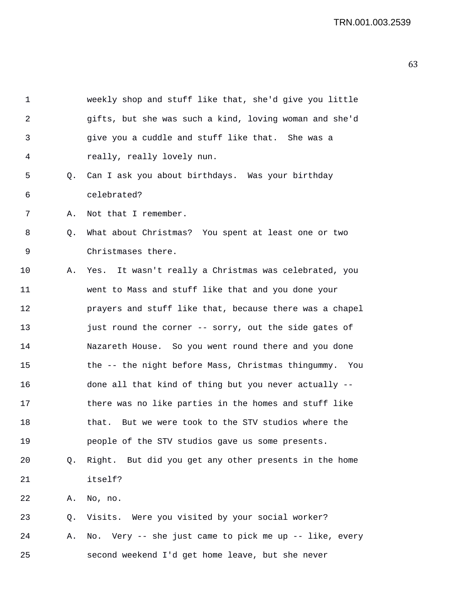| $\mathbf 1$ |    | weekly shop and stuff like that, she'd give you little  |
|-------------|----|---------------------------------------------------------|
| 2           |    | gifts, but she was such a kind, loving woman and she'd  |
| 3           |    | give you a cuddle and stuff like that. She was a        |
| 4           |    | really, really lovely nun.                              |
| 5           | О. | Can I ask you about birthdays. Was your birthday        |
| 6           |    | celebrated?                                             |
| 7           | Α. | Not that I remember.                                    |
| 8           | Q. | What about Christmas? You spent at least one or two     |
| 9           |    | Christmases there.                                      |
| 10          | Α. | Yes. It wasn't really a Christmas was celebrated, you   |
| 11          |    | went to Mass and stuff like that and you done your      |
| 12          |    | prayers and stuff like that, because there was a chapel |
| 13          |    | just round the corner -- sorry, out the side gates of   |
| 14          |    | Nazareth House. So you went round there and you done    |
| 15          |    | the -- the night before Mass, Christmas thingummy. You  |
| 16          |    | done all that kind of thing but you never actually --   |
| 17          |    | there was no like parties in the homes and stuff like   |
| 18          |    | But we were took to the STV studios where the<br>that.  |
| 19          |    | people of the STV studios gave us some presents.        |
| 20          | Q. | Right. But did you get any other presents in the home   |
| 21          |    | itself?                                                 |
| 22          | Α. | No, no.                                                 |
| 23          | Q. | Visits. Were you visited by your social worker?         |
| 24          | Α. | No. Very -- she just came to pick me up -- like, every  |
| 25          |    | second weekend I'd get home leave, but she never        |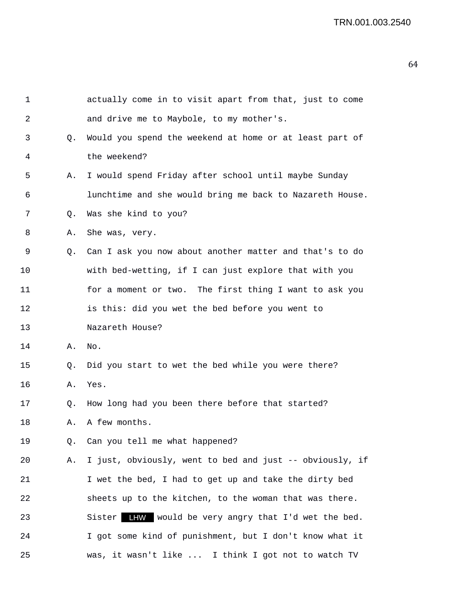| 1  |    | actually come in to visit apart from that, just to come  |
|----|----|----------------------------------------------------------|
| 2  |    | and drive me to Maybole, to my mother's.                 |
| 3  | O. | Would you spend the weekend at home or at least part of  |
| 4  |    | the weekend?                                             |
| 5  | Α. | I would spend Friday after school until maybe Sunday     |
| 6  |    | lunchtime and she would bring me back to Nazareth House. |
| 7  | Q. | Was she kind to you?                                     |
| 8  | Α. | She was, very.                                           |
| 9  | O. | Can I ask you now about another matter and that's to do  |
| 10 |    | with bed-wetting, if I can just explore that with you    |
| 11 |    | for a moment or two. The first thing I want to ask you   |
| 12 |    | is this: did you wet the bed before you went to          |
| 13 |    | Nazareth House?                                          |
| 14 | Α. | No.                                                      |
| 15 | Q. | Did you start to wet the bed while you were there?       |
| 16 | Α. | Yes.                                                     |
| 17 | Q. | How long had you been there before that started?         |
| 18 | Α. | A few months.                                            |
| 19 | Q. | Can you tell me what happened?                           |
| 20 | Α. | I just, obviously, went to bed and just -- obviously, if |
| 21 |    | I wet the bed, I had to get up and take the dirty bed    |
| 22 |    | sheets up to the kitchen, to the woman that was there.   |
| 23 |    | Sister IHW would be very angry that I'd wet the bed.     |
| 24 |    | I got some kind of punishment, but I don't know what it  |
| 25 |    | was, it wasn't like  I think I got not to watch TV       |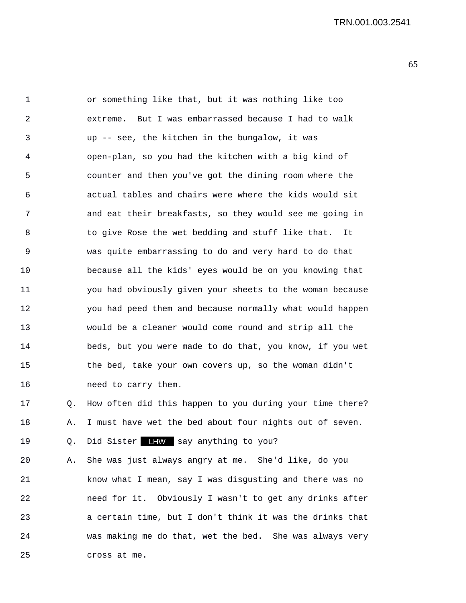TRN.001.003.2541

| 1  |    | or something like that, but it was nothing like too      |
|----|----|----------------------------------------------------------|
| 2  |    | extreme. But I was embarrassed because I had to walk     |
| 3  |    | up -- see, the kitchen in the bungalow, it was           |
| 4  |    | open-plan, so you had the kitchen with a big kind of     |
| 5  |    | counter and then you've got the dining room where the    |
| 6  |    | actual tables and chairs were where the kids would sit   |
| 7  |    | and eat their breakfasts, so they would see me going in  |
| 8  |    | to give Rose the wet bedding and stuff like that.<br>It  |
| 9  |    | was quite embarrassing to do and very hard to do that    |
| 10 |    | because all the kids' eyes would be on you knowing that  |
| 11 |    | you had obviously given your sheets to the woman because |
| 12 |    | you had peed them and because normally what would happen |
| 13 |    | would be a cleaner would come round and strip all the    |
| 14 |    | beds, but you were made to do that, you know, if you wet |
| 15 |    | the bed, take your own covers up, so the woman didn't    |
| 16 |    | need to carry them.                                      |
| 17 | Q. | How often did this happen to you during your time there? |
| 18 | Α. | I must have wet the bed about four nights out of seven.  |
| 19 | Q. | Did Sister LHW say anything to you?                      |
| 20 | Α. | She was just always angry at me. She'd like, do you      |
| 21 |    | know what I mean, say I was disgusting and there was no  |
| 22 |    | need for it. Obviously I wasn't to get any drinks after  |
| 23 |    | a certain time, but I don't think it was the drinks that |
| 24 |    | was making me do that, wet the bed. She was always very  |
| 25 |    | cross at me.                                             |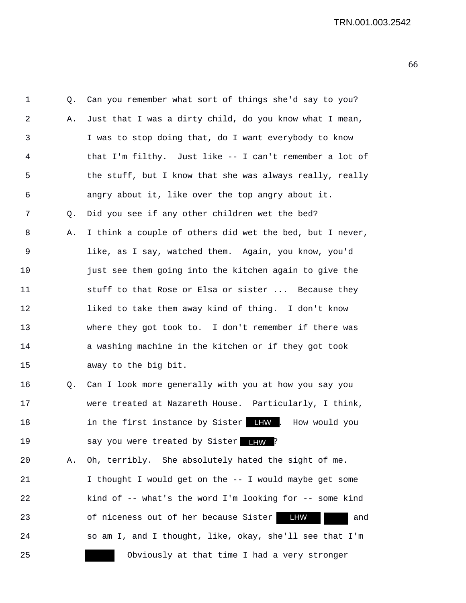| $\mathbf 1$    | Q. | Can you remember what sort of things she'd say to you?   |
|----------------|----|----------------------------------------------------------|
| 2              | Α. | Just that I was a dirty child, do you know what I mean,  |
| 3              |    | I was to stop doing that, do I want everybody to know    |
| 4              |    | that I'm filthy. Just like -- I can't remember a lot of  |
| 5              |    | the stuff, but I know that she was always really, really |
| 6              |    | angry about it, like over the top angry about it.        |
| 7              | Q. | Did you see if any other children wet the bed?           |
| 8              | Α. | I think a couple of others did wet the bed, but I never, |
| $\overline{9}$ |    | like, as I say, watched them. Again, you know, you'd     |
| 10             |    | just see them going into the kitchen again to give the   |
| 11             |    | stuff to that Rose or Elsa or sister  Because they       |
| 12             |    | liked to take them away kind of thing. I don't know      |
| 13             |    | where they got took to. I don't remember if there was    |
| 14             |    | a washing machine in the kitchen or if they got took     |
| 15             |    | away to the big bit.                                     |
| 16             | Q. | Can I look more generally with you at how you say you    |
|                |    |                                                          |

- 17 were treated at Nazareth House. Particularly, I think, 18 in the first instance by Sister LHW . How would you 19 say you were treated by Sister ? LHW
- 20 A. Oh, terribly. She absolutely hated the sight of me. 21 I thought I would get on the -- I would maybe get some 22 kind of -- what's the word I'm looking for -- some kind 23 of niceness out of her because Sister **LHW** and 24 so am I, and I thought, like, okay, she'll see that I'm 25 Obviously at that time I had a very stronger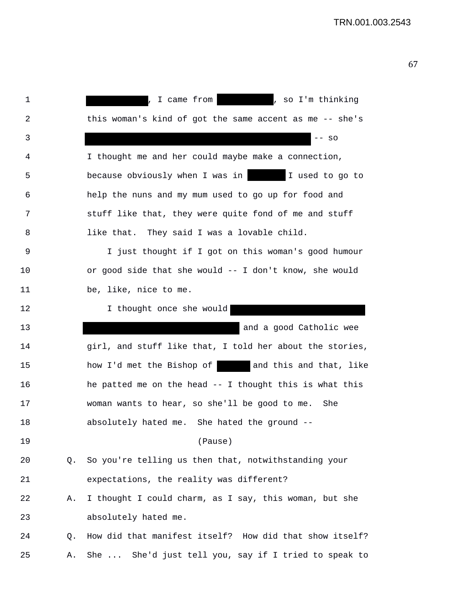| 1  |                | , so I'm thinking<br>, I came from                       |
|----|----------------|----------------------------------------------------------|
| 2  |                | this woman's kind of got the same accent as me -- she's  |
| 3  |                | $--$ SO                                                  |
| 4  |                | I thought me and her could maybe make a connection,      |
| 5  |                | because obviously when I was in I used to go to          |
| 6  |                | help the nuns and my mum used to go up for food and      |
| 7  |                | stuff like that, they were quite fond of me and stuff    |
| 8  |                | like that. They said I was a lovable child.              |
| 9  |                | I just thought if I got on this woman's good humour      |
| 10 |                | or good side that she would -- I don't know, she would   |
| 11 |                | be, like, nice to me.                                    |
| 12 |                | I thought once she would                                 |
| 13 |                | and a good Catholic wee                                  |
| 14 |                | girl, and stuff like that, I told her about the stories, |
| 15 |                | how I'd met the Bishop of and this and that, like        |
| 16 |                | he patted me on the head $-$ I thought this is what this |
| 17 |                | woman wants to hear, so she'll be good to me. She        |
| 18 |                | absolutely hated me. She hated the ground --             |
| 19 |                | (Pause)                                                  |
| 20 | Q <sub>z</sub> | So you're telling us then that, notwithstanding your     |
| 21 |                | expectations, the reality was different?                 |
| 22 | Α.             | I thought I could charm, as I say, this woman, but she   |
| 23 |                | absolutely hated me.                                     |
| 24 | Q.             | How did that manifest itself? How did that show itself?  |
| 25 | Α.             | She'd just tell you, say if I tried to speak to<br>She   |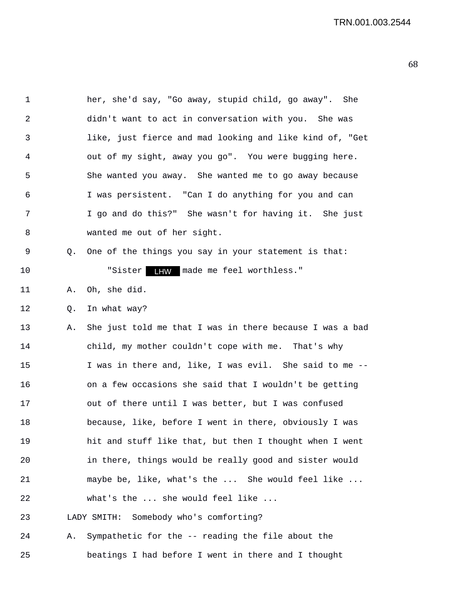| 1              |    | her, she'd say, "Go away, stupid child, go away". She    |
|----------------|----|----------------------------------------------------------|
| $\overline{2}$ |    | didn't want to act in conversation with you. She was     |
| 3              |    | like, just fierce and mad looking and like kind of, "Get |
| 4              |    | out of my sight, away you go". You were bugging here.    |
| 5              |    | She wanted you away. She wanted me to go away because    |
| 6              |    | I was persistent. "Can I do anything for you and can     |
| 7              |    | I go and do this?" She wasn't for having it. She just    |
| 8              |    | wanted me out of her sight.                              |
| 9              | Q. | One of the things you say in your statement is that:     |
| 10             |    | "Sister<br>LHW made me feel worthless."                  |
| 11             | Α. | Oh, she did.                                             |
| 12             | Q. | In what way?                                             |
| 13             | Α. | She just told me that I was in there because I was a bad |
| 14             |    | child, my mother couldn't cope with me. That's why       |
| 15             |    | I was in there and, like, I was evil. She said to me --  |
| 16             |    | on a few occasions she said that I wouldn't be getting   |
| 17             |    | out of there until I was better, but I was confused      |
| 18             |    | because, like, before I went in there, obviously I was   |
| 19             |    | hit and stuff like that, but then I thought when I went  |
| 20             |    | in there, things would be really good and sister would   |
| 21             |    | maybe be, like, what's the  She would feel like          |
| 22             |    | what's the  she would feel like                          |
|                |    |                                                          |

23 LADY SMITH: Somebody who's comforting?

24 A. Sympathetic for the -- reading the file about the 25 beatings I had before I went in there and I thought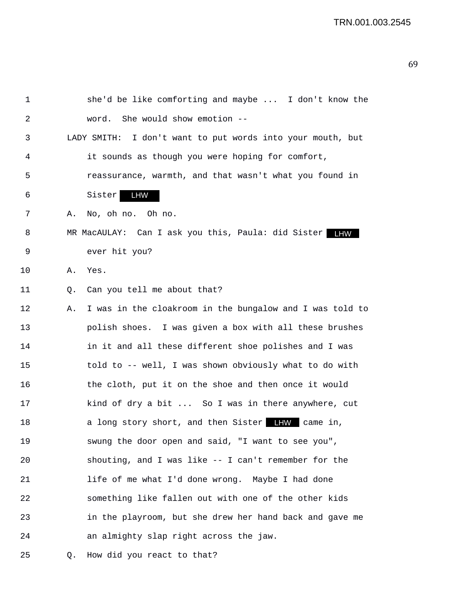| 1  |    | she'd be like comforting and maybe  I don't know the          |
|----|----|---------------------------------------------------------------|
| 2  |    | She would show emotion --<br>word.                            |
| 3  |    | LADY SMITH:<br>I don't want to put words into your mouth, but |
| 4  |    | it sounds as though you were hoping for comfort,              |
| 5  |    | reassurance, warmth, and that wasn't what you found in        |
| 6  |    | LHW<br>Sister                                                 |
| 7  | Α. | No, oh no. Oh no.                                             |
| 8  |    | MR MacAULAY: Can I ask you this, Paula: did Sister LHW        |
| 9  |    | ever hit you?                                                 |
| 10 | Α. | Yes.                                                          |
| 11 | Q. | Can you tell me about that?                                   |
| 12 | Α. | I was in the cloakroom in the bungalow and I was told to      |
| 13 |    | polish shoes. I was given a box with all these brushes        |
| 14 |    | in it and all these different shoe polishes and I was         |
| 15 |    | told to -- well, I was shown obviously what to do with        |
| 16 |    | the cloth, put it on the shoe and then once it would          |
| 17 |    | kind of dry a bit  So I was in there anywhere, cut            |
| 18 |    | a long story short, and then Sister LFW came in,              |
| 19 |    | swung the door open and said, "I want to see you",            |
| 20 |    | shouting, and I was like -- I can't remember for the          |
| 21 |    | life of me what I'd done wrong. Maybe I had done              |
| 22 |    | something like fallen out with one of the other kids          |
| 23 |    | in the playroom, but she drew her hand back and gave me       |
| 24 |    | an almighty slap right across the jaw.                        |
| 25 | Q. | How did you react to that?                                    |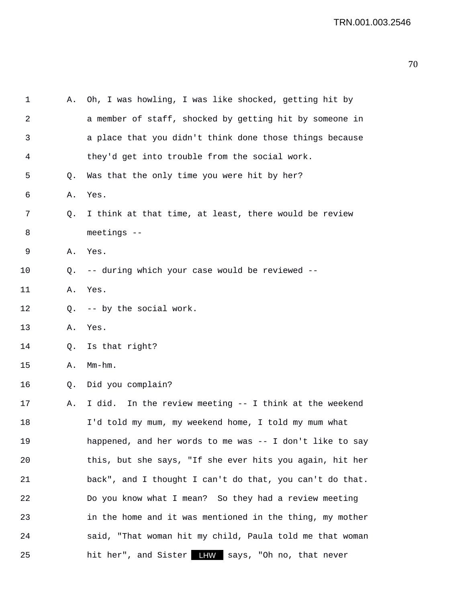| 1  | Α. | Oh, I was howling, I was like shocked, getting hit by    |
|----|----|----------------------------------------------------------|
| 2  |    | a member of staff, shocked by getting hit by someone in  |
| 3  |    | a place that you didn't think done those things because  |
| 4  |    | they'd get into trouble from the social work.            |
| 5  | Q. | Was that the only time you were hit by her?              |
| 6  | Α. | Yes.                                                     |
| 7  | Q. | I think at that time, at least, there would be review    |
| 8  |    | meetings --                                              |
| 9  | Α. | Yes.                                                     |
| 10 | Q. | -- during which your case would be reviewed --           |
| 11 | Α. | Yes.                                                     |
| 12 | Q. | -- by the social work.                                   |
| 13 | Α. | Yes.                                                     |
| 14 | Q. | Is that right?                                           |
| 15 | Α. | $Mm-hm$ .                                                |
| 16 | Q. | Did you complain?                                        |
| 17 | Α. | I did. In the review meeting -- I think at the weekend   |
| 18 |    | I'd told my mum, my weekend home, I told my mum what     |
| 19 |    | happened, and her words to me was -- I don't like to say |
| 20 |    | this, but she says, "If she ever hits you again, hit her |
| 21 |    | back", and I thought I can't do that, you can't do that. |
| 22 |    | Do you know what I mean? So they had a review meeting    |
| 23 |    | in the home and it was mentioned in the thing, my mother |
| 24 |    | said, "That woman hit my child, Paula told me that woman |
| 25 |    | hit her", and Sister LHW says, "Oh no, that never        |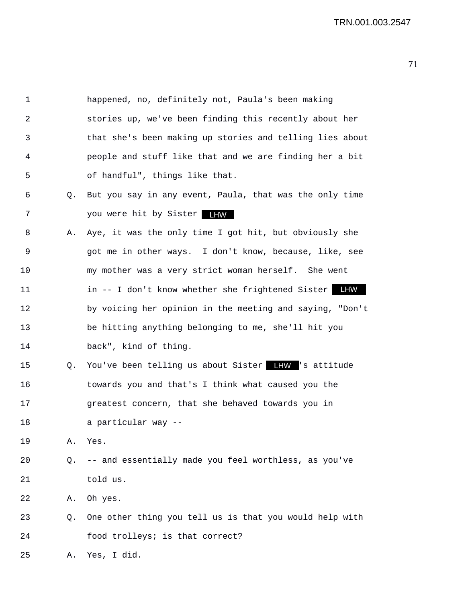| 1  |                | happened, no, definitely not, Paula's been making              |
|----|----------------|----------------------------------------------------------------|
| 2  |                | stories up, we've been finding this recently about her         |
| 3  |                | that she's been making up stories and telling lies about       |
| 4  |                | people and stuff like that and we are finding her a bit        |
| 5  |                | of handful", things like that.                                 |
| 6  | Q <sub>z</sub> | But you say in any event, Paula, that was the only time        |
| 7  |                | you were hit by Sister FIW                                     |
| 8  | Α.             | Aye, it was the only time I got hit, but obviously she         |
| 9  |                | got me in other ways. I don't know, because, like, see         |
| 10 |                | my mother was a very strict woman herself. She went            |
| 11 |                | <b>LHW</b><br>in -- I don't know whether she frightened Sister |
| 12 |                | by voicing her opinion in the meeting and saying, "Don't       |
| 13 |                | be hitting anything belonging to me, she'll hit you            |
| 14 |                | back", kind of thing.                                          |
| 15 | Q.             | You've been telling us about Sister LHW 's attitude            |
| 16 |                | towards you and that's I think what caused you the             |
| 17 |                | greatest concern, that she behaved towards you in              |
| 18 |                | a particular way --                                            |
| 19 | Α.             | Yes.                                                           |
| 20 | Q.             | -- and essentially made you feel worthless, as you've          |
| 21 |                | told us.                                                       |
| 22 | Α.             | Oh yes.                                                        |
| 23 | Q.             | One other thing you tell us is that you would help with        |
| 24 |                | food trolleys; is that correct?                                |
| 25 | Α.             | Yes, I did.                                                    |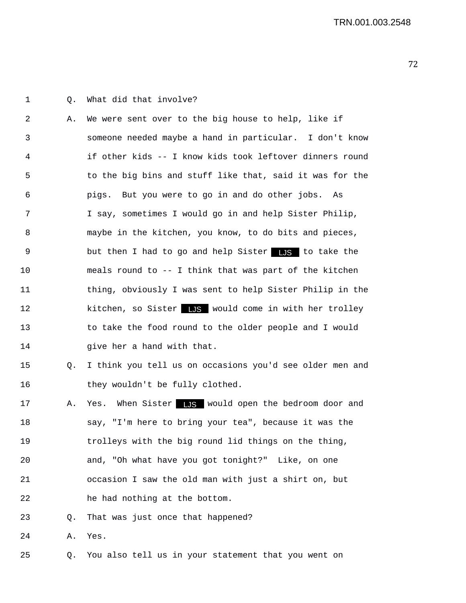TRN.001.003.2548

72

1 Q. What did that involve?

2 A. We were sent over to the big house to help, like if 3 someone needed maybe a hand in particular. I don't know 4 if other kids -- I know kids took leftover dinners round 5 to the big bins and stuff like that, said it was for the 6 pigs. But you were to go in and do other jobs. As 7 I say, sometimes I would go in and help Sister Philip, 8 maybe in the kitchen, you know, to do bits and pieces, 9 but then I had to go and help Sister to take the LJS 10 meals round to -- I think that was part of the kitchen 11 thing, obviously I was sent to help Sister Philip in the 12 kitchen, so Sister LUS would come in with her trolley 13 to take the food round to the older people and I would 14 give her a hand with that.

- 15 Q. I think you tell us on occasions you'd see older men and 16 they wouldn't be fully clothed.
- 17 A. Yes. When Sister would open the bedroom door and LJS 18 say, "I'm here to bring your tea", because it was the 19 trolleys with the big round lid things on the thing, 20 and, "Oh what have you got tonight?" Like, on one 21 occasion I saw the old man with just a shirt on, but 22 he had nothing at the bottom.
- 23 Q. That was just once that happened?
- 24 A. Yes.
- 25 Q. You also tell us in your statement that you went on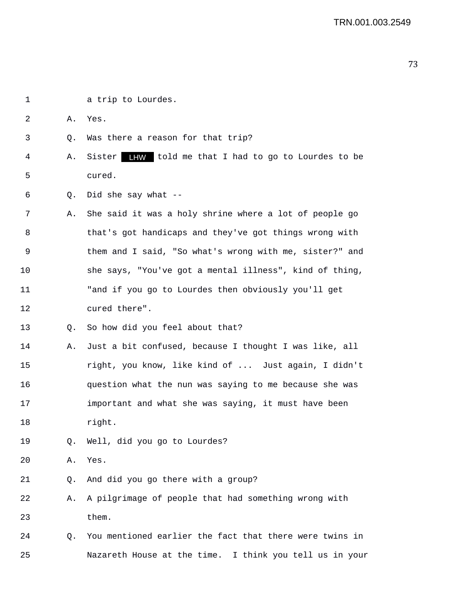| 1  |    | a trip to Lourdes.                                         |
|----|----|------------------------------------------------------------|
| 2  | Α. | Yes.                                                       |
| 3  | Q. | Was there a reason for that trip?                          |
| 4  | Α. | LHW told me that I had to go to Lourdes to be<br>Sister    |
| 5  |    | cured.                                                     |
| 6  | Q. | Did she say what --                                        |
| 7  | Α. | She said it was a holy shrine where a lot of people go     |
| 8  |    | that's got handicaps and they've got things wrong with     |
| 9  |    | them and I said, "So what's wrong with me, sister?" and    |
| 10 |    | she says, "You've got a mental illness", kind of thing,    |
| 11 |    | "and if you go to Lourdes then obviously you'll get        |
| 12 |    | cured there".                                              |
| 13 | O. | So how did you feel about that?                            |
| 14 | Α. | Just a bit confused, because I thought I was like, all     |
| 15 |    | right, you know, like kind of  Just again, I didn't        |
| 16 |    | question what the nun was saying to me because she was     |
| 17 |    | important and what she was saying, it must have been       |
| 18 |    | right.                                                     |
| 19 | Q. | Well, did you go to Lourdes?                               |
| 20 | Α. | Yes.                                                       |
| 21 | Q. | And did you go there with a group?                         |
| 22 | Α. | A pilgrimage of people that had something wrong with       |
| 23 |    | them.                                                      |
| 24 | Q. | You mentioned earlier the fact that there were twins in    |
| 25 |    | Nazareth House at the time.<br>I think you tell us in your |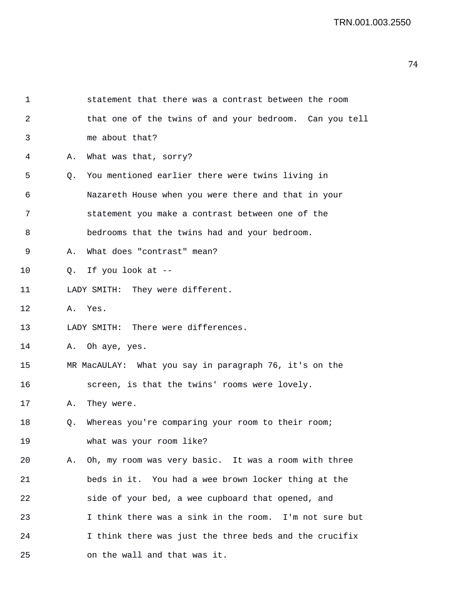| $\mathbf 1$ |    | statement that there was a contrast between the room    |
|-------------|----|---------------------------------------------------------|
| 2           |    | that one of the twins of and your bedroom. Can you tell |
| 3           |    | me about that?                                          |
| 4           | Α. | What was that, sorry?                                   |
| 5           | 0. | You mentioned earlier there were twins living in        |
| 6           |    | Nazareth House when you were there and that in your     |
| 7           |    | statement you make a contrast between one of the        |
| 8           |    | bedrooms that the twins had and your bedroom.           |
| 9           | Α. | What does "contrast" mean?                              |
| 10          |    | Q. If you look at --                                    |
| 11          |    | LADY SMITH: They were different.                        |
| 12          |    | A. Yes.                                                 |
| 13          |    | LADY SMITH: There were differences.                     |
| 14          |    | A. Oh aye, yes.                                         |
| 15          |    | MR MacAULAY: What you say in paragraph 76, it's on the  |
| 16          |    | screen, is that the twins' rooms were lovely.           |
| 17          | Α. | They were.                                              |
| 18          | O. | Whereas you're comparing your room to their room;       |
| 19          |    | what was your room like?                                |
| 20          | Α. | Oh, my room was very basic. It was a room with three    |
| 21          |    | beds in it. You had a wee brown locker thing at the     |
| 22          |    | side of your bed, a wee cupboard that opened, and       |
| 23          |    | I think there was a sink in the room. I'm not sure but  |
| 24          |    | I think there was just the three beds and the crucifix  |
| 25          |    | on the wall and that was it.                            |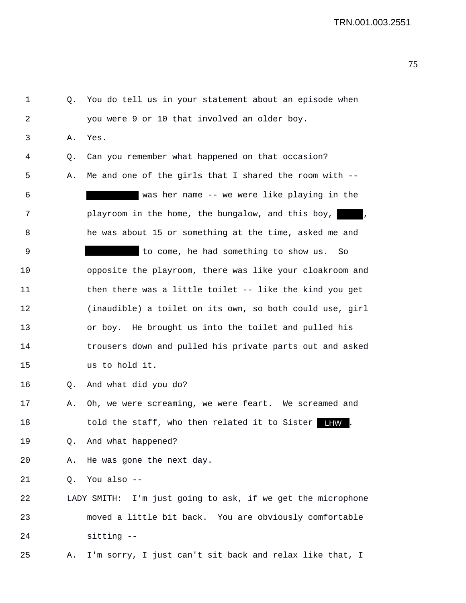1 Q. You do tell us in your statement about an episode when 2 you were 9 or 10 that involved an older boy. 3 A. Yes. 4 Q. Can you remember what happened on that occasion? 5 A. Me and one of the girls that I shared the room with -- 6 was her name -- we were like playing in the 7 **playroom in the home, the bungalow, and this boy,** 8 he was about 15 or something at the time, asked me and 9 to come, he had something to show us. So 10 opposite the playroom, there was like your cloakroom and 11 then there was a little toilet -- like the kind you get 12 (inaudible) a toilet on its own, so both could use, girl 13 or boy. He brought us into the toilet and pulled his 14 trousers down and pulled his private parts out and asked 15 us to hold it. 16 Q. And what did you do? 17 A. Oh, we were screaming, we were feart. We screamed and 18 told the staff, who then related it to Sister LHW. 19 Q. And what happened? 20 A. He was gone the next day. 21 Q. You also -- 22 LADY SMITH: I'm just going to ask, if we get the microphone 23 moved a little bit back. You are obviously comfortable 24 sitting -- 25 A. I'm sorry, I just can't sit back and relax like that, I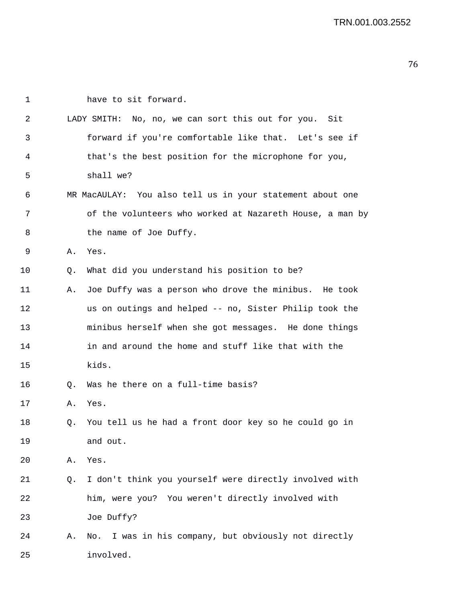| 1  |    | have to sit forward.                                      |
|----|----|-----------------------------------------------------------|
| 2  |    | LADY SMITH: No, no, we can sort this out for you. Sit     |
| 3  |    | forward if you're comfortable like that. Let's see if     |
| 4  |    | that's the best position for the microphone for you,      |
| 5  |    | shall we?                                                 |
| 6  |    | MR MacAULAY: You also tell us in your statement about one |
| 7  |    | of the volunteers who worked at Nazareth House, a man by  |
| 8  |    | the name of Joe Duffy.                                    |
| 9  | Α. | Yes.                                                      |
| 10 | Q. | What did you understand his position to be?               |
| 11 | Α. | Joe Duffy was a person who drove the minibus. He took     |
| 12 |    | us on outings and helped -- no, Sister Philip took the    |
| 13 |    | minibus herself when she got messages. He done things     |
| 14 |    | in and around the home and stuff like that with the       |
| 15 |    | kids.                                                     |
| 16 | Q. | Was he there on a full-time basis?                        |
| 17 | Α. | Yes.                                                      |
| 18 | Q. | You tell us he had a front door key so he could go in     |
| 19 |    | and out.                                                  |
| 20 | Α. | Yes.                                                      |
| 21 | Q. | I don't think you yourself were directly involved with    |
| 22 |    | him, were you? You weren't directly involved with         |
| 23 |    | Joe Duffy?                                                |
| 24 | Α. | I was in his company, but obviously not directly<br>No.   |
| 25 |    | involved.                                                 |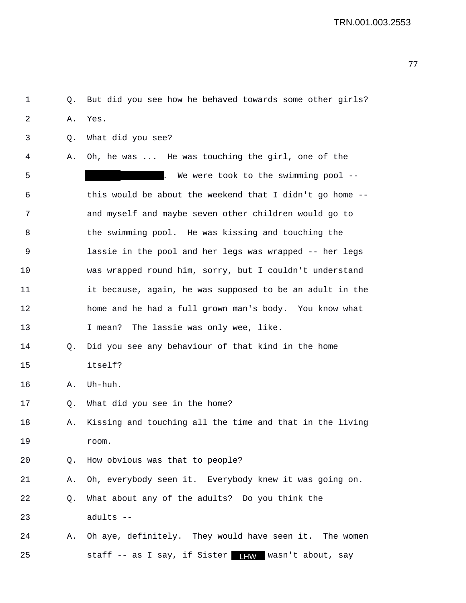| $\mathbf 1$    | Q. | But did you see how he behaved towards some other girls?                         |
|----------------|----|----------------------------------------------------------------------------------|
| $\overline{2}$ | Α. | Yes.                                                                             |
| 3              | Q. | What did you see?                                                                |
| 4              | Α. | Oh, he was  He was touching the girl, one of the                                 |
| 5              |    | We were took to the swimming pool --<br>$\mathcal{L}$ . The set of $\mathcal{L}$ |
| 6              |    | this would be about the weekend that I didn't go home --                         |
| 7              |    | and myself and maybe seven other children would go to                            |
| 8              |    | the swimming pool. He was kissing and touching the                               |
| 9              |    | lassie in the pool and her legs was wrapped -- her legs                          |
| 10             |    | was wrapped round him, sorry, but I couldn't understand                          |
| 11             |    | it because, again, he was supposed to be an adult in the                         |
| 12             |    | home and he had a full grown man's body. You know what                           |
| 13             |    | The lassie was only wee, like.<br>I mean?                                        |
| 14             | O. | Did you see any behaviour of that kind in the home                               |
| 15             |    | itself?                                                                          |
| 16             | Α. | Uh-huh.                                                                          |
| 17             | Q. | What did you see in the home?                                                    |
| 18             | Α. | Kissing and touching all the time and that in the living                         |
| 19             |    | room.                                                                            |
| 20             | O. | How obvious was that to people?                                                  |
| 21             | Α. | Oh, everybody seen it. Everybody knew it was going on.                           |
| 22             | Q. | What about any of the adults? Do you think the                                   |
| 23             |    | adults --                                                                        |
| 24             | Α. | Oh aye, definitely. They would have seen it. The women                           |
| 25             |    | staff -- as I say, if Sister <b>IHW</b> wasn't about, say                        |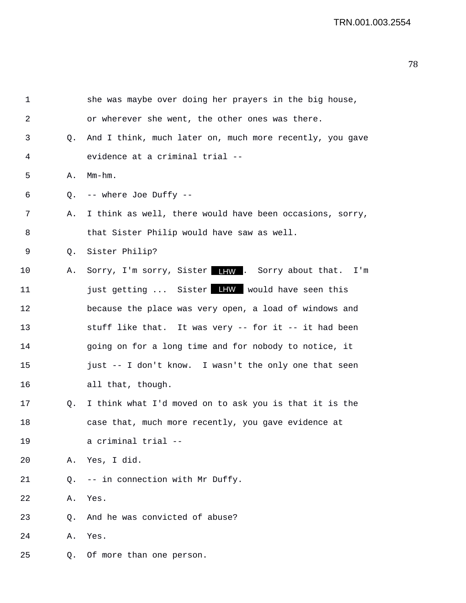|             | she was maybe over doing her prayers in the big house,   |
|-------------|----------------------------------------------------------|
|             | or wherever she went, the other ones was there.          |
| $Q_{\star}$ | And I think, much later on, much more recently, you gave |
|             | evidence at a criminal trial --                          |
| Α.          | $Mm-hm$ .                                                |
| Q.          | -- where Joe Duffy --                                    |
| Α.          | I think as well, there would have been occasions, sorry, |
|             | that Sister Philip would have saw as well.               |
| Q.          | Sister Philip?                                           |
| Α.          | Sorry, I'm sorry, Sister IHW . Sorry about that. I'm     |
|             | just getting  Sister LHW would have seen this            |
|             | because the place was very open, a load of windows and   |
|             | stuff like that. It was very -- for it -- it had been    |
|             | going on for a long time and for nobody to notice, it    |
|             | just -- I don't know. I wasn't the only one that seen    |
|             | all that, though.                                        |
| Q.          | I think what I'd moved on to ask you is that it is the   |
|             | case that, much more recently, you gave evidence at      |
|             | a criminal trial --                                      |
| Α.          | Yes, I did.                                              |
| Q.          | -- in connection with Mr Duffy.                          |
| Α.          | Yes.                                                     |
| Q.          | And he was convicted of abuse?                           |
| Α.          | Yes.                                                     |
| Q.          | Of more than one person.                                 |
|             |                                                          |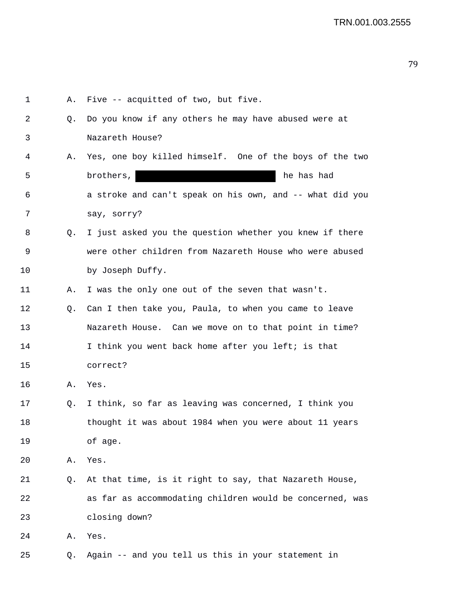| $\mathbf 1$ | Α. | Five -- acquitted of two, but five.                      |
|-------------|----|----------------------------------------------------------|
| 2           | Q. | Do you know if any others he may have abused were at     |
| 3           |    | Nazareth House?                                          |
| 4           | Α. | Yes, one boy killed himself. One of the boys of the two  |
| 5           |    | he has had<br>brothers,                                  |
| 6           |    | a stroke and can't speak on his own, and -- what did you |
| 7           |    | say, sorry?                                              |
| 8           | Q. | I just asked you the question whether you knew if there  |
| 9           |    | were other children from Nazareth House who were abused  |
| 10          |    | by Joseph Duffy.                                         |
| 11          | Α. | I was the only one out of the seven that wasn't.         |
| 12          | Q. | Can I then take you, Paula, to when you came to leave    |
| 13          |    | Nazareth House. Can we move on to that point in time?    |
| 14          |    | I think you went back home after you left; is that       |
| 15          |    | correct?                                                 |
| 16          | Α. | Yes.                                                     |
| 17          | Q. | I think, so far as leaving was concerned, I think you    |
| 18          |    | thought it was about 1984 when you were about 11 years   |
| 19          |    | of age.                                                  |
| 20          | Α. | Yes.                                                     |
| 21          | Q. | At that time, is it right to say, that Nazareth House,   |
| 22          |    | as far as accommodating children would be concerned, was |
| 23          |    | closing down?                                            |
| 24          | Α. | Yes.                                                     |
| 25          | Q. | Again -- and you tell us this in your statement in       |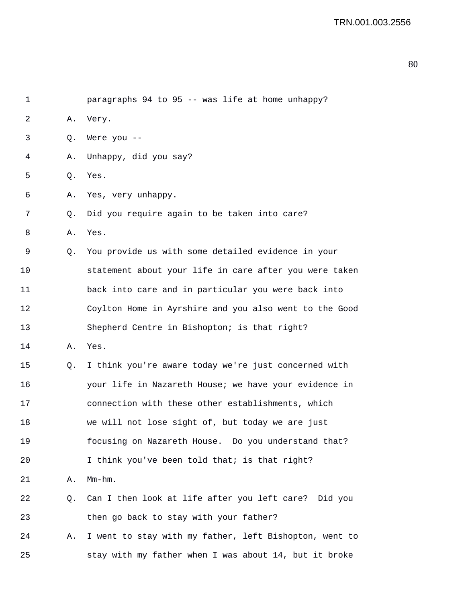| 1  |             | paragraphs 94 to 95 -- was life at home unhappy?       |
|----|-------------|--------------------------------------------------------|
| 2  | Α.          | Very.                                                  |
| 3  | Q.          | Were you $-$                                           |
| 4  | Α.          | Unhappy, did you say?                                  |
| 5  | Q.          | Yes.                                                   |
| 6  | Α.          | Yes, very unhappy.                                     |
| 7  | Q.          | Did you require again to be taken into care?           |
| 8  | Α.          | Yes.                                                   |
| 9  | Q.          | You provide us with some detailed evidence in your     |
| 10 |             | statement about your life in care after you were taken |
| 11 |             | back into care and in particular you were back into    |
| 12 |             | Coylton Home in Ayrshire and you also went to the Good |
| 13 |             | Shepherd Centre in Bishopton; is that right?           |
| 14 | Α.          | Yes.                                                   |
| 15 | $Q_{\star}$ | I think you're aware today we're just concerned with   |
| 16 |             | your life in Nazareth House; we have your evidence in  |
| 17 |             | connection with these other establishments, which      |
| 18 |             | we will not lose sight of, but today we are just       |
| 19 |             | focusing on Nazareth House. Do you understand that?    |
| 20 |             | I think you've been told that; is that right?          |
| 21 | Α.          | $Mm-hm$ .                                              |
| 22 | Q.          | Can I then look at life after you left care? Did you   |
| 23 |             | then go back to stay with your father?                 |
| 24 | Α.          | I went to stay with my father, left Bishopton, went to |
| 25 |             | stay with my father when I was about 14, but it broke  |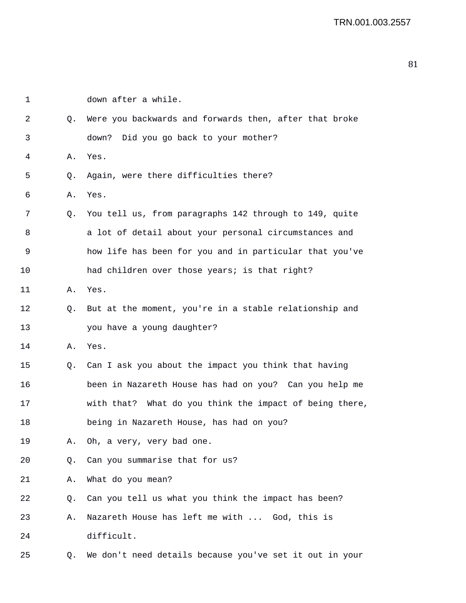1 down after a while. 2 Q. Were you backwards and forwards then, after that broke 3 down? Did you go back to your mother? 4 A. Yes. 5 Q. Again, were there difficulties there? 6 A. Yes. 7 Q. You tell us, from paragraphs 142 through to 149, quite 8 a lot of detail about your personal circumstances and 9 how life has been for you and in particular that you've 10 had children over those years; is that right? 11 A. Yes. 12 Q. But at the moment, you're in a stable relationship and 13 you have a young daughter? 14 A. Yes. 15 Q. Can I ask you about the impact you think that having 16 been in Nazareth House has had on you? Can you help me 17 with that? What do you think the impact of being there, 18 being in Nazareth House, has had on you? 19 A. Oh, a very, very bad one. 20 Q. Can you summarise that for us? 21 A. What do you mean? 22 Q. Can you tell us what you think the impact has been? 23 A. Nazareth House has left me with ... God, this is 24 difficult. 25 Q. We don't need details because you've set it out in your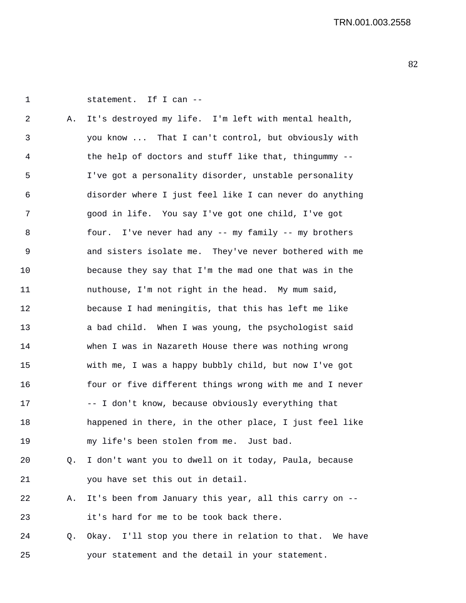1 statement. If I can --

| 2           | Α. | It's destroyed my life. I'm left with mental health,    |
|-------------|----|---------------------------------------------------------|
| 3           |    | you know  That I can't control, but obviously with      |
| 4           |    | the help of doctors and stuff like that, thingummy --   |
| 5           |    | I've got a personality disorder, unstable personality   |
| 6           |    | disorder where I just feel like I can never do anything |
| 7           |    | good in life. You say I've got one child, I've got      |
| 8           |    | four. I've never had any -- my family -- my brothers    |
| $\mathsf 9$ |    | and sisters isolate me. They've never bothered with me  |
| 10          |    | because they say that I'm the mad one that was in the   |
| 11          |    | nuthouse, I'm not right in the head. My mum said,       |
| 12          |    | because I had meningitis, that this has left me like    |
| 13          |    | a bad child. When I was young, the psychologist said    |
| 14          |    | when I was in Nazareth House there was nothing wrong    |
| 15          |    | with me, I was a happy bubbly child, but now I've got   |
| 16          |    | four or five different things wrong with me and I never |
| 17          |    | -- I don't know, because obviously everything that      |
| 18          |    | happened in there, in the other place, I just feel like |
| 19          |    | my life's been stolen from me. Just bad.                |
| 20          | Q. | I don't want you to dwell on it today, Paula, because   |
| 21          |    | you have set this out in detail.                        |

- 22 A. It's been from January this year, all this carry on -- 23 it's hard for me to be took back there.
- 24 Q. Okay. I'll stop you there in relation to that. We have 25 your statement and the detail in your statement.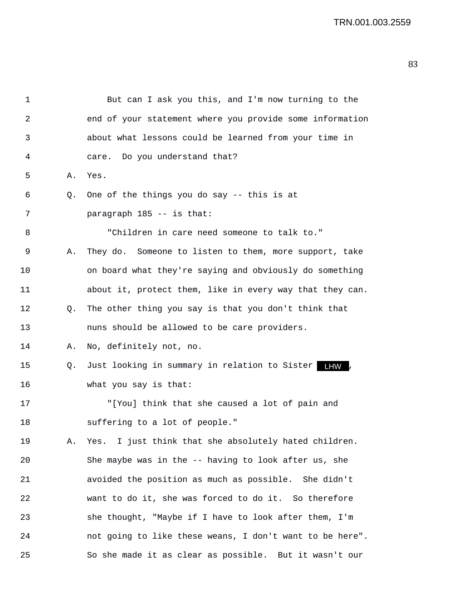| 1  |                | But can I ask you this, and I'm now turning to the       |
|----|----------------|----------------------------------------------------------|
| 2  |                | end of your statement where you provide some information |
| 3  |                | about what lessons could be learned from your time in    |
| 4  |                | care. Do you understand that?                            |
| 5  | Α.             | Yes.                                                     |
| 6  | Q <sub>z</sub> | One of the things you do say -- this is at               |
| 7  |                | paragraph 185 -- is that:                                |
| 8  |                | "Children in care need someone to talk to."              |
| 9  | Α.             | They do. Someone to listen to them, more support, take   |
| 10 |                | on board what they're saying and obviously do something  |
| 11 |                | about it, protect them, like in every way that they can. |
| 12 | Q.             | The other thing you say is that you don't think that     |
| 13 |                | nuns should be allowed to be care providers.             |
| 14 | Α.             | No, definitely not, no.                                  |
| 15 | Q.             | Just looking in summary in relation to Sister LHW        |
| 16 |                | what you say is that:                                    |
| 17 |                | "[You] think that she caused a lot of pain and           |
| 18 |                | suffering to a lot of people."                           |
| 19 | Α.             | Yes. I just think that she absolutely hated children.    |
| 20 |                | She maybe was in the -- having to look after us, she     |
| 21 |                | avoided the position as much as possible. She didn't     |
| 22 |                | want to do it, she was forced to do it. So therefore     |
| 23 |                | she thought, "Maybe if I have to look after them, I'm    |
| 24 |                | not going to like these weans, I don't want to be here". |
| 25 |                | So she made it as clear as possible. But it wasn't our   |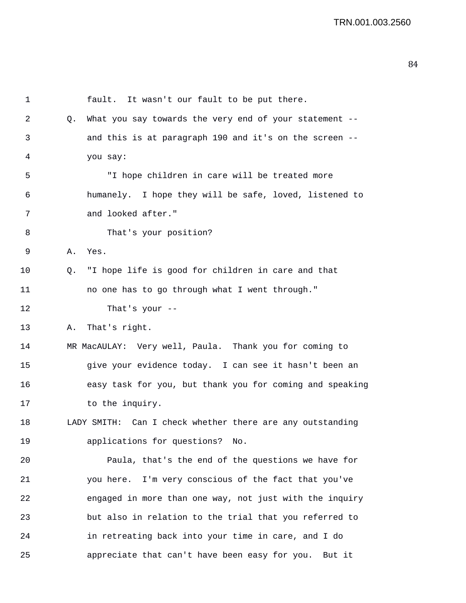1 fault. It wasn't our fault to be put there. 2 Q. What you say towards the very end of your statement -- 3 and this is at paragraph 190 and it's on the screen -- 4 you say: 5 "I hope children in care will be treated more 6 humanely. I hope they will be safe, loved, listened to 7 and looked after." 8 That's your position? 9 A. Yes. 10 Q. "I hope life is good for children in care and that 11 no one has to go through what I went through." 12 That's your -- 13 A. That's right. 14 MR MacAULAY: Very well, Paula. Thank you for coming to 15 give your evidence today. I can see it hasn't been an 16 easy task for you, but thank you for coming and speaking 17 to the inquiry. 18 LADY SMITH: Can I check whether there are any outstanding 19 applications for questions? No. 20 Paula, that's the end of the questions we have for 21 you here. I'm very conscious of the fact that you've 22 engaged in more than one way, not just with the inquiry 23 but also in relation to the trial that you referred to 24 in retreating back into your time in care, and I do 25 appreciate that can't have been easy for you. But it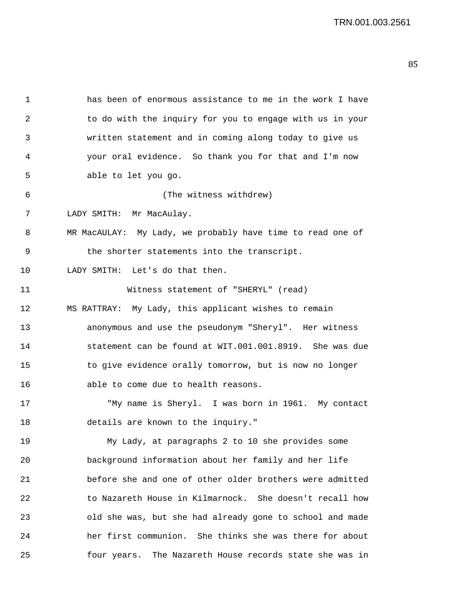| 1  | has been of enormous assistance to me in the work I have   |
|----|------------------------------------------------------------|
| 2  | to do with the inquiry for you to engage with us in your   |
| 3  | written statement and in coming along today to give us     |
| 4  | your oral evidence. So thank you for that and I'm now      |
| 5  | able to let you go.                                        |
| 6  | (The witness withdrew)                                     |
| 7  | LADY SMITH: Mr MacAulay.                                   |
| 8  | MR MacAULAY: My Lady, we probably have time to read one of |
| 9  | the shorter statements into the transcript.                |
| 10 | LADY SMITH: Let's do that then.                            |
| 11 | Witness statement of "SHERYL" (read)                       |
| 12 | MS RATTRAY: My Lady, this applicant wishes to remain       |
| 13 | anonymous and use the pseudonym "Sheryl". Her witness      |
| 14 | statement can be found at WIT.001.001.8919. She was due    |
| 15 | to give evidence orally tomorrow, but is now no longer     |
| 16 | able to come due to health reasons.                        |
| 17 | "My name is Sheryl. I was born in 1961. My contact         |
| 18 | details are known to the inquiry."                         |
| 19 | My Lady, at paragraphs 2 to 10 she provides some           |
| 20 | background information about her family and her life       |
| 21 | before she and one of other older brothers were admitted   |
| 22 | to Nazareth House in Kilmarnock. She doesn't recall how    |
| 23 | old she was, but she had already gone to school and made   |
| 24 | her first communion. She thinks she was there for about    |
| 25 | four years. The Nazareth House records state she was in    |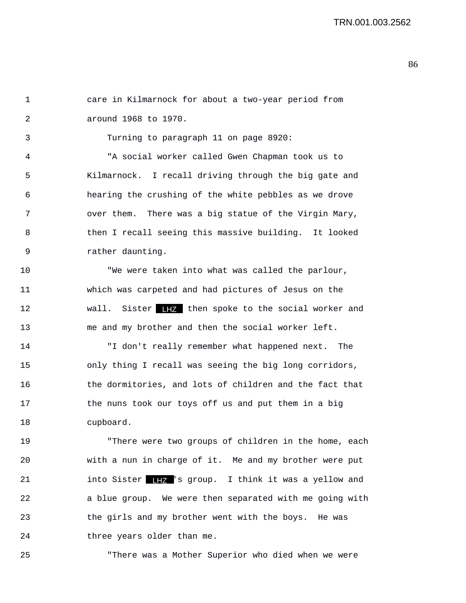1 care in Kilmarnock for about a two-year period from 2 around 1968 to 1970. 3 Turning to paragraph 11 on page 8920: 4 "A social worker called Gwen Chapman took us to 5 Kilmarnock. I recall driving through the big gate and 6 hearing the crushing of the white pebbles as we drove 7 over them. There was a big statue of the Virgin Mary, 8 then I recall seeing this massive building. It looked 9 rather daunting. 10 "We were taken into what was called the parlour, 11 which was carpeted and had pictures of Jesus on the 12 wall. Sister then spoke to the social worker and LHZ 13 me and my brother and then the social worker left. 14 "I don't really remember what happened next. The

15 only thing I recall was seeing the big long corridors, 16 the dormitories, and lots of children and the fact that 17 the nuns took our toys off us and put them in a big 18 cupboard.

19 "There were two groups of children in the home, each 20 with a nun in charge of it. Me and my brother were put 21 into Sister 's group. I think it was a yellow and LHZ22 a blue group. We were then separated with me going with 23 the girls and my brother went with the boys. He was 24 three years older than me.

25 "There was a Mother Superior who died when we were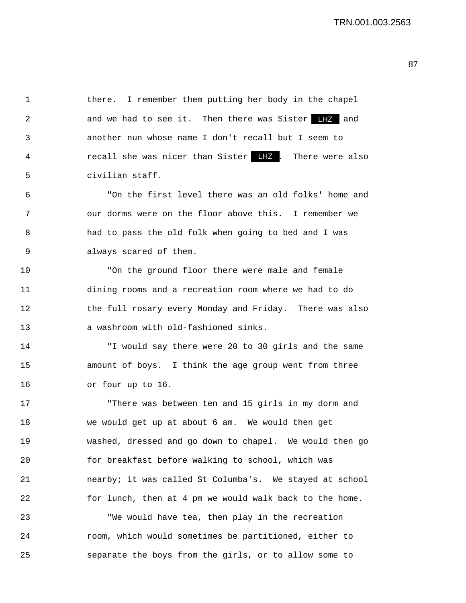1 there. I remember them putting her body in the chapel 2 and we had to see it. Then there was Sister LHZ and 3 another nun whose name I don't recall but I seem to 4 **1** recall she was nicer than Sister LHZ. There were also 5 civilian staff.

6 "On the first level there was an old folks' home and 7 our dorms were on the floor above this. I remember we 8 had to pass the old folk when going to bed and I was 9 always scared of them.

10 "On the ground floor there were male and female 11 dining rooms and a recreation room where we had to do 12 the full rosary every Monday and Friday. There was also 13 a washroom with old-fashioned sinks.

14 "I would say there were 20 to 30 girls and the same 15 amount of boys. I think the age group went from three 16 or four up to 16.

17 "There was between ten and 15 girls in my dorm and 18 we would get up at about 6 am. We would then get 19 washed, dressed and go down to chapel. We would then go 20 for breakfast before walking to school, which was 21 nearby; it was called St Columba's. We stayed at school 22 for lunch, then at 4 pm we would walk back to the home.

23 "We would have tea, then play in the recreation 24 room, which would sometimes be partitioned, either to 25 separate the boys from the girls, or to allow some to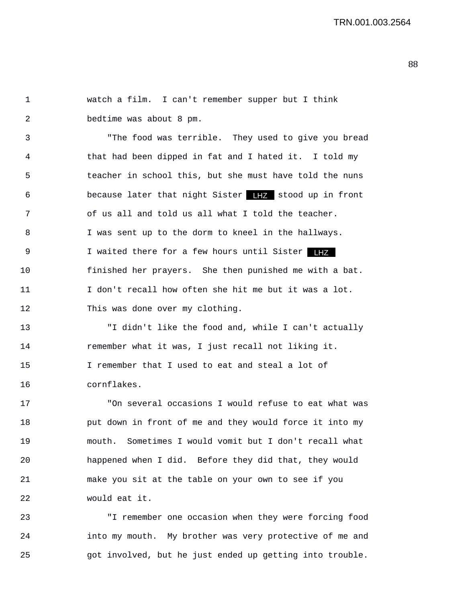1 watch a film. I can't remember supper but I think 2 bedtime was about 8 pm.

3 "The food was terrible. They used to give you bread 4 that had been dipped in fat and I hated it. I told my 5 teacher in school this, but she must have told the nuns 6 because later that night Sister IIZ stood up in front 7 of us all and told us all what I told the teacher. 8 I was sent up to the dorm to kneel in the hallways. 9 I waited there for a few hours until Sister **IHZ** 10 finished her prayers. She then punished me with a bat. 11 I don't recall how often she hit me but it was a lot. 12 This was done over my clothing.

13 "I didn't like the food and, while I can't actually 14 remember what it was, I just recall not liking it. 15 I remember that I used to eat and steal a lot of 16 cornflakes.

17 "On several occasions I would refuse to eat what was 18 put down in front of me and they would force it into my 19 mouth. Sometimes I would vomit but I don't recall what 20 happened when I did. Before they did that, they would 21 make you sit at the table on your own to see if you 22 would eat it.

23 "I remember one occasion when they were forcing food 24 into my mouth. My brother was very protective of me and 25 got involved, but he just ended up getting into trouble.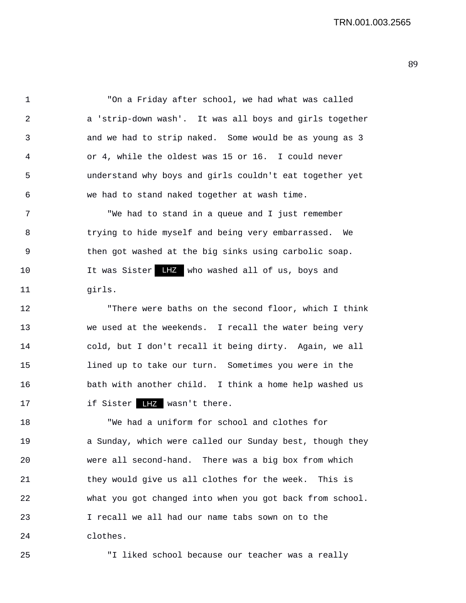1 "On a Friday after school, we had what was called 2 a 'strip-down wash'. It was all boys and girls together 3 and we had to strip naked. Some would be as young as 3 4 or 4, while the oldest was 15 or 16. I could never 5 understand why boys and girls couldn't eat together yet 6 we had to stand naked together at wash time. 7 "We had to stand in a queue and I just remember 8 trying to hide myself and being very embarrassed. We 9 then got washed at the big sinks using carbolic soap. 10 11 It was Sister LHZ who washed all of us, boys and

12 "There were baths on the second floor, which I think 13 we used at the weekends. I recall the water being very 14 cold, but I don't recall it being dirty. Again, we all 15 lined up to take our turn. Sometimes you were in the 16 bath with another child. I think a home help washed us 17 if Sister LHZ wasn't there.

18 "We had a uniform for school and clothes for 19 a Sunday, which were called our Sunday best, though they 20 were all second-hand. There was a big box from which 21 they would give us all clothes for the week. This is 22 what you got changed into when you got back from school. 23 I recall we all had our name tabs sown on to the 24 clothes.

11 girls.

25 "I liked school because our teacher was a really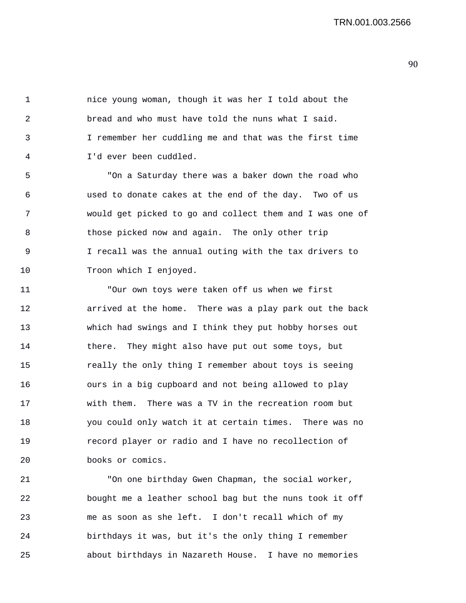1 nice young woman, though it was her I told about the 2 bread and who must have told the nuns what I said. 3 I remember her cuddling me and that was the first time 4 I'd ever been cuddled.

5 "On a Saturday there was a baker down the road who 6 used to donate cakes at the end of the day. Two of us 7 would get picked to go and collect them and I was one of 8 those picked now and again. The only other trip 9 I recall was the annual outing with the tax drivers to 10 Troon which I enjoyed.

11 "Our own toys were taken off us when we first 12 arrived at the home. There was a play park out the back 13 which had swings and I think they put hobby horses out 14 there. They might also have put out some toys, but 15 really the only thing I remember about toys is seeing 16 ours in a big cupboard and not being allowed to play 17 with them. There was a TV in the recreation room but 18 you could only watch it at certain times. There was no 19 record player or radio and I have no recollection of 20 books or comics.

21 "On one birthday Gwen Chapman, the social worker, 22 bought me a leather school bag but the nuns took it off 23 me as soon as she left. I don't recall which of my 24 birthdays it was, but it's the only thing I remember 25 about birthdays in Nazareth House. I have no memories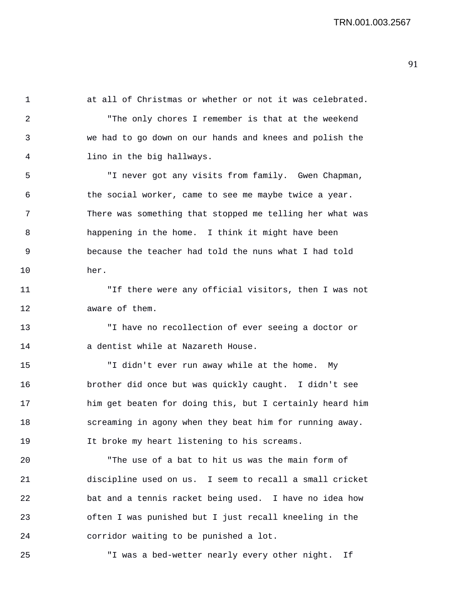1 at all of Christmas or whether or not it was celebrated. 2 "The only chores I remember is that at the weekend 3 we had to go down on our hands and knees and polish the 4 lino in the big hallways. 5 "I never got any visits from family. Gwen Chapman, 6 the social worker, came to see me maybe twice a year. 7 There was something that stopped me telling her what was 8 happening in the home. I think it might have been 9 because the teacher had told the nuns what I had told 10 her. 11 "If there were any official visitors, then I was not 12 aware of them. 13 "I have no recollection of ever seeing a doctor or 14 **a** dentist while at Nazareth House. 15 "I didn't ever run away while at the home. My 16 brother did once but was quickly caught. I didn't see 17 him get beaten for doing this, but I certainly heard him 18 screaming in agony when they beat him for running away. 19 It broke my heart listening to his screams.

20 "The use of a bat to hit us was the main form of 21 discipline used on us. I seem to recall a small cricket 22 bat and a tennis racket being used. I have no idea how 23 often I was punished but I just recall kneeling in the 24 corridor waiting to be punished a lot.

25 "I was a bed-wetter nearly every other night. If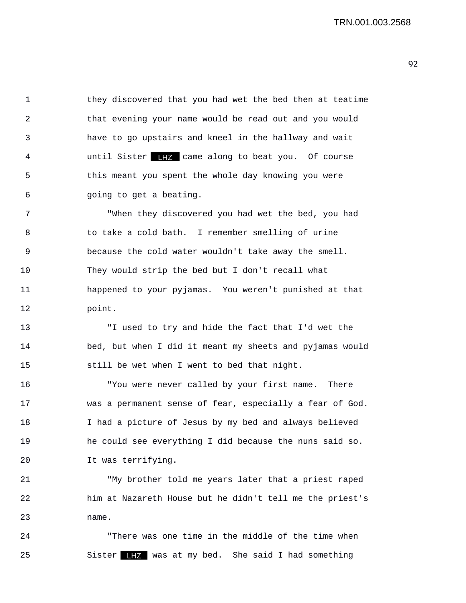1 they discovered that you had wet the bed then at teatime 2 that evening your name would be read out and you would 3 have to go upstairs and kneel in the hallway and wait 4 1 **until Sister IHZ** came along to beat you. Of course 5 this meant you spent the whole day knowing you were 6 going to get a beating.

7 "When they discovered you had wet the bed, you had 8 to take a cold bath. I remember smelling of urine 9 because the cold water wouldn't take away the smell. 10 They would strip the bed but I don't recall what 11 happened to your pyjamas. You weren't punished at that 12 point.

13 "I used to try and hide the fact that I'd wet the 14 bed, but when I did it meant my sheets and pyjamas would 15 still be wet when I went to bed that night.

16 "You were never called by your first name. There 17 was a permanent sense of fear, especially a fear of God. 18 I had a picture of Jesus by my bed and always believed 19 he could see everything I did because the nuns said so. 20 It was terrifying.

21 "My brother told me years later that a priest raped 22 him at Nazareth House but he didn't tell me the priest's 23 name.

24 "There was one time in the middle of the time when 25 Sister IIZ was at my bed. She said I had something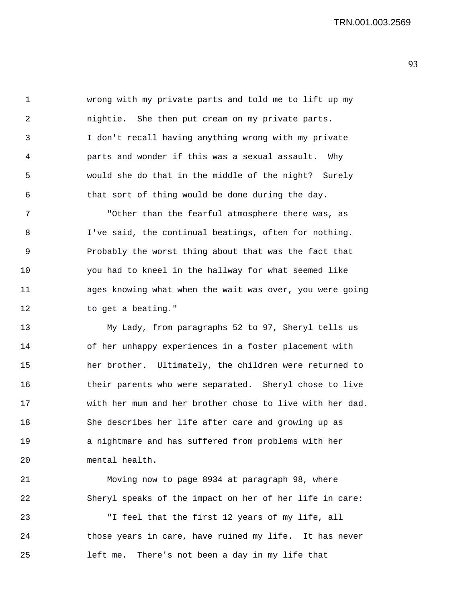TRN.001.003.2569

1 wrong with my private parts and told me to lift up my 2 nightie. She then put cream on my private parts. 3 I don't recall having anything wrong with my private 4 parts and wonder if this was a sexual assault. Why 5 would she do that in the middle of the night? Surely 6 that sort of thing would be done during the day.

7 "Other than the fearful atmosphere there was, as 8 I've said, the continual beatings, often for nothing. 9 Probably the worst thing about that was the fact that 10 you had to kneel in the hallway for what seemed like 11 ages knowing what when the wait was over, you were going 12 to get a beating."

13 My Lady, from paragraphs 52 to 97, Sheryl tells us 14 of her unhappy experiences in a foster placement with 15 her brother. Ultimately, the children were returned to 16 their parents who were separated. Sheryl chose to live 17 with her mum and her brother chose to live with her dad. 18 She describes her life after care and growing up as 19 a nightmare and has suffered from problems with her 20 mental health.

21 Moving now to page 8934 at paragraph 98, where 22 Sheryl speaks of the impact on her of her life in care: 23 "I feel that the first 12 years of my life, all 24 those years in care, have ruined my life. It has never 25 left me. There's not been a day in my life that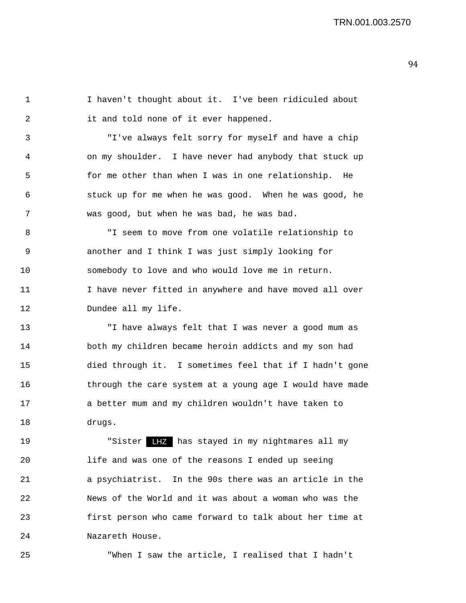1 I haven't thought about it. I've been ridiculed about 2 it and told none of it ever happened. 3 "I've always felt sorry for myself and have a chip 4 on my shoulder. I have never had anybody that stuck up 5 for me other than when I was in one relationship. He 6 stuck up for me when he was good. When he was good, he 7 was good, but when he was bad, he was bad. 8 "I seem to move from one volatile relationship to 9 another and I think I was just simply looking for 10 somebody to love and who would love me in return. 11 I have never fitted in anywhere and have moved all over 12 Dundee all my life. 13 "I have always felt that I was never a good mum as 14 both my children became heroin addicts and my son had 15 died through it. I sometimes feel that if I hadn't gone 16 through the care system at a young age I would have made 17 a better mum and my children wouldn't have taken to 18 drugs.

19 "Sister LHZ has stayed in my nightmares all my 20 life and was one of the reasons I ended up seeing 21 a psychiatrist. In the 90s there was an article in the 22 News of the World and it was about a woman who was the 23 first person who came forward to talk about her time at 24 Nazareth House.

25 "When I saw the article, I realised that I hadn't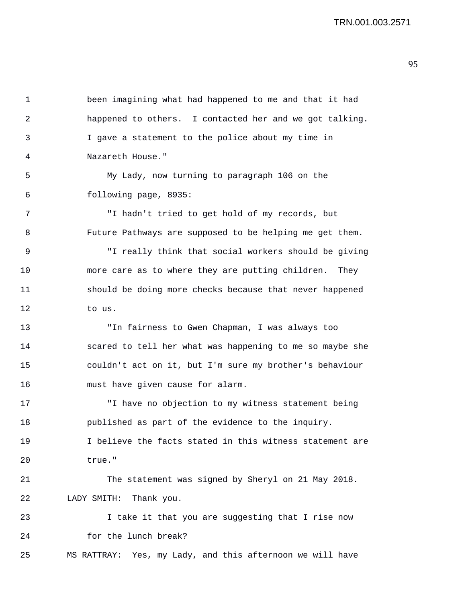TRN.001.003.2571

1 been imagining what had happened to me and that it had 2 happened to others. I contacted her and we got talking. 3 I gave a statement to the police about my time in 4 Nazareth House." 5 My Lady, now turning to paragraph 106 on the 6 following page, 8935: 7 "I hadn't tried to get hold of my records, but 8 Future Pathways are supposed to be helping me get them. 9 "I really think that social workers should be giving 10 more care as to where they are putting children. They 11 should be doing more checks because that never happened 12 to us. 13 "In fairness to Gwen Chapman, I was always too 14 scared to tell her what was happening to me so maybe she 15 couldn't act on it, but I'm sure my brother's behaviour 16 must have given cause for alarm. 17 "I have no objection to my witness statement being 18 published as part of the evidence to the inquiry. 19 I believe the facts stated in this witness statement are 20 true." 21 The statement was signed by Sheryl on 21 May 2018. 22 LADY SMITH: Thank you. 23 I take it that you are suggesting that I rise now 24 for the lunch break? 25 MS RATTRAY: Yes, my Lady, and this afternoon we will have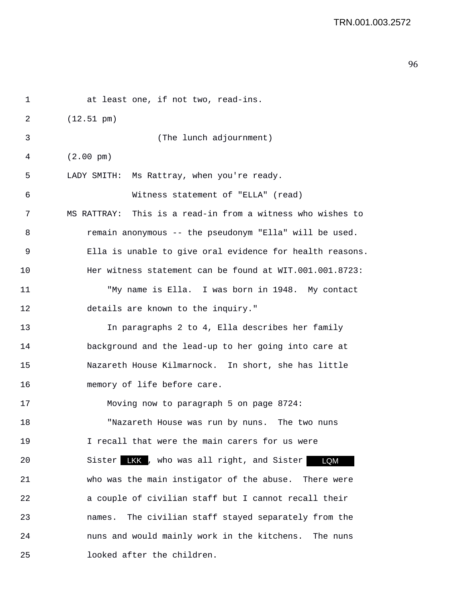1 at least one, if not two, read-ins. 2 (12.51 pm) 3 (The lunch adjournment) 4 (2.00 pm) 5 LADY SMITH: Ms Rattray, when you're ready. 6 Witness statement of "ELLA" (read) 7 MS RATTRAY: This is a read-in from a witness who wishes to 8 remain anonymous -- the pseudonym "Ella" will be used. 9 Ella is unable to give oral evidence for health reasons. 10 Her witness statement can be found at WIT.001.001.8723: 11 "My name is Ella. I was born in 1948. My contact 12 details are known to the inquiry." 13 In paragraphs 2 to 4, Ella describes her family 14 background and the lead-up to her going into care at 15 Nazareth House Kilmarnock. In short, she has little 16 memory of life before care. 17 Moving now to paragraph 5 on page 8724: 18 "Nazareth House was run by nuns. The two nuns 19 I recall that were the main carers for us were 20 Sister LKK, who was all right, and Sister LQM 21 who was the main instigator of the abuse. There were 22 a couple of civilian staff but I cannot recall their 23 names. The civilian staff stayed separately from the 24 nuns and would mainly work in the kitchens. The nuns 25 looked after the children.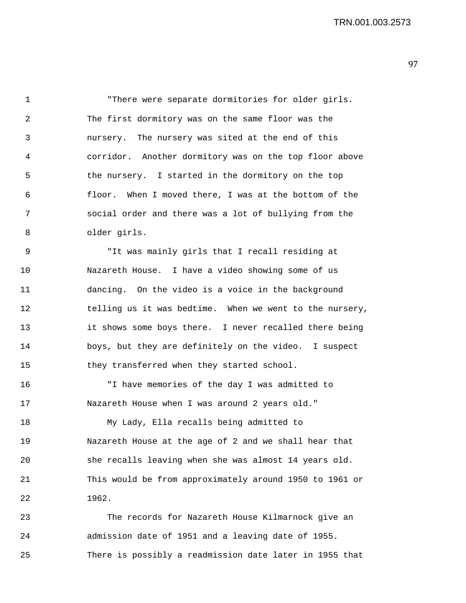TRN.001.003.2573

1 "There were separate dormitories for older girls. 2 The first dormitory was on the same floor was the 3 nursery. The nursery was sited at the end of this 4 corridor. Another dormitory was on the top floor above 5 the nursery. I started in the dormitory on the top 6 floor. When I moved there, I was at the bottom of the 7 social order and there was a lot of bullying from the 8 older girls.

9 "It was mainly girls that I recall residing at 10 Nazareth House. I have a video showing some of us 11 dancing. On the video is a voice in the background 12 telling us it was bedtime. When we went to the nursery, 13 it shows some boys there. I never recalled there being 14 boys, but they are definitely on the video. I suspect 15 they transferred when they started school.

16 "I have memories of the day I was admitted to 17 Nazareth House when I was around 2 years old."

18 My Lady, Ella recalls being admitted to 19 Nazareth House at the age of 2 and we shall hear that 20 she recalls leaving when she was almost 14 years old. 21 This would be from approximately around 1950 to 1961 or 22 1962.

23 The records for Nazareth House Kilmarnock give an 24 admission date of 1951 and a leaving date of 1955. 25 There is possibly a readmission date later in 1955 that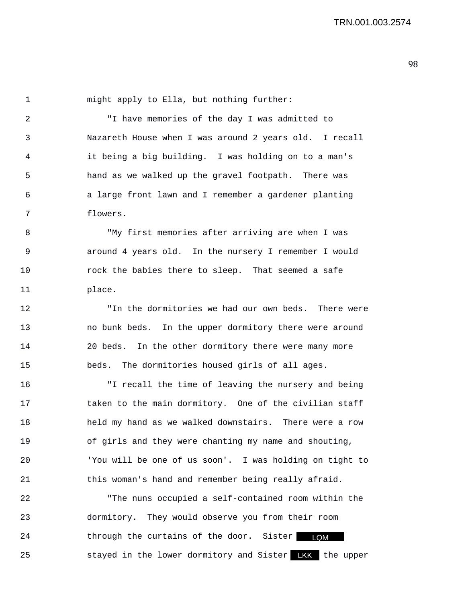| $\mathbf{1}$   | might apply to Ella, but nothing further:              |
|----------------|--------------------------------------------------------|
| $\mathfrak{D}$ | "I have memories of the day I was admitted to          |
| 3              | Nazareth House when I was around 2 years old. I recall |
| 4              | it being a big building. I was holding on to a man's   |
| 5              | hand as we walked up the gravel footpath. There was    |
| 6              | a large front lawn and I remember a gardener planting  |
| 7              | flowers.                                               |
| 8              | "My first memories after arriving are when I was       |
| 9              | around 4 years old. In the nursery I remember I would  |
| 10             | rock the babies there to sleep. That seemed a safe     |
| 11             | place.                                                 |
|                |                                                        |

12 "In the dormitories we had our own beds. There were 13 no bunk beds. In the upper dormitory there were around 14 20 beds. In the other dormitory there were many more 15 beds. The dormitories housed girls of all ages.

16 "I recall the time of leaving the nursery and being 17 taken to the main dormitory. One of the civilian staff 18 held my hand as we walked downstairs. There were a row 19 of girls and they were chanting my name and shouting, 20 'You will be one of us soon'. I was holding on tight to 21 this woman's hand and remember being really afraid.

22 "The nuns occupied a self-contained room within the 23 dormitory. They would observe you from their room 24 through the curtains of the door. Sister LOM 25 Stayed in the lower dormitory and Sister LKK the upper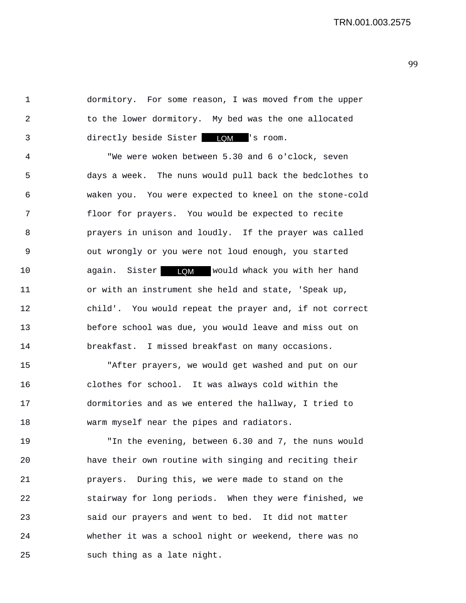1 dormitory. For some reason, I was moved from the upper 2 to the lower dormitory. My bed was the one allocated 3 directly beside Sister **LQM** 's room. 4 "We were woken between 5.30 and 6 o'clock, seven 5 days a week. The nuns would pull back the bedclothes to 6 waken you. You were expected to kneel on the stone-cold 7 floor for prayers. You would be expected to recite 8 prayers in unison and loudly. If the prayer was called 9 out wrongly or you were not loud enough, you started 10 again. Sister would whack you with her hand LQM11 or with an instrument she held and state, 'Speak up, 12 child'. You would repeat the prayer and, if not correct 13 before school was due, you would leave and miss out on 14 breakfast. I missed breakfast on many occasions.

15 "After prayers, we would get washed and put on our 16 clothes for school. It was always cold within the 17 dormitories and as we entered the hallway, I tried to 18 warm myself near the pipes and radiators.

19 "In the evening, between 6.30 and 7, the nuns would 20 have their own routine with singing and reciting their 21 prayers. During this, we were made to stand on the 22 stairway for long periods. When they were finished, we 23 said our prayers and went to bed. It did not matter 24 whether it was a school night or weekend, there was no 25 such thing as a late night.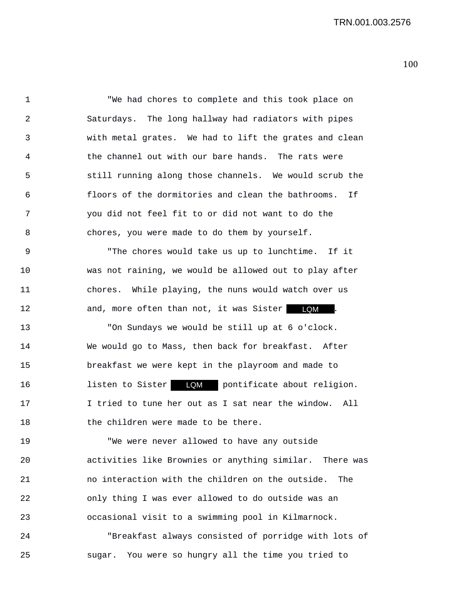1 "We had chores to complete and this took place on 2 Saturdays. The long hallway had radiators with pipes 3 with metal grates. We had to lift the grates and clean 4 the channel out with our bare hands. The rats were 5 still running along those channels. We would scrub the 6 floors of the dormitories and clean the bathrooms. If 7 you did not feel fit to or did not want to do the 8 chores, you were made to do them by yourself.

9 "The chores would take us up to lunchtime. If it 10 was not raining, we would be allowed out to play after 11 chores. While playing, the nuns would watch over us 12 and, more often than not, it was Sister **IQM** .

13 "On Sundays we would be still up at 6 o'clock. 14 We would go to Mass, then back for breakfast. After 15 breakfast we were kept in the playroom and made to 16 11 listen to Sister **LQM** pontificate about religion. 17 I tried to tune her out as I sat near the window. All 18 the children were made to be there.

19 "We were never allowed to have any outside 20 activities like Brownies or anything similar. There was 21 no interaction with the children on the outside. The 22 only thing I was ever allowed to do outside was an 23 occasional visit to a swimming pool in Kilmarnock.

24 "Breakfast always consisted of porridge with lots of 25 sugar. You were so hungry all the time you tried to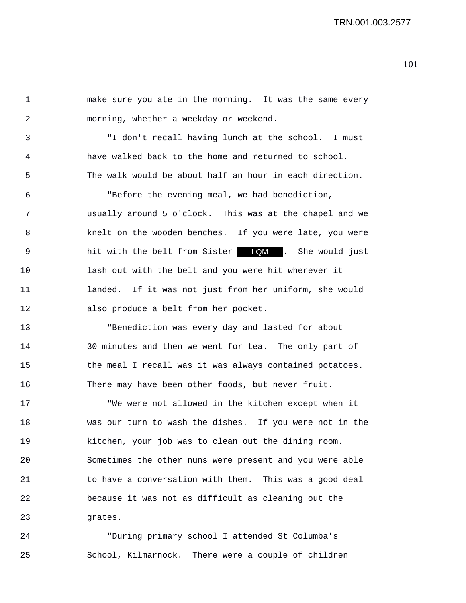1 make sure you ate in the morning. It was the same every 2 morning, whether a weekday or weekend. 3 "I don't recall having lunch at the school. I must 4 have walked back to the home and returned to school. 5 The walk would be about half an hour in each direction. 6 "Before the evening meal, we had benediction, 7 usually around 5 o'clock. This was at the chapel and we 8 knelt on the wooden benches. If you were late, you were 9 hit with the belt from Sister . She would just LQM10 lash out with the belt and you were hit wherever it 11 landed. If it was not just from her uniform, she would 12 also produce a belt from her pocket.

13 "Benediction was every day and lasted for about 14 30 minutes and then we went for tea. The only part of 15 the meal I recall was it was always contained potatoes. 16 There may have been other foods, but never fruit.

17 "We were not allowed in the kitchen except when it 18 was our turn to wash the dishes. If you were not in the 19 kitchen, your job was to clean out the dining room. 20 Sometimes the other nuns were present and you were able 21 to have a conversation with them. This was a good deal 22 because it was not as difficult as cleaning out the 23 grates.

24 "During primary school I attended St Columba's 25 School, Kilmarnock. There were a couple of children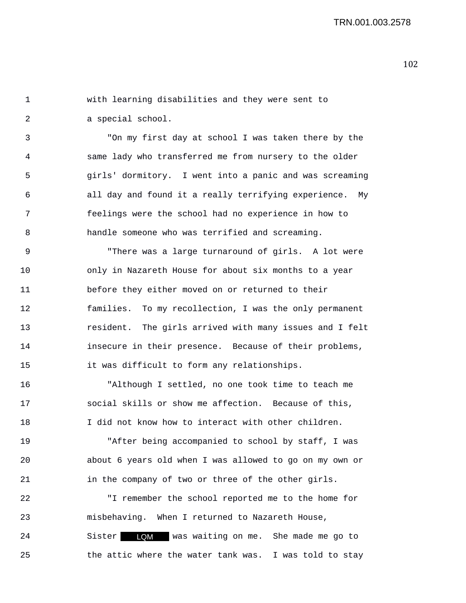1 with learning disabilities and they were sent to 2 a special school. 3 "On my first day at school I was taken there by the 4 same lady who transferred me from nursery to the older 5 girls' dormitory. I went into a panic and was screaming 6 all day and found it a really terrifying experience. My 7 feelings were the school had no experience in how to 8 handle someone who was terrified and screaming. 9 "There was a large turnaround of girls. A lot were 10 only in Nazareth House for about six months to a year 11 before they either moved on or returned to their

12 families. To my recollection, I was the only permanent 13 resident. The girls arrived with many issues and I felt 14 insecure in their presence. Because of their problems, 15 it was difficult to form any relationships.

16 "Although I settled, no one took time to teach me 17 social skills or show me affection. Because of this, 18 I did not know how to interact with other children.

19 "After being accompanied to school by staff, I was 20 about 6 years old when I was allowed to go on my own or 21 in the company of two or three of the other girls.

22 "I remember the school reported me to the home for 23 misbehaving. When I returned to Nazareth House,

24 Sister **QM** was waiting on me. She made me go to 25 the attic where the water tank was. I was told to stay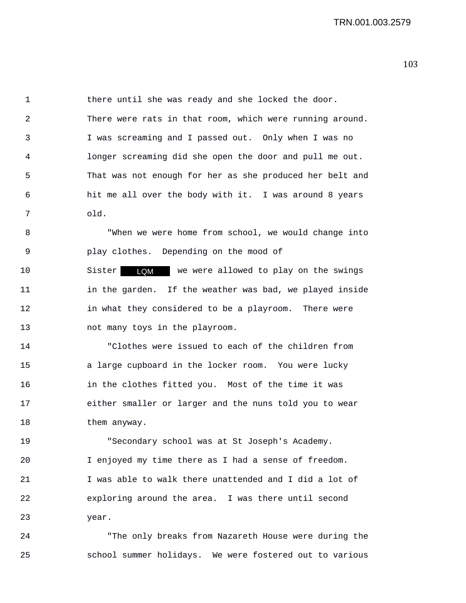TRN.001.003.2579

|   | there until she was ready and she locked the door.       |
|---|----------------------------------------------------------|
| 2 | There were rats in that room, which were running around. |
| 3 | I was screaming and I passed out. Only when I was no     |
| 4 | longer screaming did she open the door and pull me out.  |
| 5 | That was not enough for her as she produced her belt and |
| 6 | hit me all over the body with it. I was around 8 years   |
|   | old.                                                     |

8 "When we were home from school, we would change into 9 play clothes. Depending on the mood of 10 Sister LOW we were allowed to play on the swings 11 in the garden. If the weather was bad, we played inside 12 in what they considered to be a playroom. There were 13 not many toys in the playroom.

14 "Clothes were issued to each of the children from 15 a large cupboard in the locker room. You were lucky 16 in the clothes fitted you. Most of the time it was 17 either smaller or larger and the nuns told you to wear 18 them anyway.

19 "Secondary school was at St Joseph's Academy. 20 I enjoyed my time there as I had a sense of freedom. 21 I was able to walk there unattended and I did a lot of 22 exploring around the area. I was there until second 23 year.

24 "The only breaks from Nazareth House were during the 25 school summer holidays. We were fostered out to various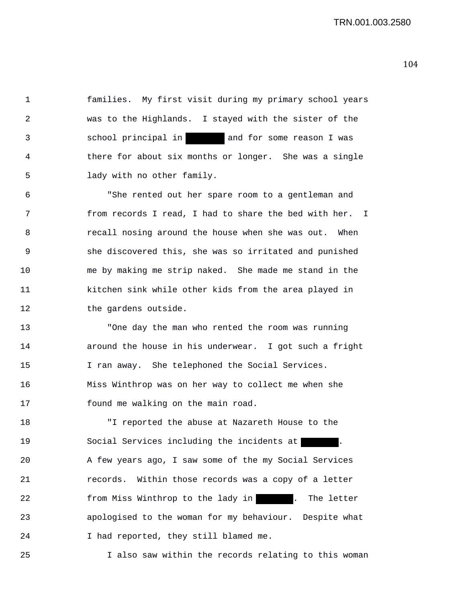TRN.001.003.2580

1 families. My first visit during my primary school years 2 was to the Highlands. I stayed with the sister of the 3 school principal in and for some reason I was 4 there for about six months or longer. She was a single 5 lady with no other family.

6 "She rented out her spare room to a gentleman and 7 from records I read, I had to share the bed with her. I 8 recall nosing around the house when she was out. When 9 she discovered this, she was so irritated and punished 10 me by making me strip naked. She made me stand in the 11 kitchen sink while other kids from the area played in 12 the gardens outside.

13 "One day the man who rented the room was running 14 around the house in his underwear. I got such a fright 15 I ran away. She telephoned the Social Services. 16 Miss Winthrop was on her way to collect me when she 17 found me walking on the main road.

18 "I reported the abuse at Nazareth House to the 19 Social Services including the incidents at . 20 A few years ago, I saw some of the my Social Services 21 records. Within those records was a copy of a letter 22 from Miss Winthrop to the lady in . The letter 23 apologised to the woman for my behaviour. Despite what 24 I had reported, they still blamed me.

25 I also saw within the records relating to this woman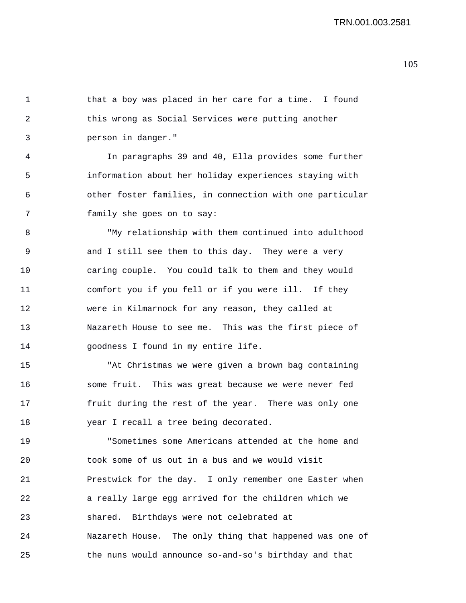1 that a boy was placed in her care for a time. I found 2 this wrong as Social Services were putting another 3 person in danger." 4 In paragraphs 39 and 40, Ella provides some further 5 information about her holiday experiences staying with 6 other foster families, in connection with one particular 7 family she goes on to say: 8 "My relationship with them continued into adulthood 9 and I still see them to this day. They were a very 10 caring couple. You could talk to them and they would 11 comfort you if you fell or if you were ill. If they 12 were in Kilmarnock for any reason, they called at 13 Nazareth House to see me. This was the first piece of 14 goodness I found in my entire life.

15 "At Christmas we were given a brown bag containing 16 some fruit. This was great because we were never fed 17 fruit during the rest of the year. There was only one 18 year I recall a tree being decorated.

19 "Sometimes some Americans attended at the home and 20 took some of us out in a bus and we would visit 21 Prestwick for the day. I only remember one Easter when 22 a really large egg arrived for the children which we 23 shared. Birthdays were not celebrated at 24 Nazareth House. The only thing that happened was one of 25 the nuns would announce so-and-so's birthday and that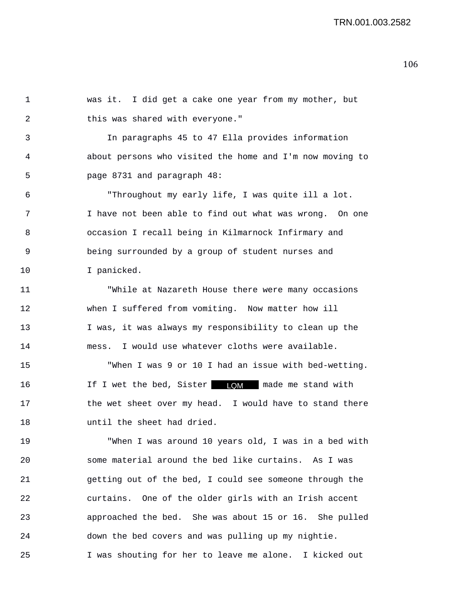1 was it. I did get a cake one year from my mother, but 2 this was shared with everyone." 3 In paragraphs 45 to 47 Ella provides information 4 about persons who visited the home and I'm now moving to 5 page 8731 and paragraph 48: 6 "Throughout my early life, I was quite ill a lot. 7 I have not been able to find out what was wrong. On one 8 occasion I recall being in Kilmarnock Infirmary and 9 being surrounded by a group of student nurses and 10 I panicked. 11 "While at Nazareth House there were many occasions 12 when I suffered from vomiting. Now matter how ill 13 I was, it was always my responsibility to clean up the 14 mess. I would use whatever cloths were available. 15 "When I was 9 or 10 I had an issue with bed-wetting. 16 If I wet the bed, Sister <mark>LQM</mark> made me stand with 17 the wet sheet over my head. I would have to stand there 18 until the sheet had dried. 19 "When I was around 10 years old, I was in a bed with 20 some material around the bed like curtains. As I was 21 getting out of the bed, I could see someone through the 22 curtains. One of the older girls with an Irish accent 23 approached the bed. She was about 15 or 16. She pulled 24 down the bed covers and was pulling up my nightie.

25 I was shouting for her to leave me alone. I kicked out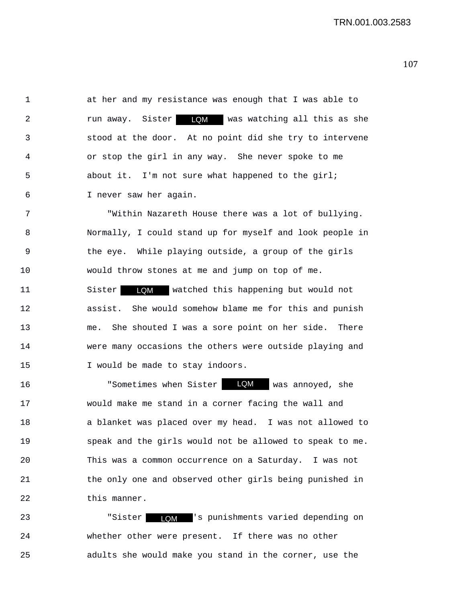1 at her and my resistance was enough that I was able to 2 run away. Sister was watching all this as she LQM 3 stood at the door. At no point did she try to intervene 4 or stop the girl in any way. She never spoke to me 5 about it. I'm not sure what happened to the girl; 6 I never saw her again.

7 "Within Nazareth House there was a lot of bullying. 8 Normally, I could stand up for myself and look people in 9 the eye. While playing outside, a group of the girls 10 would throw stones at me and jump on top of me.

11 Sister LOM watched this happening but would not 12 assist. She would somehow blame me for this and punish 13 me. She shouted I was a sore point on her side. There 14 were many occasions the others were outside playing and 15 I would be made to stay indoors.

16 The Sometimes when Sister **COM** was annoyed, she 17 would make me stand in a corner facing the wall and 18 a blanket was placed over my head. I was not allowed to 19 speak and the girls would not be allowed to speak to me. 20 This was a common occurrence on a Saturday. I was not 21 the only one and observed other girls being punished in 22 this manner.

23 "Sister 's punishments varied depending on LQM 24 whether other were present. If there was no other 25 adults she would make you stand in the corner, use the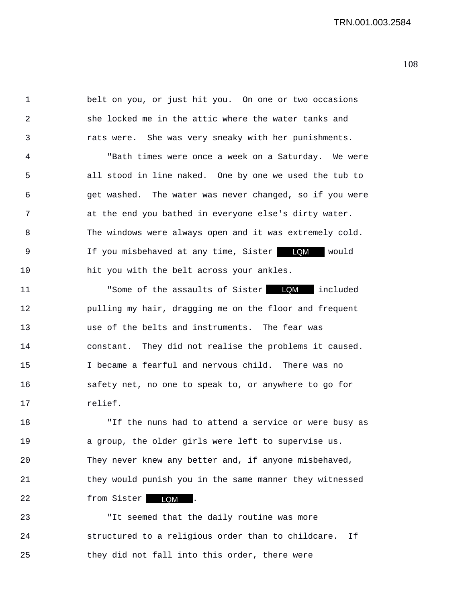1 belt on you, or just hit you. On one or two occasions 2 she locked me in the attic where the water tanks and 3 rats were. She was very sneaky with her punishments.

4 "Bath times were once a week on a Saturday. We were 5 all stood in line naked. One by one we used the tub to 6 get washed. The water was never changed, so if you were 7 at the end you bathed in everyone else's dirty water. 8 The windows were always open and it was extremely cold. 9 If you misbehaved at any time, Sister <mark>LQM</mark> would 10 hit you with the belt across your ankles.

11 The Some of the assaults of Sister **LQM** included 12 pulling my hair, dragging me on the floor and frequent 13 use of the belts and instruments. The fear was 14 constant. They did not realise the problems it caused. 15 I became a fearful and nervous child. There was no 16 safety net, no one to speak to, or anywhere to go for 17 relief.

18 "If the nuns had to attend a service or were busy as 19 a group, the older girls were left to supervise us. 20 They never knew any better and, if anyone misbehaved, 21 they would punish you in the same manner they witnessed 22 from Sister **LQM** .

23 "It seemed that the daily routine was more 24 structured to a religious order than to childcare. If 25 they did not fall into this order, there were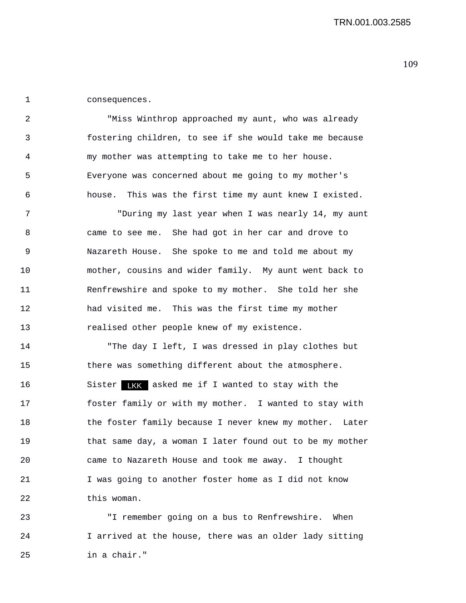1 consequences.

2 "Miss Winthrop approached my aunt, who was already 3 fostering children, to see if she would take me because 4 my mother was attempting to take me to her house. 5 Everyone was concerned about me going to my mother's 6 house. This was the first time my aunt knew I existed.

7 "During my last year when I was nearly 14, my aunt 8 came to see me. She had got in her car and drove to 9 Nazareth House. She spoke to me and told me about my 10 mother, cousins and wider family. My aunt went back to 11 Renfrewshire and spoke to my mother. She told her she 12 had visited me. This was the first time my mother 13 realised other people knew of my existence.

14 "The day I left, I was dressed in play clothes but 15 there was something different about the atmosphere. 16 Sister LKK asked me if I wanted to stay with the 17 foster family or with my mother. I wanted to stay with 18 the foster family because I never knew my mother. Later 19 that same day, a woman I later found out to be my mother 20 came to Nazareth House and took me away. I thought 21 I was going to another foster home as I did not know 22 this woman.

23 "I remember going on a bus to Renfrewshire. When 24 I arrived at the house, there was an older lady sitting 25 in a chair."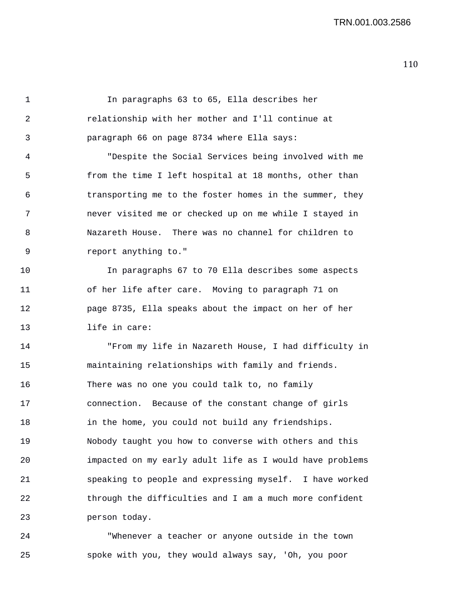1 In paragraphs 63 to 65, Ella describes her 2 relationship with her mother and I'll continue at 3 paragraph 66 on page 8734 where Ella says: 4 "Despite the Social Services being involved with me 5 from the time I left hospital at 18 months, other than 6 transporting me to the foster homes in the summer, they 7 never visited me or checked up on me while I stayed in 8 Nazareth House. There was no channel for children to 9 report anything to." 10 In paragraphs 67 to 70 Ella describes some aspects 11 of her life after care. Moving to paragraph 71 on 12 page 8735, Ella speaks about the impact on her of her 13 life in care: 14 "From my life in Nazareth House, I had difficulty in 15 maintaining relationships with family and friends. 16 There was no one you could talk to, no family 17 connection. Because of the constant change of girls 18 in the home, you could not build any friendships. 19 Nobody taught you how to converse with others and this 20 impacted on my early adult life as I would have problems 21 speaking to people and expressing myself. I have worked 22 through the difficulties and I am a much more confident 23 person today.

24 "Whenever a teacher or anyone outside in the town 25 spoke with you, they would always say, 'Oh, you poor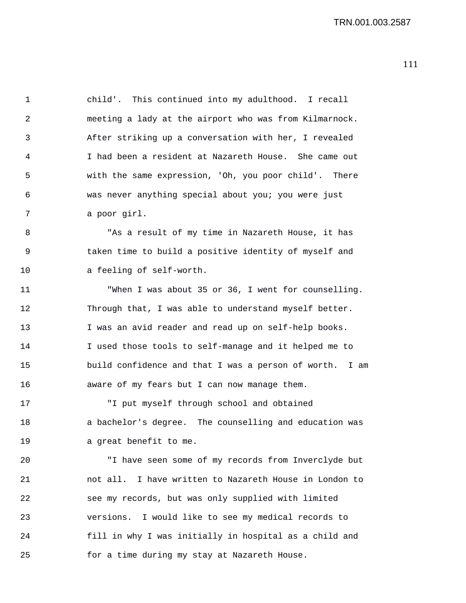1 child'. This continued into my adulthood. I recall 2 meeting a lady at the airport who was from Kilmarnock. 3 After striking up a conversation with her, I revealed 4 I had been a resident at Nazareth House. She came out 5 with the same expression, 'Oh, you poor child'. There 6 was never anything special about you; you were just 7 a poor girl. 8 "As a result of my time in Nazareth House, it has 9 taken time to build a positive identity of myself and 10 a feeling of self-worth. 11 "When I was about 35 or 36, I went for counselling. 12 Through that, I was able to understand myself better. 13 I was an avid reader and read up on self-help books. 14 I used those tools to self-manage and it helped me to 15 build confidence and that I was a person of worth. I am 16 aware of my fears but I can now manage them.

17 "I put myself through school and obtained 18 a bachelor's degree. The counselling and education was 19 a great benefit to me.

20 "I have seen some of my records from Inverclyde but 21 not all. I have written to Nazareth House in London to 22 see my records, but was only supplied with limited 23 versions. I would like to see my medical records to 24 fill in why I was initially in hospital as a child and 25 for a time during my stay at Nazareth House.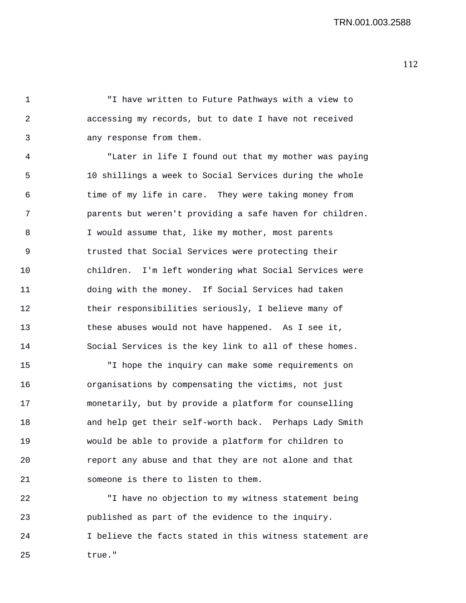1 "I have written to Future Pathways with a view to 2 accessing my records, but to date I have not received 3 any response from them.

4 "Later in life I found out that my mother was paying 5 10 shillings a week to Social Services during the whole 6 time of my life in care. They were taking money from 7 parents but weren't providing a safe haven for children. 8 I would assume that, like my mother, most parents 9 trusted that Social Services were protecting their 10 children. I'm left wondering what Social Services were 11 doing with the money. If Social Services had taken 12 their responsibilities seriously, I believe many of 13 these abuses would not have happened. As I see it, 14 Social Services is the key link to all of these homes.

15 "I hope the inquiry can make some requirements on 16 organisations by compensating the victims, not just 17 monetarily, but by provide a platform for counselling 18 and help get their self-worth back. Perhaps Lady Smith 19 would be able to provide a platform for children to 20 report any abuse and that they are not alone and that 21 someone is there to listen to them.

22 "I have no objection to my witness statement being 23 published as part of the evidence to the inquiry. 24 I believe the facts stated in this witness statement are 25 true."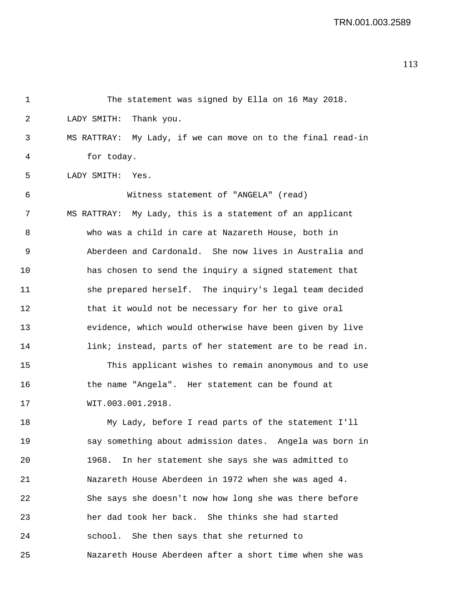| 1  | The statement was signed by Ella on 16 May 2018.            |
|----|-------------------------------------------------------------|
| 2  | Thank you.<br>LADY SMITH:                                   |
| 3  | MS RATTRAY: My Lady, if we can move on to the final read-in |
| 4  | for today.                                                  |
| 5  | LADY SMITH: Yes.                                            |
| 6  | Witness statement of "ANGELA" (read)                        |
| 7  | MS RATTRAY: My Lady, this is a statement of an applicant    |
| 8  | who was a child in care at Nazareth House, both in          |
| 9  | Aberdeen and Cardonald. She now lives in Australia and      |
| 10 | has chosen to send the inquiry a signed statement that      |
| 11 | she prepared herself. The inquiry's legal team decided      |
| 12 | that it would not be necessary for her to give oral         |
| 13 | evidence, which would otherwise have been given by live     |
| 14 | link; instead, parts of her statement are to be read in.    |
| 15 | This applicant wishes to remain anonymous and to use        |
| 16 | the name "Angela". Her statement can be found at            |
| 17 | WIT.003.001.2918.                                           |
| 18 | My Lady, before I read parts of the statement I'll          |
| 19 | say something about admission dates. Angela was born in     |
| 20 | In her statement she says she was admitted to<br>1968.      |
| 21 | Nazareth House Aberdeen in 1972 when she was aged 4.        |
| 22 | She says she doesn't now how long she was there before      |
| 23 | her dad took her back. She thinks she had started           |
| 24 | school. She then says that she returned to                  |
| 25 | Nazareth House Aberdeen after a short time when she was     |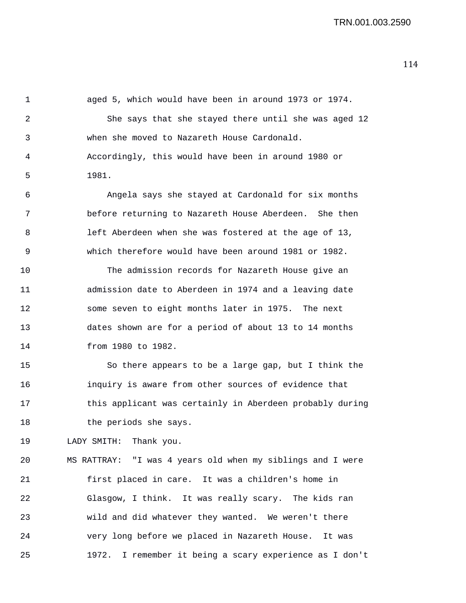| I |     |  |
|---|-----|--|
|   | . . |  |

aged 5, which would have been in around 1973 or 1974.

2 She says that she stayed there until she was aged 12 3 when she moved to Nazareth House Cardonald. 4 Accordingly, this would have been in around 1980 or 5 1981.

6 Angela says she stayed at Cardonald for six months 7 before returning to Nazareth House Aberdeen. She then 8 left Aberdeen when she was fostered at the age of 13, 9 which therefore would have been around 1981 or 1982.

10 The admission records for Nazareth House give an 11 admission date to Aberdeen in 1974 and a leaving date 12 some seven to eight months later in 1975. The next 13 dates shown are for a period of about 13 to 14 months 14 from 1980 to 1982.

15 So there appears to be a large gap, but I think the 16 inquiry is aware from other sources of evidence that 17 this applicant was certainly in Aberdeen probably during 18 the periods she says.

19 LADY SMITH: Thank you.

20 MS RATTRAY: "I was 4 years old when my siblings and I were 21 first placed in care. It was a children's home in 22 Glasgow, I think. It was really scary. The kids ran 23 wild and did whatever they wanted. We weren't there 24 very long before we placed in Nazareth House. It was 25 1972. I remember it being a scary experience as I don't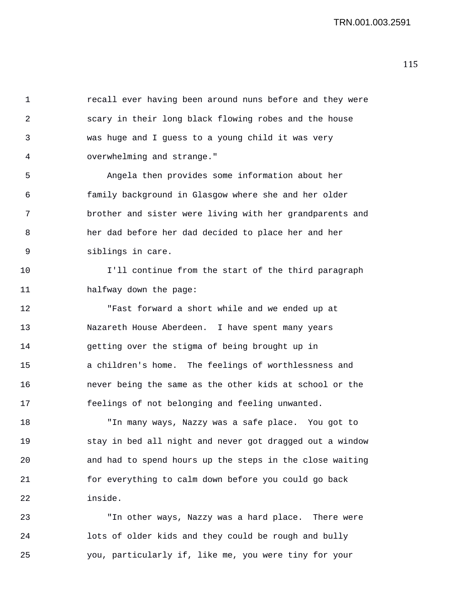1 recall ever having been around nuns before and they were 2 scary in their long black flowing robes and the house 3 was huge and I guess to a young child it was very 4 overwhelming and strange." 5 Angela then provides some information about her 6 family background in Glasgow where she and her older 7 brother and sister were living with her grandparents and 8 her dad before her dad decided to place her and her 9 siblings in care. 10 I'll continue from the start of the third paragraph 11 halfway down the page: 12 "Fast forward a short while and we ended up at 13 Nazareth House Aberdeen. I have spent many years

14 getting over the stigma of being brought up in 15 a children's home. The feelings of worthlessness and 16 never being the same as the other kids at school or the 17 feelings of not belonging and feeling unwanted.

18 "In many ways, Nazzy was a safe place. You got to 19 stay in bed all night and never got dragged out a window 20 and had to spend hours up the steps in the close waiting 21 for everything to calm down before you could go back 22 inside.

23 "In other ways, Nazzy was a hard place. There were 24 lots of older kids and they could be rough and bully 25 you, particularly if, like me, you were tiny for your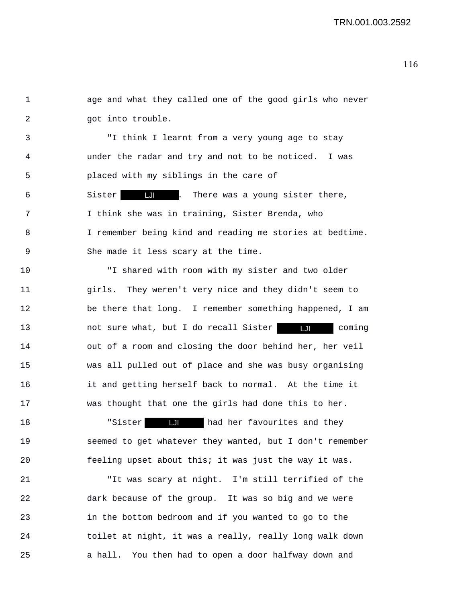1 age and what they called one of the good girls who never 2 got into trouble.

3 "I think I learnt from a very young age to stay 4 under the radar and try and not to be noticed. I was 5 placed with my siblings in the care of

6 Sister LUI . There was a young sister there, 7 I think she was in training, Sister Brenda, who 8 I remember being kind and reading me stories at bedtime. 9 She made it less scary at the time.

10 "I shared with room with my sister and two older 11 girls. They weren't very nice and they didn't seem to 12 be there that long. I remember something happened, I am 13 hot sure what, but I do recall Sister that coming 14 out of a room and closing the door behind her, her veil 15 was all pulled out of place and she was busy organising 16 it and getting herself back to normal. At the time it 17 was thought that one the girls had done this to her.

18 The Sister **LJ** and her favourites and they 19 seemed to get whatever they wanted, but I don't remember 20 feeling upset about this; it was just the way it was.

21 "It was scary at night. I'm still terrified of the 22 dark because of the group. It was so big and we were 23 in the bottom bedroom and if you wanted to go to the 24 toilet at night, it was a really, really long walk down 25 a hall. You then had to open a door halfway down and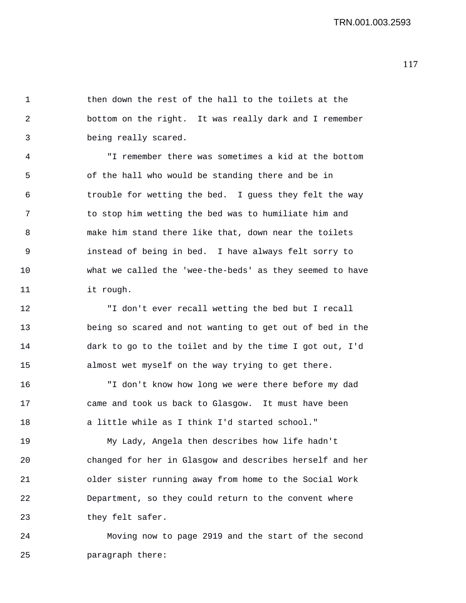1 then down the rest of the hall to the toilets at the 2 bottom on the right. It was really dark and I remember 3 being really scared.

4 "I remember there was sometimes a kid at the bottom 5 of the hall who would be standing there and be in 6 trouble for wetting the bed. I guess they felt the way 7 to stop him wetting the bed was to humiliate him and 8 make him stand there like that, down near the toilets 9 instead of being in bed. I have always felt sorry to 10 what we called the 'wee-the-beds' as they seemed to have 11 it rough.

12 "I don't ever recall wetting the bed but I recall 13 being so scared and not wanting to get out of bed in the 14 dark to go to the toilet and by the time I got out, I'd 15 almost wet myself on the way trying to get there.

16 "I don't know how long we were there before my dad 17 came and took us back to Glasgow. It must have been 18 a little while as I think I'd started school."

19 My Lady, Angela then describes how life hadn't 20 changed for her in Glasgow and describes herself and her 21 older sister running away from home to the Social Work 22 Department, so they could return to the convent where 23 they felt safer.

24 Moving now to page 2919 and the start of the second 25 paragraph there: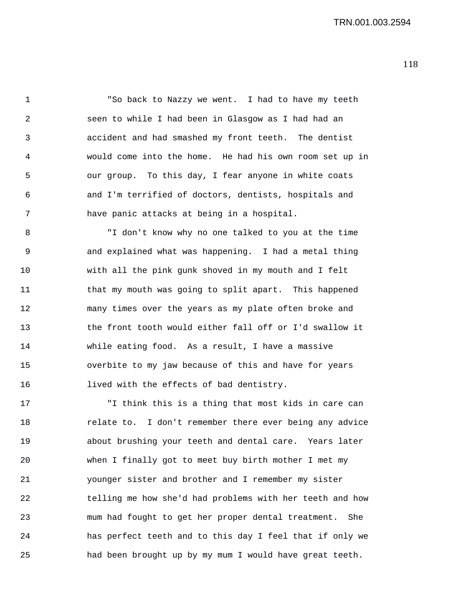1 "So back to Nazzy we went. I had to have my teeth 2 seen to while I had been in Glasgow as I had had an 3 accident and had smashed my front teeth. The dentist 4 would come into the home. He had his own room set up in 5 our group. To this day, I fear anyone in white coats 6 and I'm terrified of doctors, dentists, hospitals and 7 have panic attacks at being in a hospital.

8 "I don't know why no one talked to you at the time 9 and explained what was happening. I had a metal thing 10 with all the pink gunk shoved in my mouth and I felt 11 that my mouth was going to split apart. This happened 12 many times over the years as my plate often broke and 13 the front tooth would either fall off or I'd swallow it 14 while eating food. As a result, I have a massive 15 overbite to my jaw because of this and have for years 16 lived with the effects of bad dentistry.

17 "I think this is a thing that most kids in care can 18 relate to. I don't remember there ever being any advice 19 about brushing your teeth and dental care. Years later 20 when I finally got to meet buy birth mother I met my 21 younger sister and brother and I remember my sister 22 telling me how she'd had problems with her teeth and how 23 mum had fought to get her proper dental treatment. She 24 has perfect teeth and to this day I feel that if only we 25 had been brought up by my mum I would have great teeth.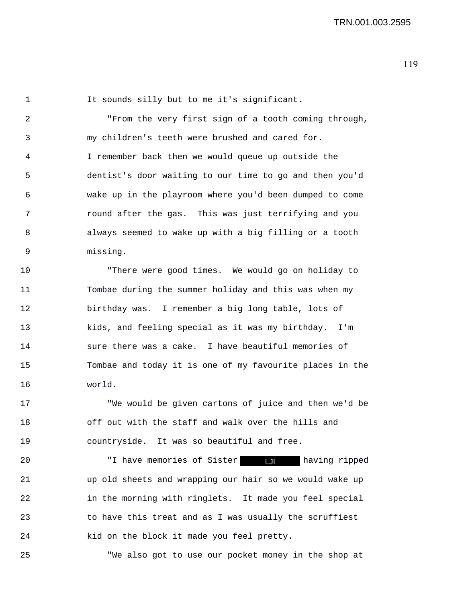1 It sounds silly but to me it's significant.

2 "From the very first sign of a tooth coming through, 3 my children's teeth were brushed and cared for. 4 I remember back then we would queue up outside the 5 dentist's door waiting to our time to go and then you'd 6 wake up in the playroom where you'd been dumped to come 7 round after the gas. This was just terrifying and you 8 always seemed to wake up with a big filling or a tooth 9 missing.

10 "There were good times. We would go on holiday to 11 Tombae during the summer holiday and this was when my 12 birthday was. I remember a big long table, lots of 13 kids, and feeling special as it was my birthday. I'm 14 sure there was a cake. I have beautiful memories of 15 Tombae and today it is one of my favourite places in the 16 world.

17 "We would be given cartons of juice and then we'd be 18 off out with the staff and walk over the hills and 19 countryside. It was so beautiful and free.

20 TI have memories of Sister **in Times of Sister** and the having ripped 21 up old sheets and wrapping our hair so we would wake up 22 in the morning with ringlets. It made you feel special 23 to have this treat and as I was usually the scruffiest 24 kid on the block it made you feel pretty.

25 "We also got to use our pocket money in the shop at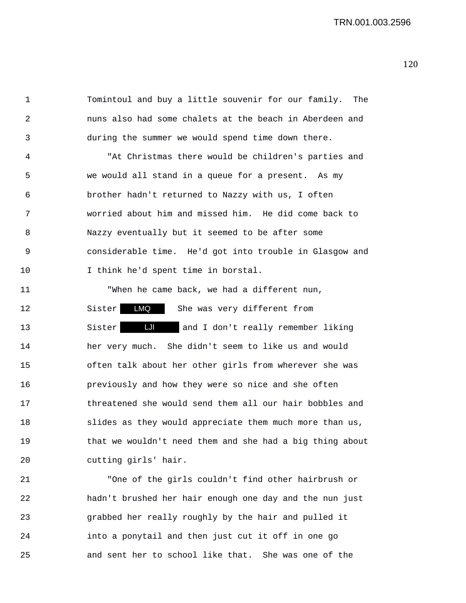1 Tomintoul and buy a little souvenir for our family. The 2 nuns also had some chalets at the beach in Aberdeen and 3 during the summer we would spend time down there.

4 "At Christmas there would be children's parties and 5 we would all stand in a queue for a present. As my 6 brother hadn't returned to Nazzy with us, I often 7 worried about him and missed him. He did come back to 8 Nazzy eventually but it seemed to be after some 9 considerable time. He'd got into trouble in Glasgow and 10 I think he'd spent time in borstal.

11 "When he came back, we had a different nun, 12 Sister LMQ She was very different from 13 Sister Lull and I don't really remember liking 14 her very much. She didn't seem to like us and would 15 often talk about her other girls from wherever she was 16 previously and how they were so nice and she often 17 threatened she would send them all our hair bobbles and 18 slides as they would appreciate them much more than us, 19 that we wouldn't need them and she had a big thing about 20 cutting girls' hair.

21 "One of the girls couldn't find other hairbrush or 22 hadn't brushed her hair enough one day and the nun just 23 grabbed her really roughly by the hair and pulled it 24 into a ponytail and then just cut it off in one go 25 and sent her to school like that. She was one of the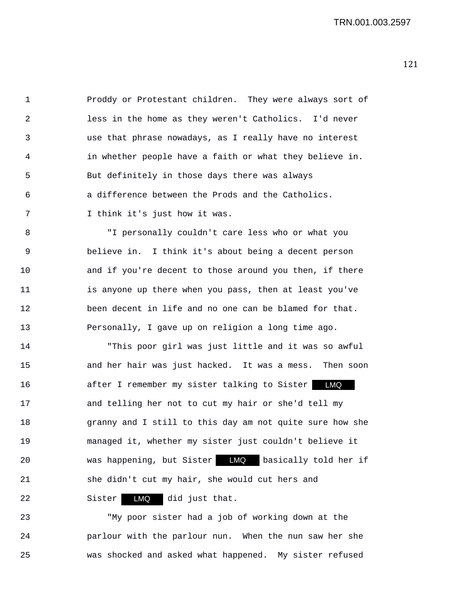| 1              | Proddy or Protestant children. They were always sort of |
|----------------|---------------------------------------------------------|
| $\mathfrak{D}$ | less in the home as they weren't Catholics. I'd never   |
| 3              | use that phrase nowadays, as I really have no interest  |
| 4              | in whether people have a faith or what they believe in. |
| 5              | But definitely in those days there was always           |
| 6              | a difference between the Prods and the Catholics.       |
| 7              | I think it's just how it was.                           |
| 8              | "I personally couldn't care less who or what you        |
| 9              | believe in. I think it's about being a decent person    |

10 and if you're decent to those around you then, if there 11 is anyone up there when you pass, then at least you've 12 been decent in life and no one can be blamed for that. 13 Personally, I gave up on religion a long time ago.

14 "This poor girl was just little and it was so awful 15 and her hair was just hacked. It was a mess. Then soon 16 I remember my sister talking to Sister <mark>IMQ</mark> 17 and telling her not to cut my hair or she'd tell my 18 granny and I still to this day am not quite sure how she 19 managed it, whether my sister just couldn't believe it 20 was happening, but Sister **LMQ** basically told her if 21 she didn't cut my hair, she would cut hers and 22 Sister **LMQ** did just that.

23 "My poor sister had a job of working down at the 24 parlour with the parlour nun. When the nun saw her she 25 was shocked and asked what happened. My sister refused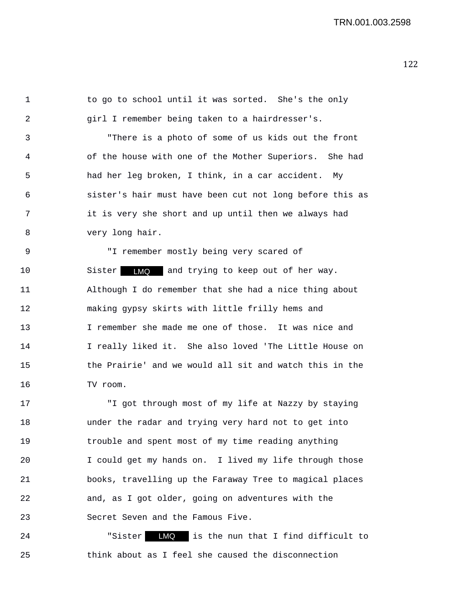1 to go to school until it was sorted. She's the only 2 girl I remember being taken to a hairdresser's.

3 "There is a photo of some of us kids out the front 4 of the house with one of the Mother Superiors. She had 5 had her leg broken, I think, in a car accident. My 6 sister's hair must have been cut not long before this as 7 it is very she short and up until then we always had 8 very long hair.

9 "I remember mostly being very scared of 10 Sister **IMQ** and trying to keep out of her way. 11 Although I do remember that she had a nice thing about 12 making gypsy skirts with little frilly hems and 13 I remember she made me one of those. It was nice and 14 I really liked it. She also loved 'The Little House on 15 the Prairie' and we would all sit and watch this in the 16 TV room.

17 "I got through most of my life at Nazzy by staying 18 under the radar and trying very hard not to get into 19 trouble and spent most of my time reading anything 20 I could get my hands on. I lived my life through those 21 books, travelling up the Faraway Tree to magical places 22 and, as I got older, going on adventures with the 23 Secret Seven and the Famous Five.

24 Sister **LMQ** is the nun that I find difficult to 25 think about as I feel she caused the disconnection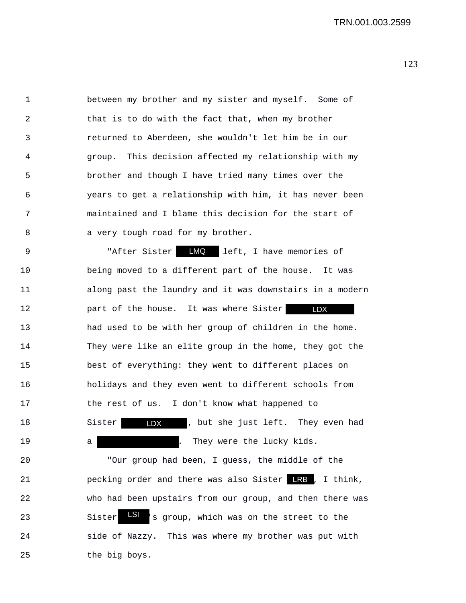1 between my brother and my sister and myself. Some of 2 that is to do with the fact that, when my brother 3 returned to Aberdeen, she wouldn't let him be in our 4 group. This decision affected my relationship with my 5 brother and though I have tried many times over the 6 years to get a relationship with him, it has never been 7 maintained and I blame this decision for the start of 8 a very tough road for my brother.

9 The "After Sister **LMQ** left, I have memories of 10 being moved to a different part of the house. It was 11 along past the laundry and it was downstairs in a modern 12 **part of the house.** It was where Sister **LDX** 13 had used to be with her group of children in the home. 14 They were like an elite group in the home, they got the 15 best of everything: they went to different places on 16 holidays and they even went to different schools from 17 the rest of us. I don't know what happened to 18 Sister **LDX** , but she just left. They even had LDX

19 a . They were the lucky kids. 20 "Our group had been, I guess, the middle of the

21 **pecking order and there was also Sister LRB**, I think, 22 who had been upstairs from our group, and then there was 23 Sister SI 's group, which was on the street to the 24 side of Nazzy. This was where my brother was put with 25 the big boys.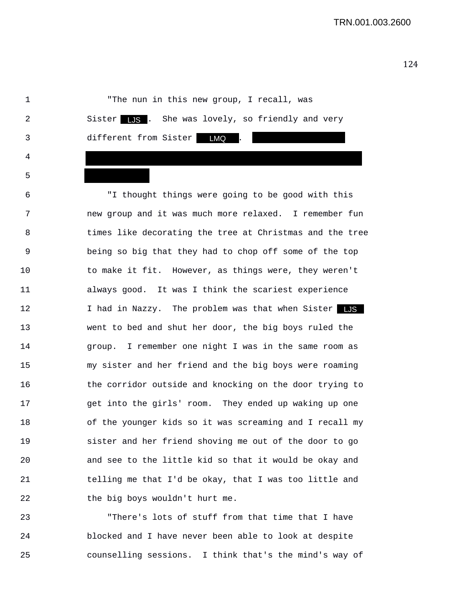|   | "The nun in this new group, I recall, was                |
|---|----------------------------------------------------------|
| 2 | Sister <b>I.S</b> . She was lovely, so friendly and very |
|   | different from Sister LMQ .                              |
| 4 |                                                          |

4

5

6 "I thought things were going to be good with this 7 new group and it was much more relaxed. I remember fun 8 times like decorating the tree at Christmas and the tree 9 being so big that they had to chop off some of the top 10 to make it fit. However, as things were, they weren't 11 always good. It was I think the scariest experience 12 I had in Nazzy. The problem was that when Sister LUS 13 went to bed and shut her door, the big boys ruled the 14 group. I remember one night I was in the same room as 15 my sister and her friend and the big boys were roaming 16 the corridor outside and knocking on the door trying to 17 get into the girls' room. They ended up waking up one 18 of the younger kids so it was screaming and I recall my 19 sister and her friend shoving me out of the door to go 20 and see to the little kid so that it would be okay and 21 telling me that I'd be okay, that I was too little and 22 the big boys wouldn't hurt me.

23 "There's lots of stuff from that time that I have 24 blocked and I have never been able to look at despite 25 counselling sessions. I think that's the mind's way of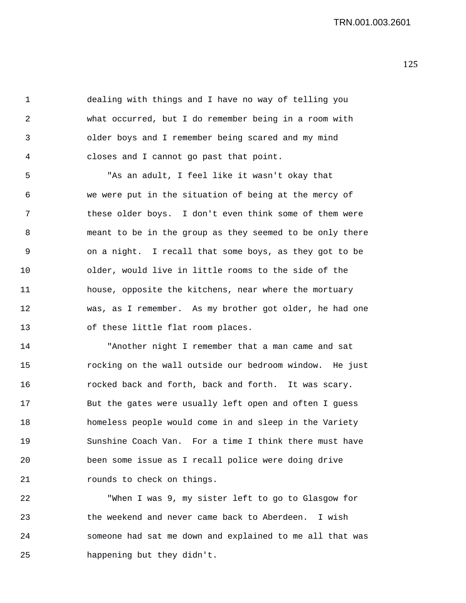1 dealing with things and I have no way of telling you 2 what occurred, but I do remember being in a room with 3 older boys and I remember being scared and my mind 4 closes and I cannot go past that point.

5 "As an adult, I feel like it wasn't okay that 6 we were put in the situation of being at the mercy of 7 these older boys. I don't even think some of them were 8 meant to be in the group as they seemed to be only there 9 on a night. I recall that some boys, as they got to be 10 older, would live in little rooms to the side of the 11 house, opposite the kitchens, near where the mortuary 12 was, as I remember. As my brother got older, he had one 13 of these little flat room places.

14 "Another night I remember that a man came and sat 15 rocking on the wall outside our bedroom window. He just 16 rocked back and forth, back and forth. It was scary. 17 But the gates were usually left open and often I guess 18 homeless people would come in and sleep in the Variety 19 Sunshine Coach Van. For a time I think there must have 20 been some issue as I recall police were doing drive 21 **rounds** to check on things.

22 "When I was 9, my sister left to go to Glasgow for 23 the weekend and never came back to Aberdeen. I wish 24 someone had sat me down and explained to me all that was 25 happening but they didn't.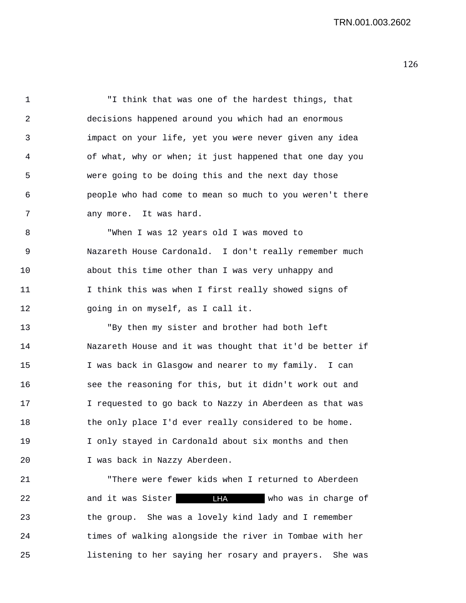1 "I think that was one of the hardest things, that 2 decisions happened around you which had an enormous 3 impact on your life, yet you were never given any idea 4 of what, why or when; it just happened that one day you 5 were going to be doing this and the next day those 6 people who had come to mean so much to you weren't there 7 any more. It was hard.

8 "When I was 12 years old I was moved to 9 Nazareth House Cardonald. I don't really remember much 10 about this time other than I was very unhappy and 11 I think this was when I first really showed signs of 12 going in on myself, as I call it.

13 "By then my sister and brother had both left 14 Nazareth House and it was thought that it'd be better if 15 I was back in Glasgow and nearer to my family. I can 16 see the reasoning for this, but it didn't work out and 17 I requested to go back to Nazzy in Aberdeen as that was 18 the only place I'd ever really considered to be home. 19 I only stayed in Cardonald about six months and then 20 I was back in Nazzy Aberdeen.

21 "There were fewer kids when I returned to Aberdeen 22 and it was Sister **LHA** who was in charge of 23 the group. She was a lovely kind lady and I remember 24 times of walking alongside the river in Tombae with her 25 listening to her saying her rosary and prayers. She was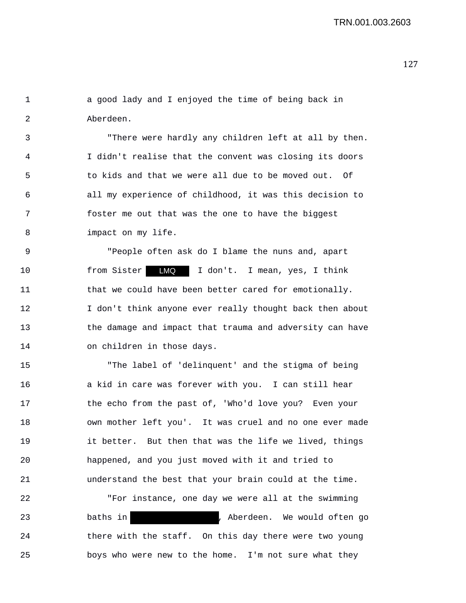1 a good lady and I enjoyed the time of being back in 2 Aberdeen.

3 "There were hardly any children left at all by then. 4 I didn't realise that the convent was closing its doors 5 to kids and that we were all due to be moved out. Of 6 all my experience of childhood, it was this decision to 7 foster me out that was the one to have the biggest 8 impact on my life.

9 "People often ask do I blame the nuns and, apart 10 from Sister **LMQ** I don't. I mean, yes, I think 11 that we could have been better cared for emotionally. 12 I don't think anyone ever really thought back then about 13 the damage and impact that trauma and adversity can have 14 on children in those days.

15 "The label of 'delinquent' and the stigma of being 16 **a** kid in care was forever with you. I can still hear 17 the echo from the past of, 'Who'd love you? Even your 18 own mother left you'. It was cruel and no one ever made 19 it better. But then that was the life we lived, things 20 happened, and you just moved with it and tried to 21 understand the best that your brain could at the time.

22 "For instance, one day we were all at the swimming 23 baths in , Aberdeen. We would often go 24 there with the staff. On this day there were two young 25 boys who were new to the home. I'm not sure what they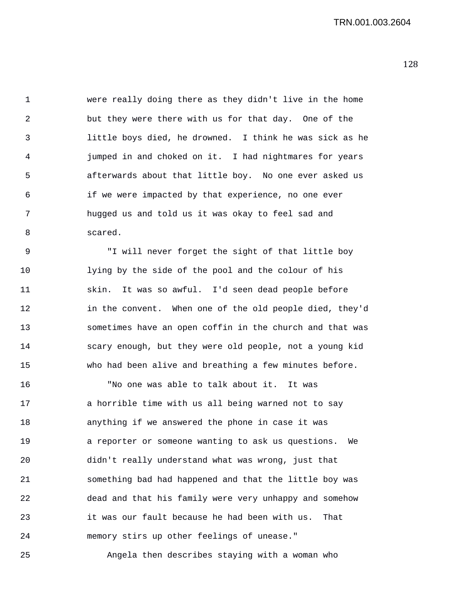1 were really doing there as they didn't live in the home 2 but they were there with us for that day. One of the 3 little boys died, he drowned. I think he was sick as he 4 jumped in and choked on it. I had nightmares for years 5 afterwards about that little boy. No one ever asked us 6 if we were impacted by that experience, no one ever 7 hugged us and told us it was okay to feel sad and 8 scared.

9 "I will never forget the sight of that little boy 10 lying by the side of the pool and the colour of his 11 skin. It was so awful. I'd seen dead people before 12 in the convent. When one of the old people died, they'd 13 sometimes have an open coffin in the church and that was 14 scary enough, but they were old people, not a young kid 15 who had been alive and breathing a few minutes before.

16 "No one was able to talk about it. It was 17 a horrible time with us all being warned not to say 18 anything if we answered the phone in case it was 19 a reporter or someone wanting to ask us questions. We 20 didn't really understand what was wrong, just that 21 something bad had happened and that the little boy was 22 dead and that his family were very unhappy and somehow 23 it was our fault because he had been with us. That 24 memory stirs up other feelings of unease."

25 Angela then describes staying with a woman who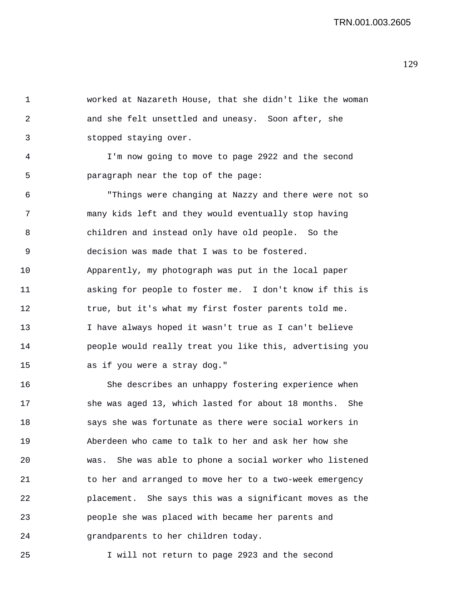1 worked at Nazareth House, that she didn't like the woman 2 and she felt unsettled and uneasy. Soon after, she 3 stopped staying over. 4 I'm now going to move to page 2922 and the second 5 paragraph near the top of the page: 6 "Things were changing at Nazzy and there were not so 7 many kids left and they would eventually stop having 8 children and instead only have old people. So the 9 decision was made that I was to be fostered. 10 Apparently, my photograph was put in the local paper 11 asking for people to foster me. I don't know if this is 12 true, but it's what my first foster parents told me. 13 I have always hoped it wasn't true as I can't believe 14 people would really treat you like this, advertising you 15 as if you were a stray dog." 16 She describes an unhappy fostering experience when 17 she was aged 13, which lasted for about 18 months. She 18 says she was fortunate as there were social workers in 19 Aberdeen who came to talk to her and ask her how she

20 was. She was able to phone a social worker who listened 21 to her and arranged to move her to a two-week emergency 22 placement. She says this was a significant moves as the 23 people she was placed with became her parents and 24 grandparents to her children today.

25 I will not return to page 2923 and the second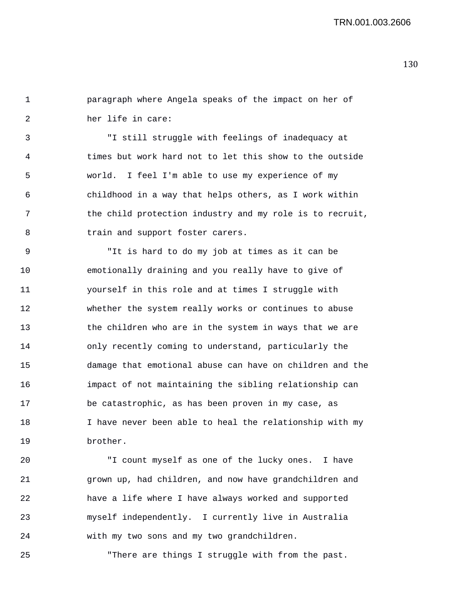1 paragraph where Angela speaks of the impact on her of 2 her life in care:

3 "I still struggle with feelings of inadequacy at 4 times but work hard not to let this show to the outside 5 world. I feel I'm able to use my experience of my 6 childhood in a way that helps others, as I work within 7 the child protection industry and my role is to recruit, 8 train and support foster carers.

9 "It is hard to do my job at times as it can be 10 emotionally draining and you really have to give of 11 yourself in this role and at times I struggle with 12 whether the system really works or continues to abuse 13 the children who are in the system in ways that we are 14 only recently coming to understand, particularly the 15 damage that emotional abuse can have on children and the 16 impact of not maintaining the sibling relationship can 17 be catastrophic, as has been proven in my case, as 18 I have never been able to heal the relationship with my 19 brother.

20 "I count myself as one of the lucky ones. I have 21 grown up, had children, and now have grandchildren and 22 have a life where I have always worked and supported 23 myself independently. I currently live in Australia 24 with my two sons and my two grandchildren.

25 "There are things I struggle with from the past.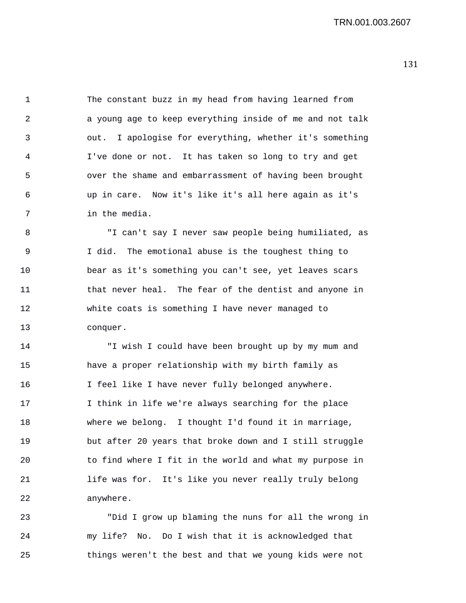1 The constant buzz in my head from having learned from 2 a young age to keep everything inside of me and not talk 3 out. I apologise for everything, whether it's something 4 I've done or not. It has taken so long to try and get 5 over the shame and embarrassment of having been brought 6 up in care. Now it's like it's all here again as it's 7 in the media. 8 "I can't say I never saw people being humiliated, as 9 I did. The emotional abuse is the toughest thing to 10 bear as it's something you can't see, yet leaves scars 11 that never heal. The fear of the dentist and anyone in 12 white coats is something I have never managed to 13 conquer. 14 "I wish I could have been brought up by my mum and 15 have a proper relationship with my birth family as 16 I feel like I have never fully belonged anywhere. 17 I think in life we're always searching for the place 18 where we belong. I thought I'd found it in marriage, 19 but after 20 years that broke down and I still struggle 20 to find where I fit in the world and what my purpose in 21 life was for. It's like you never really truly belong 22 anywhere.

23 "Did I grow up blaming the nuns for all the wrong in 24 my life? No. Do I wish that it is acknowledged that 25 things weren't the best and that we young kids were not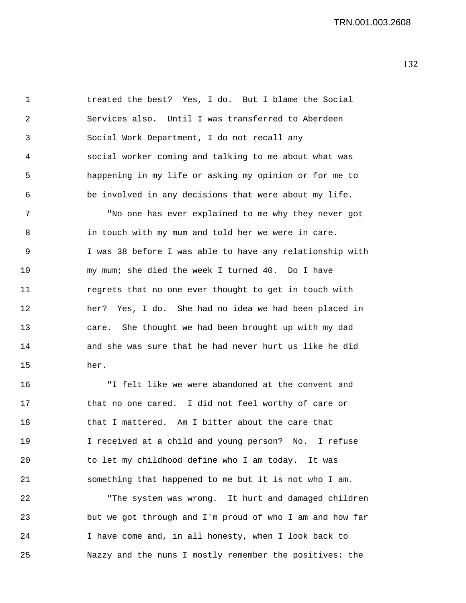1 treated the best? Yes, I do. But I blame the Social 2 Services also. Until I was transferred to Aberdeen 3 Social Work Department, I do not recall any 4 social worker coming and talking to me about what was 5 happening in my life or asking my opinion or for me to 6 be involved in any decisions that were about my life.

7 "No one has ever explained to me why they never got 8 in touch with my mum and told her we were in care. 9 I was 38 before I was able to have any relationship with 10 my mum; she died the week I turned 40. Do I have 11 regrets that no one ever thought to get in touch with 12 her? Yes, I do. She had no idea we had been placed in 13 care. She thought we had been brought up with my dad 14 and she was sure that he had never hurt us like he did 15 her.

16 "I felt like we were abandoned at the convent and 17 that no one cared. I did not feel worthy of care or 18 that I mattered. Am I bitter about the care that 19 I received at a child and young person? No. I refuse 20 to let my childhood define who I am today. It was 21 something that happened to me but it is not who I am.

22 "The system was wrong. It hurt and damaged children 23 but we got through and I'm proud of who I am and how far 24 I have come and, in all honesty, when I look back to 25 Nazzy and the nuns I mostly remember the positives: the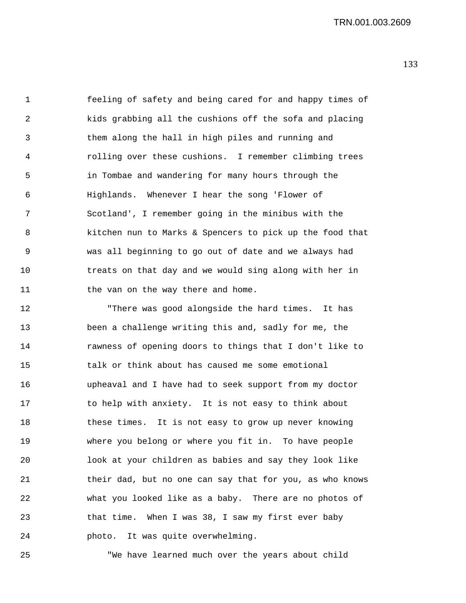133

1 feeling of safety and being cared for and happy times of 2 kids grabbing all the cushions off the sofa and placing 3 them along the hall in high piles and running and 4 rolling over these cushions. I remember climbing trees 5 in Tombae and wandering for many hours through the 6 Highlands. Whenever I hear the song 'Flower of 7 Scotland', I remember going in the minibus with the 8 kitchen nun to Marks & Spencers to pick up the food that 9 was all beginning to go out of date and we always had 10 treats on that day and we would sing along with her in 11 the van on the way there and home.

12 "There was good alongside the hard times. It has 13 been a challenge writing this and, sadly for me, the 14 rawness of opening doors to things that I don't like to 15 talk or think about has caused me some emotional 16 upheaval and I have had to seek support from my doctor 17 to help with anxiety. It is not easy to think about 18 these times. It is not easy to grow up never knowing 19 where you belong or where you fit in. To have people 20 look at your children as babies and say they look like 21 their dad, but no one can say that for you, as who knows 22 what you looked like as a baby. There are no photos of 23 that time. When I was 38, I saw my first ever baby 24 photo. It was quite overwhelming.

25 "We have learned much over the years about child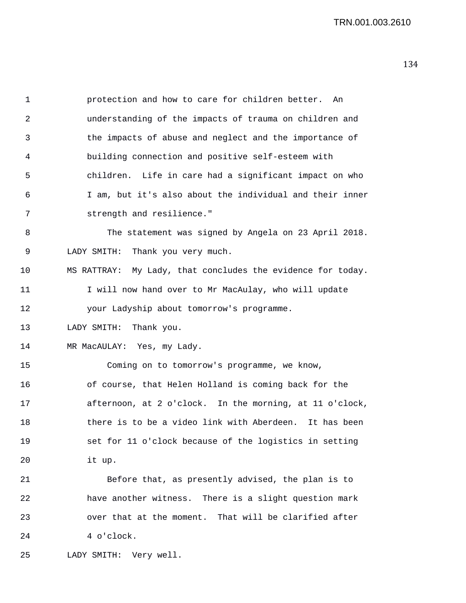| 1  | protection and how to care for children better.<br>An       |
|----|-------------------------------------------------------------|
| 2  | understanding of the impacts of trauma on children and      |
| 3  | the impacts of abuse and neglect and the importance of      |
| 4  | building connection and positive self-esteem with           |
| 5  | children. Life in care had a significant impact on who      |
| 6  | I am, but it's also about the individual and their inner    |
| 7  | strength and resilience."                                   |
| 8  | The statement was signed by Angela on 23 April 2018.        |
| 9  | LADY SMITH: Thank you very much.                            |
| 10 | MS RATTRAY: My Lady, that concludes the evidence for today. |
| 11 | I will now hand over to Mr MacAulay, who will update        |
| 12 | your Ladyship about tomorrow's programme.                   |
| 13 | LADY SMITH: Thank you.                                      |
| 14 | MR MacAULAY: Yes, my Lady.                                  |
| 15 | Coming on to tomorrow's programme, we know,                 |
| 16 | of course, that Helen Holland is coming back for the        |
| 17 | afternoon, at 2 o'clock. In the morning, at 11 o'clock,     |
| 18 | there is to be a video link with Aberdeen.<br>It has been   |
| 19 | set for 11 o'clock because of the logistics in setting      |
| 20 | it up.                                                      |
| 21 | Before that, as presently advised, the plan is to           |
| 22 | have another witness. There is a slight question mark       |
| 23 | over that at the moment. That will be clarified after       |
| 24 | 4 o'clock.                                                  |

25 LADY SMITH: Very well.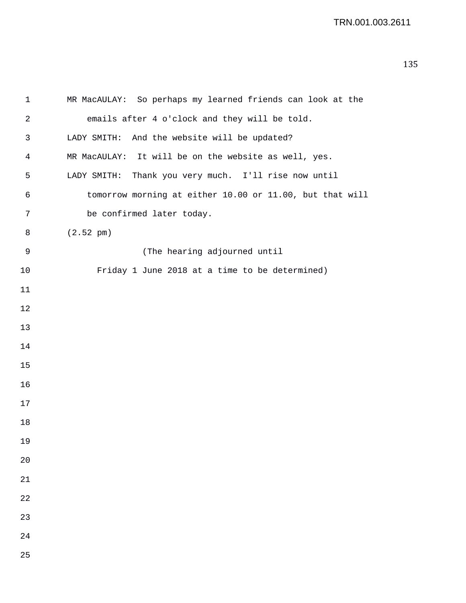| ٠<br>۰.<br>۰.<br>.,<br>M. |  |
|---------------------------|--|
|---------------------------|--|

| 1  | MR MacAULAY: So perhaps my learned friends can look at the |
|----|------------------------------------------------------------|
| 2  | emails after 4 o'clock and they will be told.              |
| 3  | LADY SMITH: And the website will be updated?               |
| 4  | MR MacAULAY: It will be on the website as well, yes.       |
| 5  | LADY SMITH: Thank you very much. I'll rise now until       |
| 6  | tomorrow morning at either 10.00 or 11.00, but that will   |
| 7  | be confirmed later today.                                  |
| 8  | $(2.52 \text{ pm})$                                        |
| 9  | (The hearing adjourned until                               |
| 10 | Friday 1 June 2018 at a time to be determined)             |
| 11 |                                                            |
| 12 |                                                            |
| 13 |                                                            |
| 14 |                                                            |
| 15 |                                                            |
| 16 |                                                            |
| 17 |                                                            |
| 18 |                                                            |
| 19 |                                                            |
| 20 |                                                            |
| 21 |                                                            |
| 22 |                                                            |
| 23 |                                                            |
| 24 |                                                            |
| 25 |                                                            |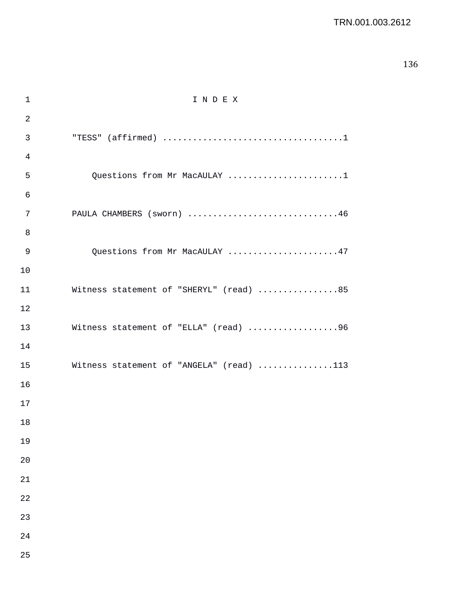| $\mathbf 1$    | INDEX                                    |
|----------------|------------------------------------------|
| $\overline{2}$ |                                          |
| 3              |                                          |
| 4              |                                          |
| 5              | Questions from Mr MacAULAY 1             |
| 6              |                                          |
| 7              | PAULA CHAMBERS (sworn) 46                |
| 8              |                                          |
| 9              | Questions from Mr MacAULAY 47            |
| 10             |                                          |
| 11             | Witness statement of "SHERYL" (read) 85  |
| 12             |                                          |
| 13             | Witness statement of "ELLA" (read) 96    |
| 14             |                                          |
| 15             | Witness statement of "ANGELA" (read) 113 |
| 16             |                                          |
| 17             |                                          |
| 18             |                                          |
| 19             |                                          |
| 20             |                                          |
| 21             |                                          |
| 22             |                                          |
| 23             |                                          |
| 24             |                                          |
| 25             |                                          |